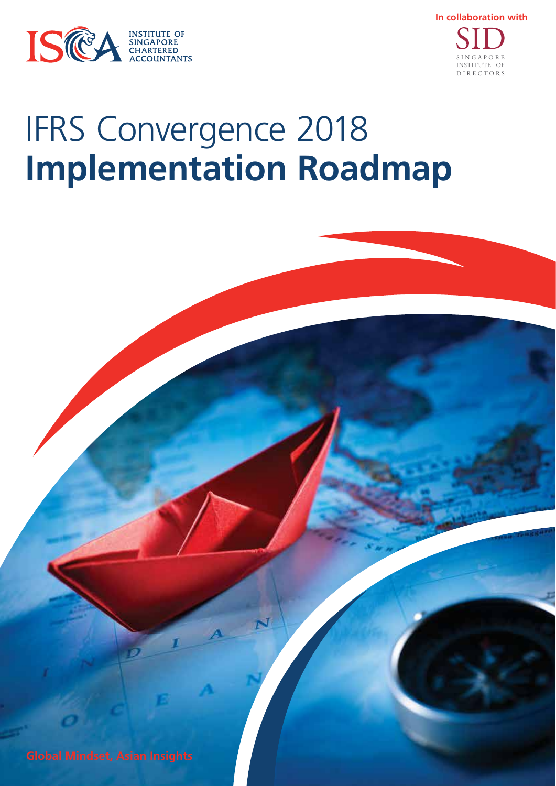



# IFRS Convergence 2018 **Implementation Roadmap**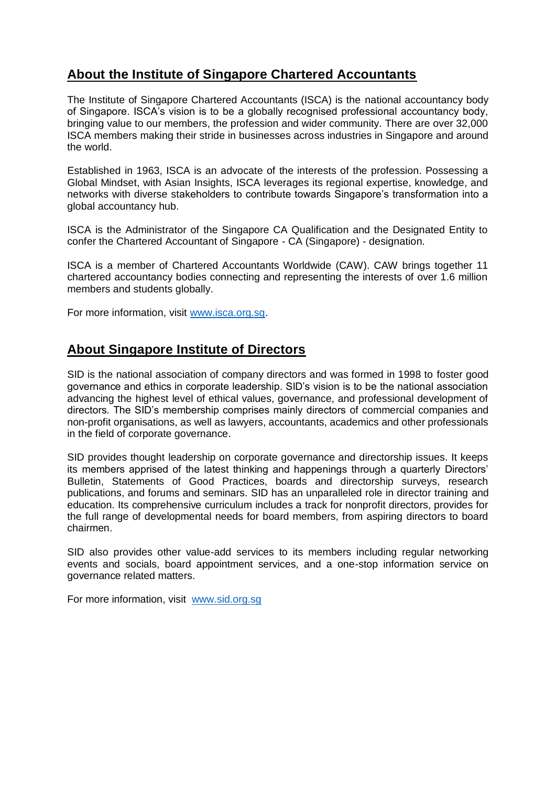### **About the Institute of Singapore Chartered Accountants**

The Institute of Singapore Chartered Accountants (ISCA) is the national accountancy body of Singapore. ISCA's vision is to be a globally recognised professional accountancy body, bringing value to our members, the profession and wider community. There are over 32,000 ISCA members making their stride in businesses across industries in Singapore and around the world.

Established in 1963, ISCA is an advocate of the interests of the profession. Possessing a Global Mindset, with Asian Insights, ISCA leverages its regional expertise, knowledge, and networks with diverse stakeholders to contribute towards Singapore's transformation into a global accountancy hub.

ISCA is the Administrator of the Singapore CA Qualification and the Designated Entity to confer the Chartered Accountant of Singapore - CA (Singapore) - designation.

ISCA is a member of Chartered Accountants Worldwide (CAW). CAW brings together 11 chartered accountancy bodies connecting and representing the interests of over 1.6 million members and students globally.

For more information, visit [www.isca.org.sg.](http://www.isca.org.sg/)

### **About Singapore Institute of Directors**

SID is the national association of company directors and was formed in 1998 to foster good governance and ethics in corporate leadership. SID's vision is to be the national association advancing the highest level of ethical values, governance, and professional development of directors. The SID's membership comprises mainly directors of commercial companies and non-profit organisations, as well as lawyers, accountants, academics and other professionals in the field of corporate governance.

SID provides thought leadership on corporate governance and directorship issues. It keeps its members apprised of the latest thinking and happenings through a quarterly Directors' Bulletin, Statements of Good Practices, boards and directorship surveys, research publications, and forums and seminars. SID has an unparalleled role in director training and education. Its comprehensive curriculum includes a track for nonprofit directors, provides for the full range of developmental needs for board members, from aspiring directors to board chairmen.

SID also provides other value-add services to its members including regular networking events and socials, board appointment services, and a one-stop information service on governance related matters.

For more information, visit [www.sid.org.sg](http://www.sid.org.sg/)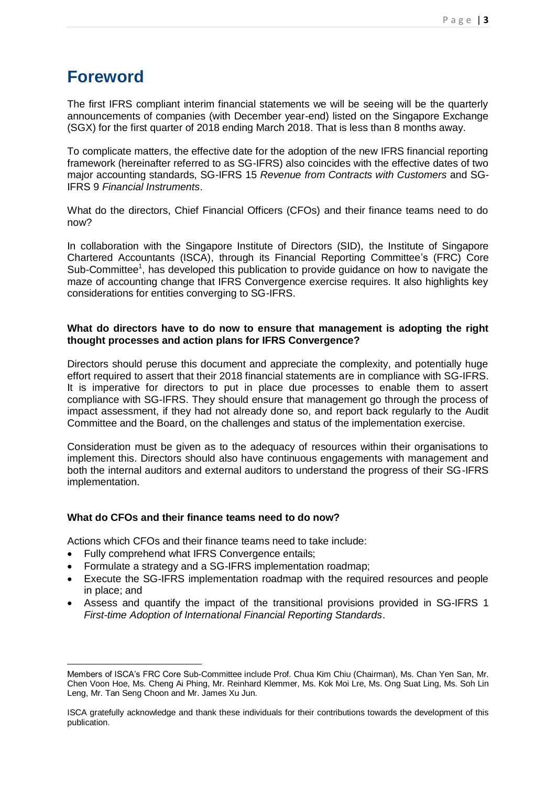# **Foreword**

The first IFRS compliant interim financial statements we will be seeing will be the quarterly announcements of companies (with December year-end) listed on the Singapore Exchange (SGX) for the first quarter of 2018 ending March 2018. That is less than 8 months away.

To complicate matters, the effective date for the adoption of the new IFRS financial reporting framework (hereinafter referred to as SG-IFRS) also coincides with the effective dates of two major accounting standards, SG-IFRS 15 *Revenue from Contracts with Customers* and SG-IFRS 9 *Financial Instruments*.

What do the directors, Chief Financial Officers (CFOs) and their finance teams need to do now?

In collaboration with the Singapore Institute of Directors (SID), the Institute of Singapore Chartered Accountants (ISCA), through its Financial Reporting Committee's (FRC) Core Sub-Committee<sup>1</sup>, has developed this publication to provide guidance on how to navigate the maze of accounting change that IFRS Convergence exercise requires. It also highlights key considerations for entities converging to SG-IFRS.

#### **What do directors have to do now to ensure that management is adopting the right thought processes and action plans for IFRS Convergence?**

Directors should peruse this document and appreciate the complexity, and potentially huge effort required to assert that their 2018 financial statements are in compliance with SG-IFRS. It is imperative for directors to put in place due processes to enable them to assert compliance with SG-IFRS. They should ensure that management go through the process of impact assessment, if they had not already done so, and report back regularly to the Audit Committee and the Board, on the challenges and status of the implementation exercise.

Consideration must be given as to the adequacy of resources within their organisations to implement this. Directors should also have continuous engagements with management and both the internal auditors and external auditors to understand the progress of their SG-IFRS implementation.

#### **What do CFOs and their finance teams need to do now?**

Actions which CFOs and their finance teams need to take include:

- Fully comprehend what IFRS Convergence entails;
- Formulate a strategy and a SG-IFRS implementation roadmap;
- Execute the SG-IFRS implementation roadmap with the required resources and people in place; and
- Assess and quantify the impact of the transitional provisions provided in SG-IFRS 1 *First-time Adoption of International Financial Reporting Standards*.

<sup>1</sup> Members of ISCA's FRC Core Sub-Committee include Prof. Chua Kim Chiu (Chairman), Ms. Chan Yen San, Mr. Chen Voon Hoe, Ms. Cheng Ai Phing, Mr. Reinhard Klemmer, Ms. Kok Moi Lre, Ms. Ong Suat Ling, Ms. Soh Lin Leng, Mr. Tan Seng Choon and Mr. James Xu Jun.

ISCA gratefully acknowledge and thank these individuals for their contributions towards the development of this publication.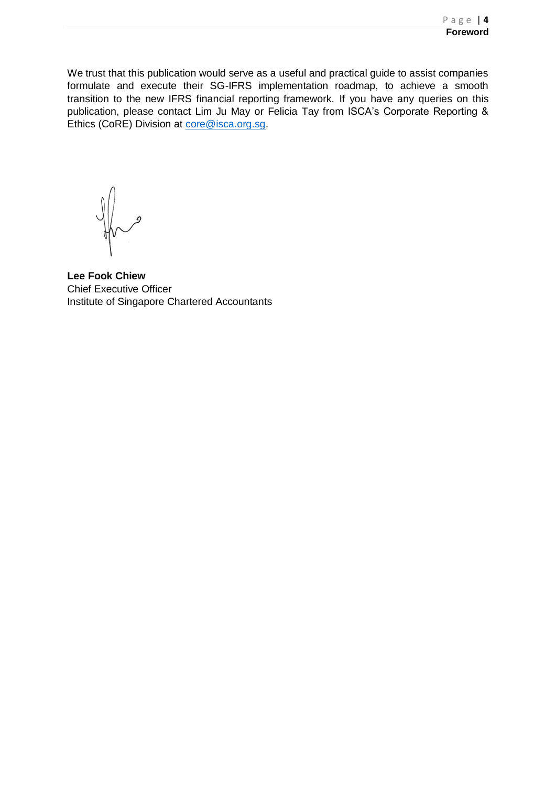We trust that this publication would serve as a useful and practical guide to assist companies formulate and execute their SG-IFRS implementation roadmap, to achieve a smooth transition to the new IFRS financial reporting framework. If you have any queries on this publication, please contact Lim Ju May or Felicia Tay from ISCA's Corporate Reporting & Ethics (CoRE) Division at [core@isca.org.sg.](mailto:core@isca.org.sg)

**Lee Fook Chiew** Chief Executive Officer Institute of Singapore Chartered Accountants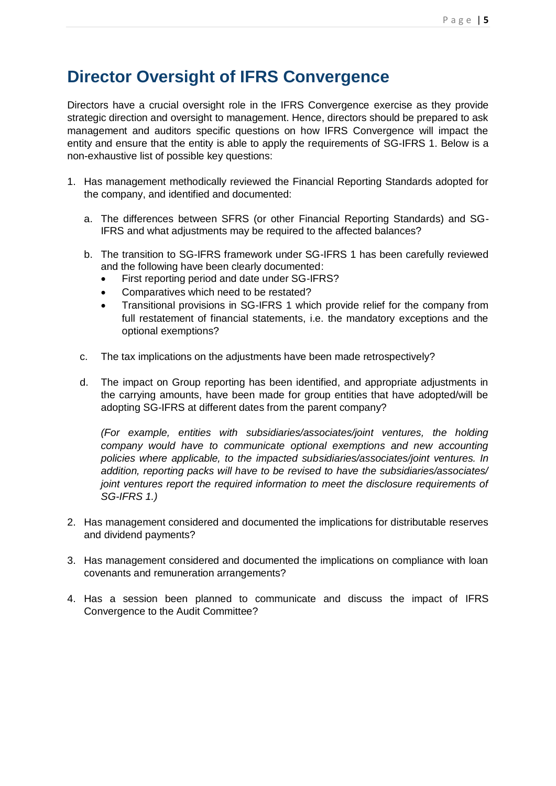# **Director Oversight of IFRS Convergence**

Directors have a crucial oversight role in the IFRS Convergence exercise as they provide strategic direction and oversight to management. Hence, directors should be prepared to ask management and auditors specific questions on how IFRS Convergence will impact the entity and ensure that the entity is able to apply the requirements of SG-IFRS 1. Below is a non-exhaustive list of possible key questions:

- 1. Has management methodically reviewed the Financial Reporting Standards adopted for the company, and identified and documented:
	- a. The differences between SFRS (or other Financial Reporting Standards) and SG-IFRS and what adjustments may be required to the affected balances?
	- b. The transition to SG-IFRS framework under SG-IFRS 1 has been carefully reviewed and the following have been clearly documented:
		- First reporting period and date under SG-IFRS?
		- Comparatives which need to be restated?
		- Transitional provisions in SG-IFRS 1 which provide relief for the company from full restatement of financial statements, i.e. the mandatory exceptions and the optional exemptions?
	- c. The tax implications on the adjustments have been made retrospectively?
	- d. The impact on Group reporting has been identified, and appropriate adjustments in the carrying amounts, have been made for group entities that have adopted/will be adopting SG-IFRS at different dates from the parent company?

*(For example, entities with subsidiaries/associates/joint ventures, the holding company would have to communicate optional exemptions and new accounting policies where applicable, to the impacted subsidiaries/associates/joint ventures. In addition, reporting packs will have to be revised to have the subsidiaries/associates/ joint ventures report the required information to meet the disclosure requirements of SG-IFRS 1.)*

- 2. Has management considered and documented the implications for distributable reserves and dividend payments?
- 3. Has management considered and documented the implications on compliance with loan covenants and remuneration arrangements?
- 4. Has a session been planned to communicate and discuss the impact of IFRS Convergence to the Audit Committee?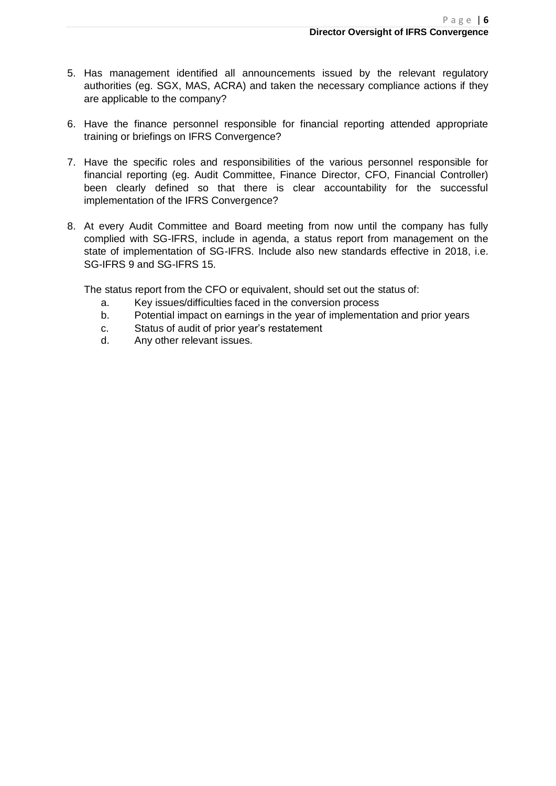- 5. Has management identified all announcements issued by the relevant regulatory authorities (eg. SGX, MAS, ACRA) and taken the necessary compliance actions if they are applicable to the company?
- 6. Have the finance personnel responsible for financial reporting attended appropriate training or briefings on IFRS Convergence?
- 7. Have the specific roles and responsibilities of the various personnel responsible for financial reporting (eg. Audit Committee, Finance Director, CFO, Financial Controller) been clearly defined so that there is clear accountability for the successful implementation of the IFRS Convergence?
- 8. At every Audit Committee and Board meeting from now until the company has fully complied with SG-IFRS, include in agenda, a status report from management on the state of implementation of SG-IFRS. Include also new standards effective in 2018, i.e. SG-IFRS 9 and SG-IFRS 15.

The status report from the CFO or equivalent, should set out the status of:

- a. Key issues/difficulties faced in the conversion process
- b. Potential impact on earnings in the year of implementation and prior years
- c. Status of audit of prior year's restatement
- d. Any other relevant issues.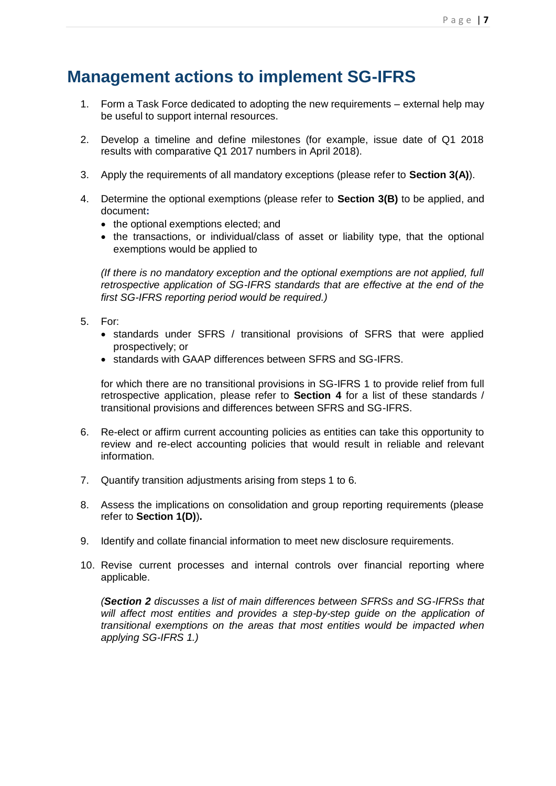### **Management actions to implement SG-IFRS**

- 1. Form a Task Force dedicated to adopting the new requirements external help may be useful to support internal resources.
- 2. Develop a timeline and define milestones (for example, issue date of Q1 2018 results with comparative Q1 2017 numbers in April 2018).
- 3. Apply the requirements of all mandatory exceptions (please refer to **Section 3(A)**).
- 4. Determine the optional exemptions (please refer to **Section 3(B)** to be applied, and document**:**
	- the optional exemptions elected; and
	- the transactions, or individual/class of asset or liability type, that the optional exemptions would be applied to

*(If there is no mandatory exception and the optional exemptions are not applied, full retrospective application of SG-IFRS standards that are effective at the end of the first SG-IFRS reporting period would be required.)*

- 5. For:
	- standards under SFRS / transitional provisions of SFRS that were applied prospectively; or
	- standards with GAAP differences between SFRS and SG-IFRS.

for which there are no transitional provisions in SG-IFRS 1 to provide relief from full retrospective application, please refer to **Section 4** for a list of these standards / transitional provisions and differences between SFRS and SG-IFRS.

- 6. Re-elect or affirm current accounting policies as entities can take this opportunity to review and re-elect accounting policies that would result in reliable and relevant information.
- 7. Quantify transition adjustments arising from steps 1 to 6.
- 8. Assess the implications on consolidation and group reporting requirements (please refer to **Section 1(D)**)**.**
- 9. Identify and collate financial information to meet new disclosure requirements.
- 10. Revise current processes and internal controls over financial reporting where applicable.

*(Section 2 discusses a list of main differences between SFRSs and SG-IFRSs that*  will affect most entities and provides a step-by-step guide on the application of *transitional exemptions on the areas that most entities would be impacted when applying SG-IFRS 1.)*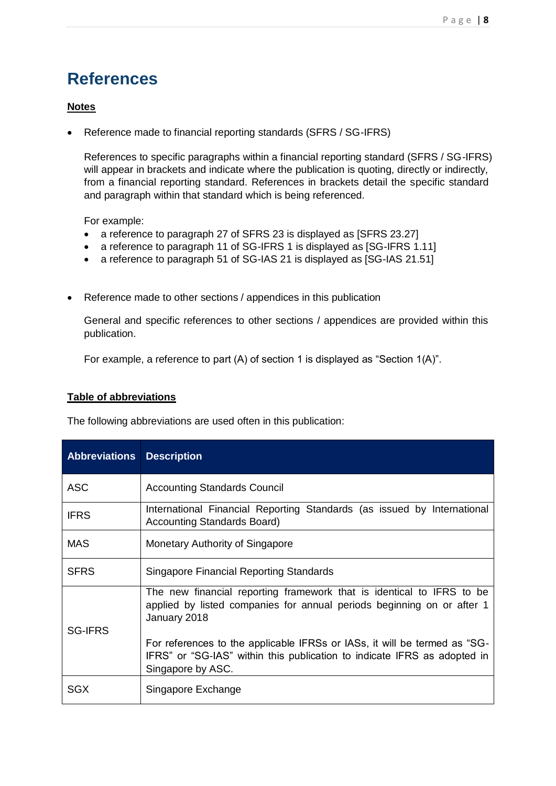# **References**

#### **Notes**

Reference made to financial reporting standards (SFRS / SG-IFRS)

References to specific paragraphs within a financial reporting standard (SFRS / SG-IFRS) will appear in brackets and indicate where the publication is quoting, directly or indirectly, from a financial reporting standard. References in brackets detail the specific standard and paragraph within that standard which is being referenced.

For example:

- a reference to paragraph 27 of SFRS 23 is displayed as [SFRS 23.27]
- a reference to paragraph 11 of SG-IFRS 1 is displayed as [SG-IFRS 1.11]
- a reference to paragraph 51 of SG-IAS 21 is displayed as [SG-IAS 21.51]
- Reference made to other sections / appendices in this publication

General and specific references to other sections / appendices are provided within this publication.

For example, a reference to part (A) of section 1 is displayed as "Section 1(A)".

#### **Table of abbreviations**

The following abbreviations are used often in this publication:

| <b>Abbreviations</b> | <b>Description</b>                                                                                                                                                         |
|----------------------|----------------------------------------------------------------------------------------------------------------------------------------------------------------------------|
| <b>ASC</b>           | <b>Accounting Standards Council</b>                                                                                                                                        |
| <b>IFRS</b>          | International Financial Reporting Standards (as issued by International<br><b>Accounting Standards Board)</b>                                                              |
| <b>MAS</b>           | Monetary Authority of Singapore                                                                                                                                            |
| <b>SFRS</b>          | Singapore Financial Reporting Standards                                                                                                                                    |
| <b>SG-IFRS</b>       | The new financial reporting framework that is identical to IFRS to be<br>applied by listed companies for annual periods beginning on or after 1<br>January 2018            |
|                      | For references to the applicable IFRSs or IASs, it will be termed as "SG-<br>IFRS" or "SG-IAS" within this publication to indicate IFRS as adopted in<br>Singapore by ASC. |
| SGX                  | Singapore Exchange                                                                                                                                                         |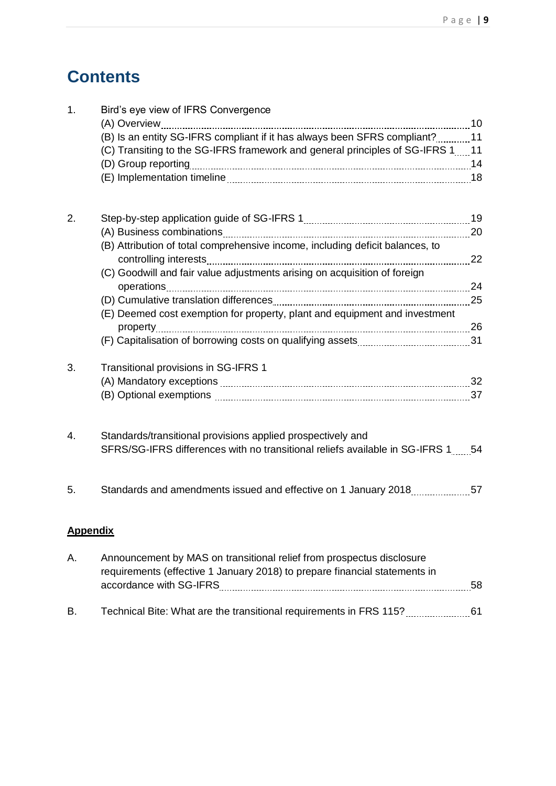# **Contents**

| 1. | Bird's eye view of IFRS Convergence                                               |    |
|----|-----------------------------------------------------------------------------------|----|
|    |                                                                                   |    |
|    | (B) Is an entity SG-IFRS compliant if it has always been SFRS compliant? 11       |    |
|    | (C) Transiting to the SG-IFRS framework and general principles of SG-IFRS 111     |    |
|    |                                                                                   |    |
|    |                                                                                   |    |
| 2. |                                                                                   |    |
|    |                                                                                   |    |
|    | (B) Attribution of total comprehensive income, including deficit balances, to     |    |
|    | (C) Goodwill and fair value adjustments arising on acquisition of foreign         |    |
|    |                                                                                   |    |
|    |                                                                                   |    |
|    | (E) Deemed cost exemption for property, plant and equipment and investment        |    |
|    |                                                                                   |    |
|    |                                                                                   |    |
| 3. | Transitional provisions in SG-IFRS 1                                              |    |
|    |                                                                                   |    |
|    |                                                                                   |    |
| 4. | Standards/transitional provisions applied prospectively and                       |    |
|    | SFRS/SG-IFRS differences with no transitional reliefs available in SG-IFRS 1.1654 |    |
| 5. |                                                                                   |    |
|    | <b>Appendix</b>                                                                   |    |
| Α. | Announcement by MAS on transitional relief from prospectus disclosure             |    |
|    | requirements (effective 1 January 2018) to prepare financial statements in        | 58 |
|    |                                                                                   |    |
| В. | Technical Bite: What are the transitional requirements in FRS 115?                | 61 |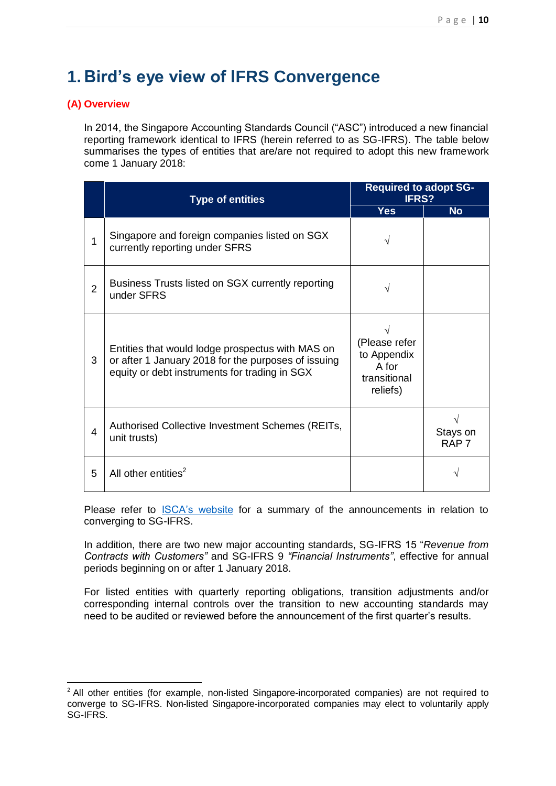# **1. Bird's eye view of IFRS Convergence**

#### **(A) Overview**

-

In 2014, the Singapore Accounting Standards Council ("ASC") introduced a new financial reporting framework identical to IFRS (herein referred to as SG-IFRS). The table below summarises the types of entities that are/are not required to adopt this new framework come 1 January 2018:

|                | <b>Type of entities</b>                                                                                                                                  | <b>Required to adopt SG-</b><br><b>IFRS?</b>                      |                              |
|----------------|----------------------------------------------------------------------------------------------------------------------------------------------------------|-------------------------------------------------------------------|------------------------------|
|                |                                                                                                                                                          | <b>Yes</b>                                                        | <b>No</b>                    |
| 1              | Singapore and foreign companies listed on SGX<br>currently reporting under SFRS                                                                          |                                                                   |                              |
| $\overline{2}$ | Business Trusts listed on SGX currently reporting<br>under SFRS                                                                                          |                                                                   |                              |
| 3              | Entities that would lodge prospectus with MAS on<br>or after 1 January 2018 for the purposes of issuing<br>equity or debt instruments for trading in SGX | (Please refer<br>to Appendix<br>A for<br>transitional<br>reliefs) |                              |
| 4              | Authorised Collective Investment Schemes (REITs,<br>unit trusts)                                                                                         |                                                                   | Stays on<br>RAP <sub>7</sub> |
| 5              | All other entities <sup>2</sup>                                                                                                                          |                                                                   |                              |

Please refer to [ISCA's website](https://www.isca.org.sg/tkc/fr/current-issues/ifrs-convergence/) for a summary of the announcements in relation to converging to SG-IFRS.

In addition, there are two new major accounting standards, SG-IFRS 15 "*Revenue from Contracts with Customers"* and SG-IFRS 9 *"Financial Instruments"*, effective for annual periods beginning on or after 1 January 2018.

For listed entities with quarterly reporting obligations, transition adjustments and/or corresponding internal controls over the transition to new accounting standards may need to be audited or reviewed before the announcement of the first quarter's results.

<sup>&</sup>lt;sup>2</sup> All other entities (for example, non-listed Singapore-incorporated companies) are not required to converge to SG-IFRS. Non-listed Singapore-incorporated companies may elect to voluntarily apply SG-IFRS.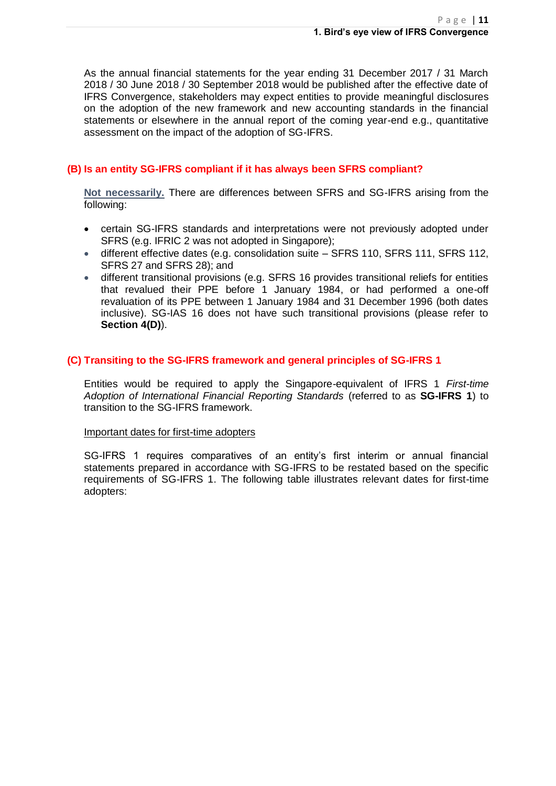As the annual financial statements for the year ending 31 December 2017 / 31 March 2018 / 30 June 2018 / 30 September 2018 would be published after the effective date of IFRS Convergence, stakeholders may expect entities to provide meaningful disclosures on the adoption of the new framework and new accounting standards in the financial statements or elsewhere in the annual report of the coming year-end e.g., quantitative assessment on the impact of the adoption of SG-IFRS.

#### **(B) Is an entity SG-IFRS compliant if it has always been SFRS compliant?**

**Not necessarily.** There are differences between SFRS and SG-IFRS arising from the following:

- certain SG-IFRS standards and interpretations were not previously adopted under SFRS (e.g. IFRIC 2 was not adopted in Singapore);
- different effective dates (e.g. consolidation suite SFRS 110, SFRS 111, SFRS 112, SFRS 27 and SFRS 28); and
- different transitional provisions (e.g. SFRS 16 provides transitional reliefs for entities that revalued their PPE before 1 January 1984, or had performed a one-off revaluation of its PPE between 1 January 1984 and 31 December 1996 (both dates inclusive). SG-IAS 16 does not have such transitional provisions (please refer to **Section 4(D)**).

#### **(C) Transiting to the SG-IFRS framework and general principles of SG-IFRS 1**

Entities would be required to apply the Singapore-equivalent of IFRS 1 *First-time Adoption of International Financial Reporting Standards* (referred to as **SG-IFRS 1**) to transition to the SG-IFRS framework.

#### Important dates for first-time adopters

SG-IFRS 1 requires comparatives of an entity's first interim or annual financial statements prepared in accordance with SG-IFRS to be restated based on the specific requirements of SG-IFRS 1. The following table illustrates relevant dates for first-time adopters: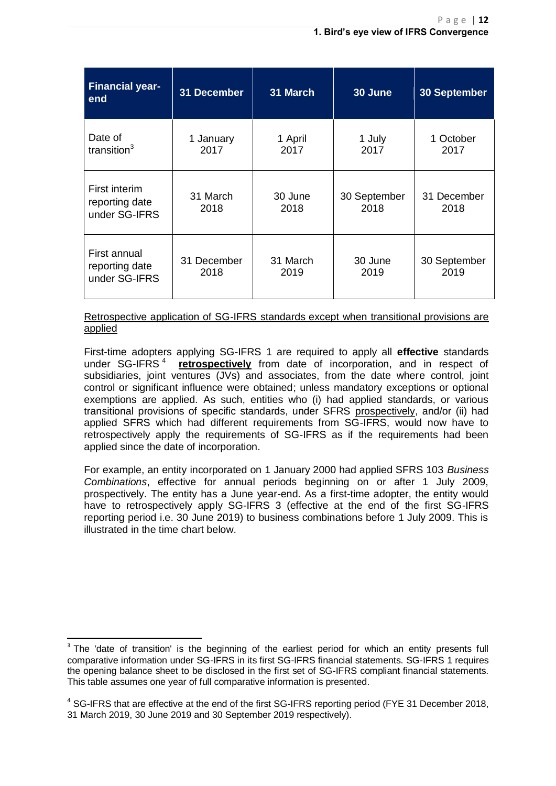| <b>Financial year-</b><br>end                    | <b>31 December</b>  | 31 March         | 30 June              | <b>30 September</b>  |
|--------------------------------------------------|---------------------|------------------|----------------------|----------------------|
| Date of<br>transition $3$                        | 1 January<br>2017   | 1 April<br>2017  | 1 July<br>2017       | 1 October<br>2017    |
| First interim<br>reporting date<br>under SG-IFRS | 31 March<br>2018    | 30 June<br>2018  | 30 September<br>2018 | 31 December<br>2018  |
| First annual<br>reporting date<br>under SG-IFRS  | 31 December<br>2018 | 31 March<br>2019 | 30 June<br>2019      | 30 September<br>2019 |

Retrospective application of SG-IFRS standards except when transitional provisions are applied

First-time adopters applying SG-IFRS 1 are required to apply all **effective** standards under SG-IFRS<sup>4</sup> **retrospectively** from date of incorporation, and in respect of subsidiaries, joint ventures (JVs) and associates, from the date where control, joint control or significant influence were obtained; unless mandatory exceptions or optional exemptions are applied. As such, entities who (i) had applied standards, or various transitional provisions of specific standards, under SFRS prospectively, and/or (ii) had applied SFRS which had different requirements from SG-IFRS, would now have to retrospectively apply the requirements of SG-IFRS as if the requirements had been applied since the date of incorporation.

For example, an entity incorporated on 1 January 2000 had applied SFRS 103 *Business Combinations*, effective for annual periods beginning on or after 1 July 2009, prospectively. The entity has a June year-end. As a first-time adopter, the entity would have to retrospectively apply SG-IFRS 3 (effective at the end of the first SG-IFRS reporting period i.e. 30 June 2019) to business combinations before 1 July 2009. This is illustrated in the time chart below.

**.** 

 $3$  The 'date of transition' is the beginning of the earliest period for which an entity presents full comparative information under SG-IFRS in its first SG-IFRS financial statements. SG-IFRS 1 requires the opening balance sheet to be disclosed in the first set of SG-IFRS compliant financial statements. This table assumes one year of full comparative information is presented.

<sup>&</sup>lt;sup>4</sup> SG-IFRS that are effective at the end of the first SG-IFRS reporting period (FYE 31 December 2018, 31 March 2019, 30 June 2019 and 30 September 2019 respectively).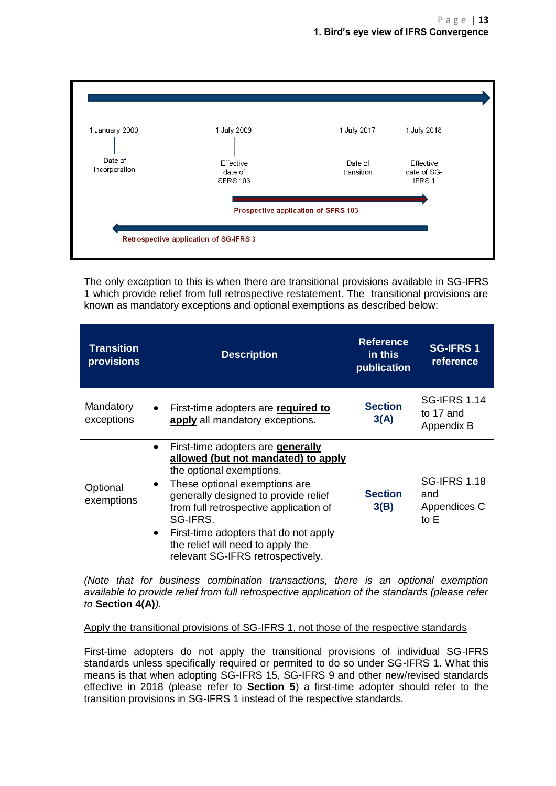| 1 January 2000           | 1 July 2009                             | 1 July 2017                         | 1 July 2018                       |
|--------------------------|-----------------------------------------|-------------------------------------|-----------------------------------|
| Date of<br>incorporation | Effective<br>date of<br><b>SFRS 103</b> | Date of<br>transition               | Effective<br>date of SG-<br>IFRS1 |
|                          |                                         | Prospective application of SFRS 103 |                                   |

The only exception to this is when there are transitional provisions available in SG-IFRS 1 which provide relief from full retrospective restatement. The transitional provisions are known as mandatory exceptions and optional exemptions as described below:

| <b>Transition</b><br><b>provisions</b> | <b>Description</b>                                                                                                                                                                                                                                                                                                                                                                      | <b>Reference</b><br>in this<br>publication | <b>SG-IFRS 1</b><br>reference                        |
|----------------------------------------|-----------------------------------------------------------------------------------------------------------------------------------------------------------------------------------------------------------------------------------------------------------------------------------------------------------------------------------------------------------------------------------------|--------------------------------------------|------------------------------------------------------|
| Mandatory<br>exceptions                | First-time adopters are required to<br>$\bullet$<br>apply all mandatory exceptions.                                                                                                                                                                                                                                                                                                     | <b>Section</b><br>3(A)                     | <b>SG-IFRS 1.14</b><br>to 17 and<br>Appendix B       |
| Optional<br>exemptions                 | First-time adopters are <b>generally</b><br>allowed (but not mandated) to apply<br>the optional exemptions.<br>These optional exemptions are<br>$\bullet$<br>generally designed to provide relief<br>from full retrospective application of<br>SG-IFRS.<br>First-time adopters that do not apply<br>$\bullet$<br>the relief will need to apply the<br>relevant SG-IFRS retrospectively. | <b>Section</b><br>3(B)                     | <b>SG-IFRS 1.18</b><br>and<br>Appendices C<br>to $E$ |

*(Note that for business combination transactions, there is an optional exemption available to provide relief from full retrospective application of the standards (please refer to* **Section 4(A)***).*

#### Apply the transitional provisions of SG-IFRS 1, not those of the respective standards

First-time adopters do not apply the transitional provisions of individual SG-IFRS standards unless specifically required or permited to do so under SG-IFRS 1. What this means is that when adopting SG-IFRS 15, SG-IFRS 9 and other new/revised standards effective in 2018 (please refer to **Section 5**) a first-time adopter should refer to the transition provisions in SG-IFRS 1 instead of the respective standards.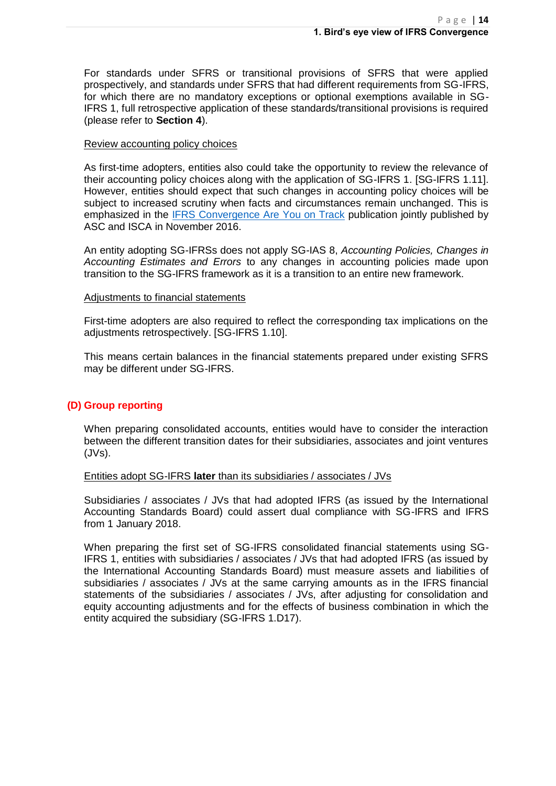For standards under SFRS or transitional provisions of SFRS that were applied prospectively, and standards under SFRS that had different requirements from SG-IFRS, for which there are no mandatory exceptions or optional exemptions available in SG-IFRS 1, full retrospective application of these standards/transitional provisions is required (please refer to **Section 4**).

#### Review accounting policy choices

As first-time adopters, entities also could take the opportunity to review the relevance of their accounting policy choices along with the application of SG-IFRS 1. [SG-IFRS 1.11]. However, entities should expect that such changes in accounting policy choices will be subject to increased scrutiny when facts and circumstances remain unchanged. This is emphasized in the [IFRS Convergence Are You on Track](http://www.asc.gov.sg/Portals/0/attachments/NewsEvents/2016/IFRS%20Convergence%20Are%20You%20on%20Track.pdf?timestamp=1482116501152) publication jointly published by ASC and ISCA in November 2016.

An entity adopting SG-IFRSs does not apply SG-IAS 8, *Accounting Policies, Changes in Accounting Estimates and Errors* to any changes in accounting policies made upon transition to the SG-IFRS framework as it is a transition to an entire new framework.

#### Adjustments to financial statements

First-time adopters are also required to reflect the corresponding tax implications on the adjustments retrospectively. [SG-IFRS 1.10].

This means certain balances in the financial statements prepared under existing SFRS may be different under SG-IFRS.

#### **(D) Group reporting**

When preparing consolidated accounts, entities would have to consider the interaction between the different transition dates for their subsidiaries, associates and joint ventures (JVs).

#### Entities adopt SG-IFRS **later** than its subsidiaries / associates / JVs

Subsidiaries / associates / JVs that had adopted IFRS (as issued by the International Accounting Standards Board) could assert dual compliance with SG-IFRS and IFRS from 1 January 2018.

When preparing the first set of SG-IFRS consolidated financial statements using SG-IFRS 1, entities with subsidiaries / associates / JVs that had adopted IFRS (as issued by the International Accounting Standards Board) must measure assets and liabilities of subsidiaries / associates / JVs at the same carrying amounts as in the IFRS financial statements of the subsidiaries / associates / JVs, after adjusting for consolidation and equity accounting adjustments and for the effects of business combination in which the entity acquired the subsidiary (SG-IFRS 1.D17).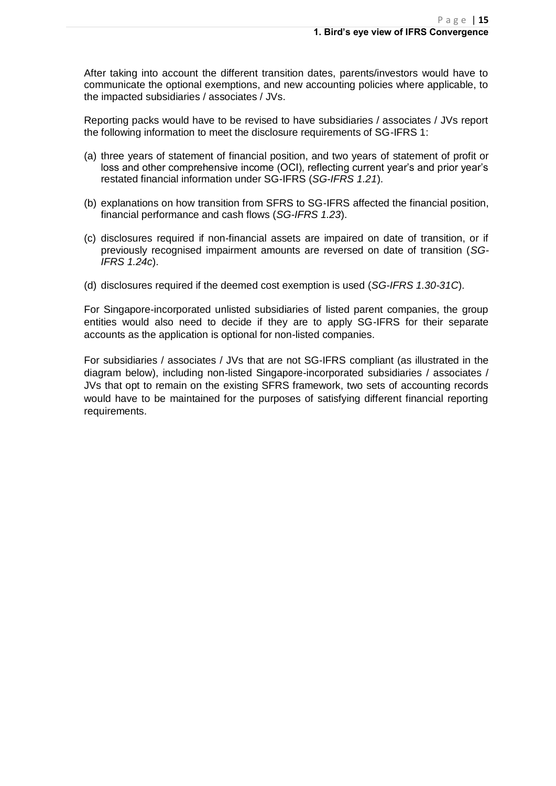After taking into account the different transition dates, parents/investors would have to communicate the optional exemptions, and new accounting policies where applicable, to the impacted subsidiaries / associates / JVs.

Reporting packs would have to be revised to have subsidiaries / associates / JVs report the following information to meet the disclosure requirements of SG-IFRS 1:

- (a) three years of statement of financial position, and two years of statement of profit or loss and other comprehensive income (OCI), reflecting current year's and prior year's restated financial information under SG-IFRS (*SG-IFRS 1.21*).
- (b) explanations on how transition from SFRS to SG-IFRS affected the financial position, financial performance and cash flows (*SG-IFRS 1.23*).
- (c) disclosures required if non-financial assets are impaired on date of transition, or if previously recognised impairment amounts are reversed on date of transition (*SG-IFRS 1.24c*).
- (d) disclosures required if the deemed cost exemption is used (*SG-IFRS 1.30-31C*).

For Singapore-incorporated unlisted subsidiaries of listed parent companies, the group entities would also need to decide if they are to apply SG-IFRS for their separate accounts as the application is optional for non-listed companies.

For subsidiaries / associates / JVs that are not SG-IFRS compliant (as illustrated in the diagram below), including non-listed Singapore-incorporated subsidiaries / associates / JVs that opt to remain on the existing SFRS framework, two sets of accounting records would have to be maintained for the purposes of satisfying different financial reporting requirements.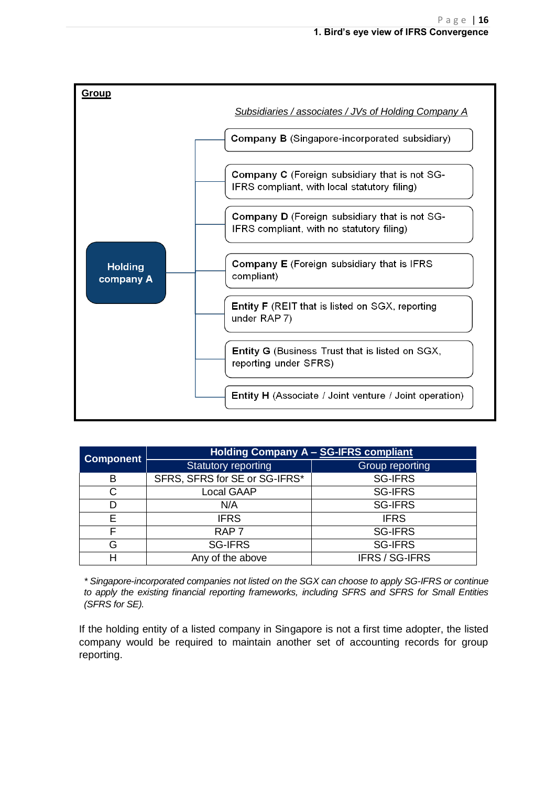

| <b>Component</b> | <b>Holding Company A - SG-IFRS compliant</b> |                 |  |
|------------------|----------------------------------------------|-----------------|--|
|                  | <b>Statutory reporting</b>                   | Group reporting |  |
| B                | SFRS, SFRS for SE or SG-IFRS*                | <b>SG-IFRS</b>  |  |
| C                | <b>Local GAAP</b>                            | <b>SG-IFRS</b>  |  |
| D                | N/A                                          | <b>SG-IFRS</b>  |  |
| E                | <b>IFRS</b>                                  | <b>IFRS</b>     |  |
| F                | RAP <sub>7</sub>                             | <b>SG-IFRS</b>  |  |
| G                | <b>SG-IFRS</b>                               | <b>SG-IFRS</b>  |  |
| Н                | Any of the above                             | IFRS / SG-IFRS  |  |

*\* Singapore-incorporated companies not listed on the SGX can choose to apply SG-IFRS or continue to apply the existing financial reporting frameworks, including SFRS and SFRS for Small Entities (SFRS for SE).*

If the holding entity of a listed company in Singapore is not a first time adopter, the listed company would be required to maintain another set of accounting records for group reporting.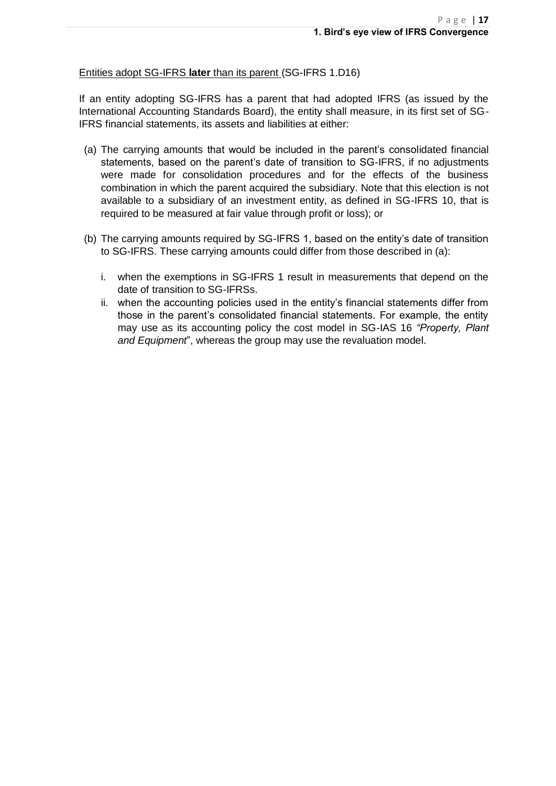#### Entities adopt SG-IFRS **later** than its parent (SG-IFRS 1.D16)

If an entity adopting SG-IFRS has a parent that had adopted IFRS (as issued by the International Accounting Standards Board), the entity shall measure, in its first set of SG-IFRS financial statements, its assets and liabilities at either:

- (a) The carrying amounts that would be included in the parent's consolidated financial statements, based on the parent's date of transition to SG-IFRS, if no adjustments were made for consolidation procedures and for the effects of the business combination in which the parent acquired the subsidiary. Note that this election is not available to a subsidiary of an investment entity, as defined in SG-IFRS 10, that is required to be measured at fair value through profit or loss); or
- (b) The carrying amounts required by SG-IFRS 1, based on the entity's date of transition to SG-IFRS. These carrying amounts could differ from those described in (a):
	- i. when the exemptions in SG-IFRS 1 result in measurements that depend on the date of transition to SG-IFRSs.
	- ii. when the accounting policies used in the entity's financial statements differ from those in the parent's consolidated financial statements. For example, the entity may use as its accounting policy the cost model in SG-IAS 16 *"Property, Plant and Equipment*", whereas the group may use the revaluation model.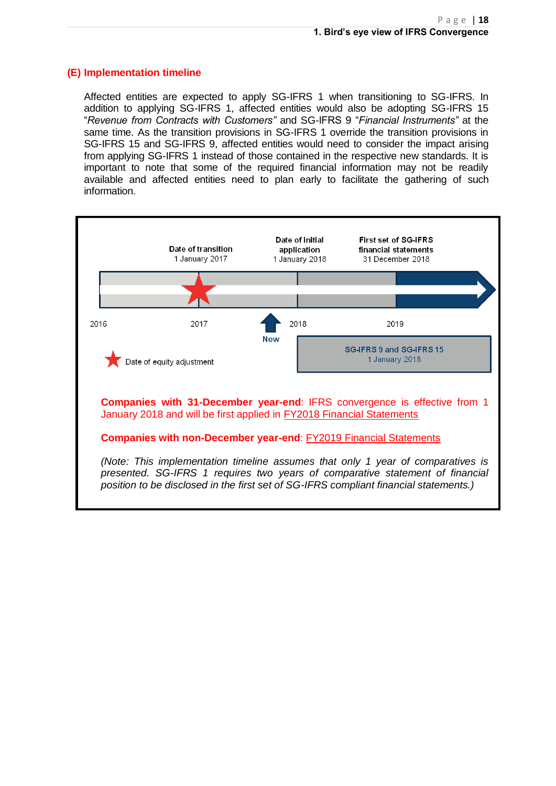#### **(E) Implementation timeline**

Affected entities are expected to apply SG-IFRS 1 when transitioning to SG-IFRS. In addition to applying SG-IFRS 1, affected entities would also be adopting SG-IFRS 15 "*Revenue from Contracts with Customers"* and SG-IFRS 9 "*Financial Instruments"* at the same time. As the transition provisions in SG-IFRS 1 override the transition provisions in SG-IFRS 15 and SG-IFRS 9, affected entities would need to consider the impact arising from applying SG-IFRS 1 instead of those contained in the respective new standards. It is important to note that some of the required financial information may not be readily available and affected entities need to plan early to facilitate the gathering of such information.

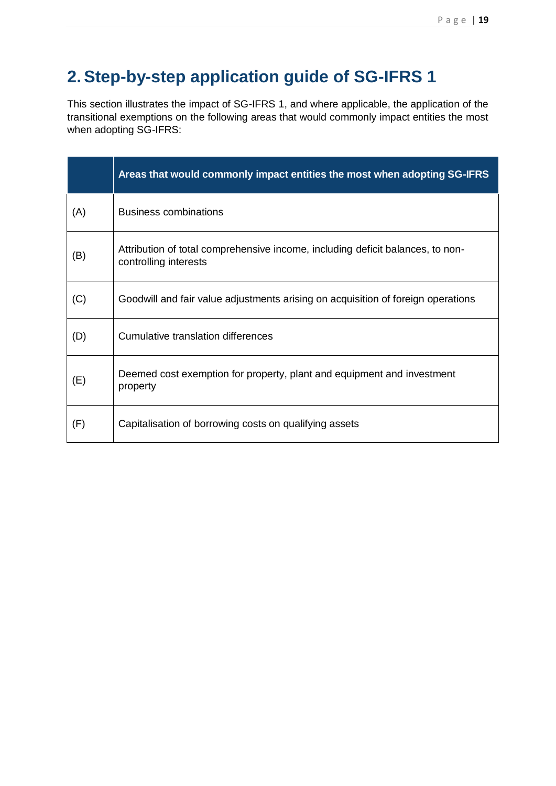# **2.Step-by-step application guide of SG-IFRS 1**

This section illustrates the impact of SG-IFRS 1, and where applicable, the application of the transitional exemptions on the following areas that would commonly impact entities the most when adopting SG-IFRS:

|     | Areas that would commonly impact entities the most when adopting SG-IFRS                                |
|-----|---------------------------------------------------------------------------------------------------------|
| (A) | <b>Business combinations</b>                                                                            |
| (B) | Attribution of total comprehensive income, including deficit balances, to non-<br>controlling interests |
| (C) | Goodwill and fair value adjustments arising on acquisition of foreign operations                        |
| (D) | Cumulative translation differences                                                                      |
| (E) | Deemed cost exemption for property, plant and equipment and investment<br>property                      |
| (F) | Capitalisation of borrowing costs on qualifying assets                                                  |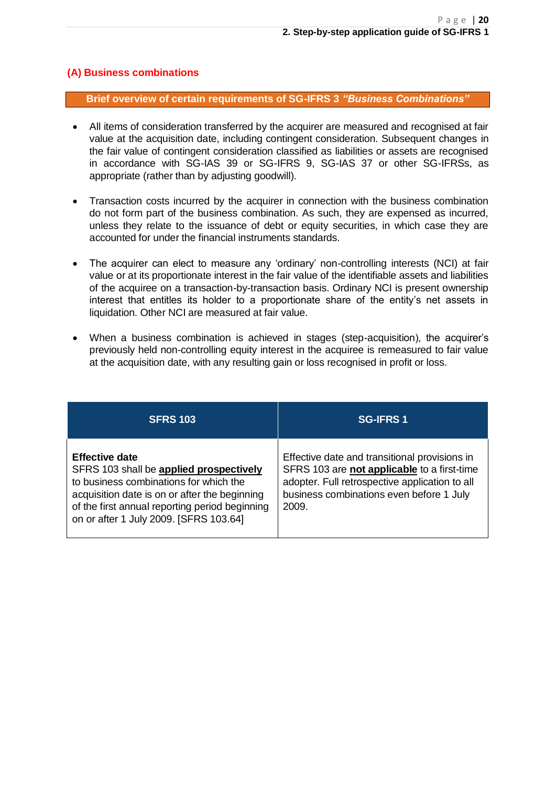#### **(A) Business combinations**

**Brief overview of certain requirements of SG-IFRS 3** *"Business Combinations"*

- All items of consideration transferred by the acquirer are measured and recognised at fair value at the acquisition date, including contingent consideration. Subsequent changes in the fair value of contingent consideration classified as liabilities or assets are recognised in accordance with SG-IAS 39 or SG-IFRS 9, SG-IAS 37 or other SG-IFRSs, as appropriate (rather than by adjusting goodwill).
- Transaction costs incurred by the acquirer in connection with the business combination do not form part of the business combination. As such, they are expensed as incurred, unless they relate to the issuance of debt or equity securities, in which case they are accounted for under the financial instruments standards.
- The acquirer can elect to measure any 'ordinary' non-controlling interests (NCI) at fair value or at its proportionate interest in the fair value of the identifiable assets and liabilities of the acquiree on a transaction-by-transaction basis. Ordinary NCI is present ownership interest that entitles its holder to a proportionate share of the entity's net assets in liquidation. Other NCI are measured at fair value.
- When a business combination is achieved in stages (step-acquisition), the acquirer's previously held non-controlling equity interest in the acquiree is remeasured to fair value at the acquisition date, with any resulting gain or loss recognised in profit or loss.

| <b>SFRS 103</b>                                                                                                                                                                                                                                         | <b>SG-IFRS 1</b>                                                                                                                                                                                    |
|---------------------------------------------------------------------------------------------------------------------------------------------------------------------------------------------------------------------------------------------------------|-----------------------------------------------------------------------------------------------------------------------------------------------------------------------------------------------------|
| <b>Effective date</b><br>SFRS 103 shall be applied prospectively<br>to business combinations for which the<br>acquisition date is on or after the beginning<br>of the first annual reporting period beginning<br>on or after 1 July 2009. [SFRS 103.64] | Effective date and transitional provisions in<br>SFRS 103 are not applicable to a first-time<br>adopter. Full retrospective application to all<br>business combinations even before 1 July<br>2009. |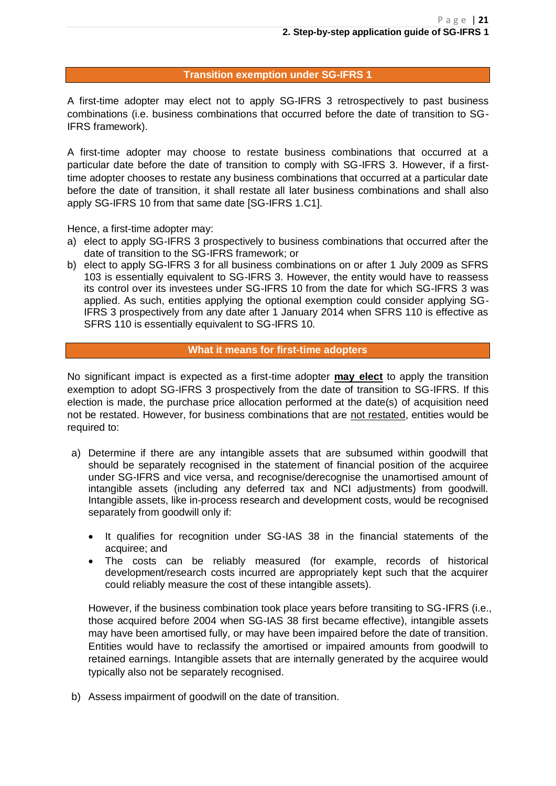#### **Transition exemption under SG-IFRS 1**

A first-time adopter may elect not to apply SG-IFRS 3 retrospectively to past business combinations (i.e. business combinations that occurred before the date of transition to SG-IFRS framework).

A first-time adopter may choose to restate business combinations that occurred at a particular date before the date of transition to comply with SG-IFRS 3. However, if a firsttime adopter chooses to restate any business combinations that occurred at a particular date before the date of transition, it shall restate all later business combinations and shall also apply SG-IFRS 10 from that same date [SG-IFRS 1.C1].

Hence, a first-time adopter may:

- a) elect to apply SG-IFRS 3 prospectively to business combinations that occurred after the date of transition to the SG-IFRS framework; or
- b) elect to apply SG-IFRS 3 for all business combinations on or after 1 July 2009 as SFRS 103 is essentially equivalent to SG-IFRS 3. However, the entity would have to reassess its control over its investees under SG-IFRS 10 from the date for which SG-IFRS 3 was applied. As such, entities applying the optional exemption could consider applying SG-IFRS 3 prospectively from any date after 1 January 2014 when SFRS 110 is effective as SFRS 110 is essentially equivalent to SG-IFRS 10.

#### **What it means for first-time adopters**

No significant impact is expected as a first-time adopter **may elect** to apply the transition exemption to adopt SG-IFRS 3 prospectively from the date of transition to SG-IFRS. If this election is made, the purchase price allocation performed at the date(s) of acquisition need not be restated. However, for business combinations that are not restated, entities would be required to:

- a) Determine if there are any intangible assets that are subsumed within goodwill that should be separately recognised in the statement of financial position of the acquiree under SG-IFRS and vice versa, and recognise/derecognise the unamortised amount of intangible assets (including any deferred tax and NCI adjustments) from goodwill. Intangible assets, like in-process research and development costs, would be recognised separately from goodwill only if:
	- It qualifies for recognition under SG-IAS 38 in the financial statements of the acquiree; and
	- The costs can be reliably measured (for example, records of historical development/research costs incurred are appropriately kept such that the acquirer could reliably measure the cost of these intangible assets).

However, if the business combination took place years before transiting to SG-IFRS (i.e., those acquired before 2004 when SG-IAS 38 first became effective), intangible assets may have been amortised fully, or may have been impaired before the date of transition. Entities would have to reclassify the amortised or impaired amounts from goodwill to retained earnings. Intangible assets that are internally generated by the acquiree would typically also not be separately recognised.

b) Assess impairment of goodwill on the date of transition.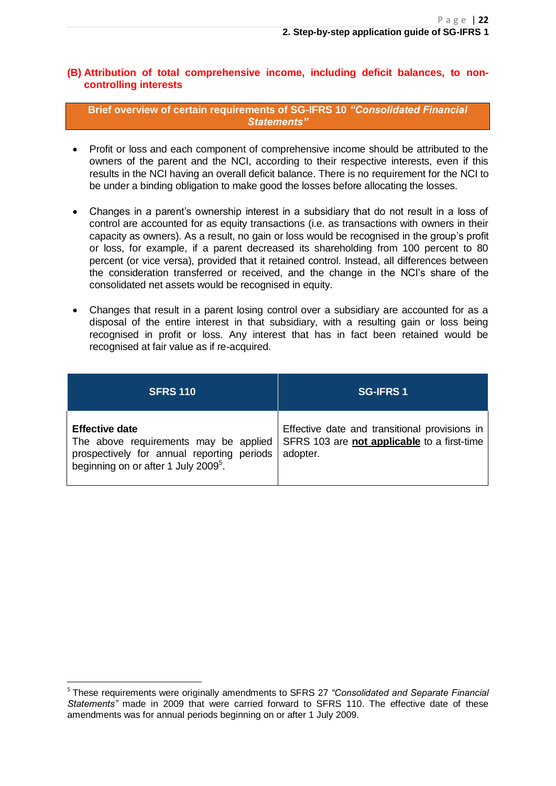#### **(B) Attribution of total comprehensive income, including deficit balances, to noncontrolling interests**

**Brief overview of certain requirements of SG-IFRS 10** *"Consolidated Financial Statements"*

- Profit or loss and each component of comprehensive income should be attributed to the owners of the parent and the NCI, according to their respective interests, even if this results in the NCI having an overall deficit balance. There is no requirement for the NCI to be under a binding obligation to make good the losses before allocating the losses.
- Changes in a parent's ownership interest in a subsidiary that do not result in a loss of control are accounted for as equity transactions (i.e. as transactions with owners in their capacity as owners). As a result, no gain or loss would be recognised in the group's profit or loss, for example, if a parent decreased its shareholding from 100 percent to 80 percent (or vice versa), provided that it retained control. Instead, all differences between the consideration transferred or received, and the change in the NCI's share of the consolidated net assets would be recognised in equity.
- Changes that result in a parent losing control over a subsidiary are accounted for as a disposal of the entire interest in that subsidiary, with a resulting gain or loss being recognised in profit or loss. Any interest that has in fact been retained would be recognised at fair value as if re-acquired.

| <b>SFRS 110</b>                                  | <b>SG-IFRS 1</b>                                                                  |
|--------------------------------------------------|-----------------------------------------------------------------------------------|
| <b>Effective date</b>                            | Effective date and transitional provisions in                                     |
| prospectively for annual reporting periods       | The above requirements may be applied SFRS 103 are not applicable to a first-time |
| beginning on or after 1 July 2009 <sup>5</sup> . | adopter.                                                                          |

**<sup>.</sup>** 5 These requirements were originally amendments to SFRS 27 *"Consolidated and Separate Financial Statements"* made in 2009 that were carried forward to SFRS 110. The effective date of these amendments was for annual periods beginning on or after 1 July 2009.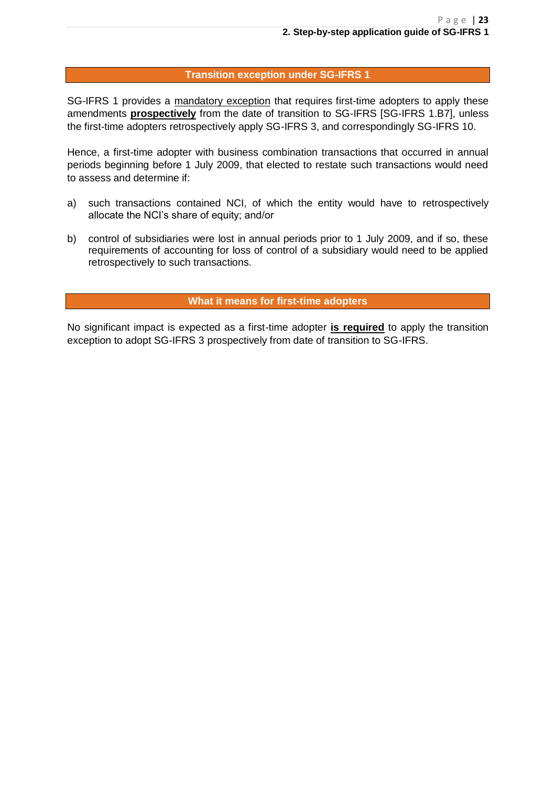#### **Transition exception under SG-IFRS 1**

SG-IFRS 1 provides a mandatory exception that requires first-time adopters to apply these amendments **prospectively** from the date of transition to SG-IFRS [SG-IFRS 1.B7], unless the first-time adopters retrospectively apply SG-IFRS 3, and correspondingly SG-IFRS 10.

Hence, a first-time adopter with business combination transactions that occurred in annual periods beginning before 1 July 2009, that elected to restate such transactions would need to assess and determine if:

- a) such transactions contained NCI, of which the entity would have to retrospectively allocate the NCI's share of equity; and/or
- b) control of subsidiaries were lost in annual periods prior to 1 July 2009, and if so, these requirements of accounting for loss of control of a subsidiary would need to be applied retrospectively to such transactions.

**What it means for first-time adopters**

No significant impact is expected as a first-time adopter **is required** to apply the transition exception to adopt SG-IFRS 3 prospectively from date of transition to SG-IFRS.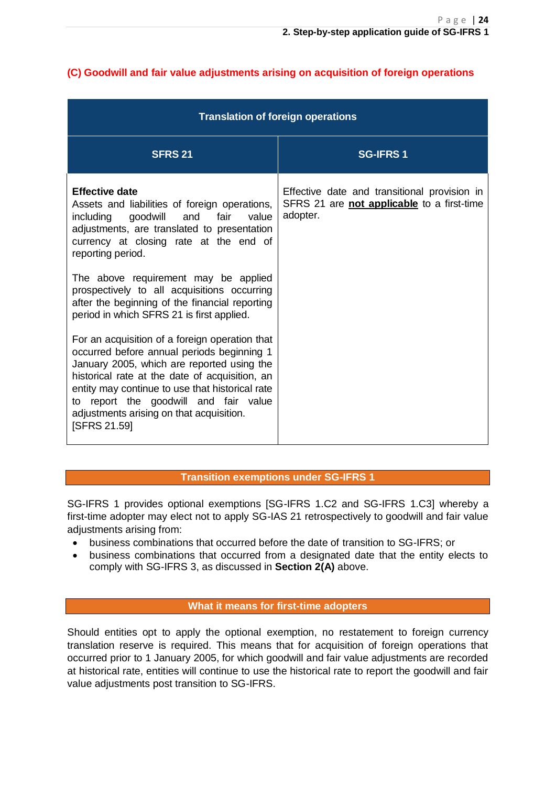|                                                                                                                                                                                                                                                                                                                                                                                                                                                                                                                                                                                                                                                                                                                                                                            | <b>Translation of foreign operations</b>                                                               |
|----------------------------------------------------------------------------------------------------------------------------------------------------------------------------------------------------------------------------------------------------------------------------------------------------------------------------------------------------------------------------------------------------------------------------------------------------------------------------------------------------------------------------------------------------------------------------------------------------------------------------------------------------------------------------------------------------------------------------------------------------------------------------|--------------------------------------------------------------------------------------------------------|
| <b>SFRS 21</b>                                                                                                                                                                                                                                                                                                                                                                                                                                                                                                                                                                                                                                                                                                                                                             | <b>SG-IFRS1</b>                                                                                        |
| <b>Effective date</b><br>Assets and liabilities of foreign operations,<br>including goodwill and fair<br>value<br>adjustments, are translated to presentation<br>currency at closing rate at the end of<br>reporting period.<br>The above requirement may be applied<br>prospectively to all acquisitions occurring<br>after the beginning of the financial reporting<br>period in which SFRS 21 is first applied.<br>For an acquisition of a foreign operation that<br>occurred before annual periods beginning 1<br>January 2005, which are reported using the<br>historical rate at the date of acquisition, an<br>entity may continue to use that historical rate<br>to report the goodwill and fair value<br>adjustments arising on that acquisition.<br>[SFRS 21.59] | Effective date and transitional provision in<br>SFRS 21 are not applicable to a first-time<br>adopter. |

### **(C) Goodwill and fair value adjustments arising on acquisition of foreign operations**

#### **Transition exemptions under SG-IFRS 1**

SG-IFRS 1 provides optional exemptions [SG-IFRS 1.C2 and SG-IFRS 1.C3] whereby a first-time adopter may elect not to apply SG-IAS 21 retrospectively to goodwill and fair value adiustments arising from:

- business combinations that occurred before the date of transition to SG-IFRS; or
- business combinations that occurred from a designated date that the entity elects to comply with SG-IFRS 3, as discussed in **Section 2(A)** above.

#### **What it means for first-time adopters**

Should entities opt to apply the optional exemption, no restatement to foreign currency translation reserve is required. This means that for acquisition of foreign operations that occurred prior to 1 January 2005, for which goodwill and fair value adjustments are recorded at historical rate, entities will continue to use the historical rate to report the goodwill and fair value adjustments post transition to SG-IFRS.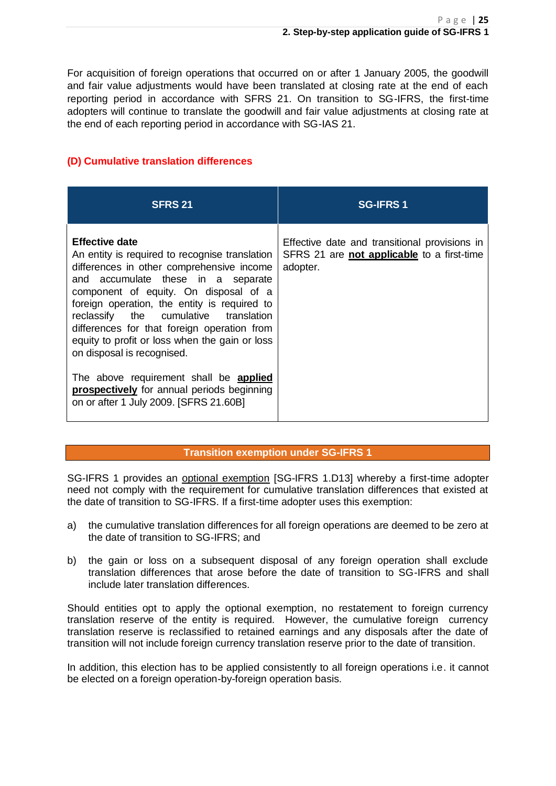For acquisition of foreign operations that occurred on or after 1 January 2005, the goodwill and fair value adjustments would have been translated at closing rate at the end of each reporting period in accordance with SFRS 21. On transition to SG-IFRS, the first-time adopters will continue to translate the goodwill and fair value adjustments at closing rate at the end of each reporting period in accordance with SG-IAS 21.

### **(D) Cumulative translation differences**

| <b>SFRS 21</b>                                                                                                                                                                                                                                                                                                                                                                                                                                                                                                                                                       | <b>SG-IFRS1</b>                                                                                         |
|----------------------------------------------------------------------------------------------------------------------------------------------------------------------------------------------------------------------------------------------------------------------------------------------------------------------------------------------------------------------------------------------------------------------------------------------------------------------------------------------------------------------------------------------------------------------|---------------------------------------------------------------------------------------------------------|
| <b>Effective date</b><br>An entity is required to recognise translation<br>differences in other comprehensive income<br>and accumulate these in a separate<br>component of equity. On disposal of a<br>foreign operation, the entity is required to<br>reclassify the cumulative translation<br>differences for that foreign operation from<br>equity to profit or loss when the gain or loss<br>on disposal is recognised.<br>The above requirement shall be applied<br><b>prospectively</b> for annual periods beginning<br>on or after 1 July 2009. [SFRS 21.60B] | Effective date and transitional provisions in<br>SFRS 21 are not applicable to a first-time<br>adopter. |

#### **Transition exemption under SG-IFRS 1**

SG-IFRS 1 provides an optional exemption [SG-IFRS 1.D13] whereby a first-time adopter need not comply with the requirement for cumulative translation differences that existed at the date of transition to SG-IFRS. If a first-time adopter uses this exemption:

- a) the cumulative translation differences for all foreign operations are deemed to be zero at the date of transition to SG-IFRS; and
- b) the gain or loss on a subsequent disposal of any foreign operation shall exclude translation differences that arose before the date of transition to SG-IFRS and shall include later translation differences.

Should entities opt to apply the optional exemption, no restatement to foreign currency translation reserve of the entity is required. However, the cumulative foreign currency translation reserve is reclassified to retained earnings and any disposals after the date of transition will not include foreign currency translation reserve prior to the date of transition.

In addition, this election has to be applied consistently to all foreign operations i.e. it cannot be elected on a foreign operation-by-foreign operation basis.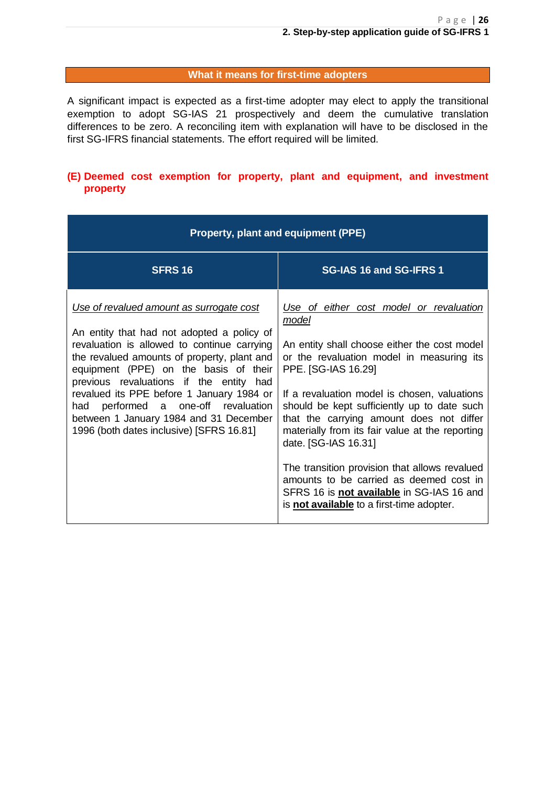#### **What it means for first-time adopters**

A significant impact is expected as a first-time adopter may elect to apply the transitional exemption to adopt SG-IAS 21 prospectively and deem the cumulative translation differences to be zero. A reconciling item with explanation will have to be disclosed in the first SG-IFRS financial statements. The effort required will be limited.

#### **(E) Deemed cost exemption for property, plant and equipment, and investment property**

| Property, plant and equipment (PPE)                                                                                                                                                                                                                                                                                                                                                                                                                |                                                                                                                                                                                                                                                                                                                                                                                                                                                                                                                                                                                  |  |  |
|----------------------------------------------------------------------------------------------------------------------------------------------------------------------------------------------------------------------------------------------------------------------------------------------------------------------------------------------------------------------------------------------------------------------------------------------------|----------------------------------------------------------------------------------------------------------------------------------------------------------------------------------------------------------------------------------------------------------------------------------------------------------------------------------------------------------------------------------------------------------------------------------------------------------------------------------------------------------------------------------------------------------------------------------|--|--|
| <b>SFRS 16</b>                                                                                                                                                                                                                                                                                                                                                                                                                                     | SG-IAS 16 and SG-IFRS 1                                                                                                                                                                                                                                                                                                                                                                                                                                                                                                                                                          |  |  |
| Use of revalued amount as surrogate cost<br>An entity that had not adopted a policy of<br>revaluation is allowed to continue carrying<br>the revalued amounts of property, plant and<br>equipment (PPE) on the basis of their<br>previous revaluations if the entity had<br>revalued its PPE before 1 January 1984 or<br>had performed a one-off revaluation<br>between 1 January 1984 and 31 December<br>1996 (both dates inclusive) [SFRS 16.81] | Use of either cost model or revaluation<br>model<br>An entity shall choose either the cost model<br>or the revaluation model in measuring its<br>PPE. [SG-IAS 16.29]<br>If a revaluation model is chosen, valuations<br>should be kept sufficiently up to date such<br>that the carrying amount does not differ<br>materially from its fair value at the reporting<br>date. [SG-IAS 16.31]<br>The transition provision that allows revalued<br>amounts to be carried as deemed cost in<br>SFRS 16 is not available in SG-IAS 16 and<br>is not available to a first-time adopter. |  |  |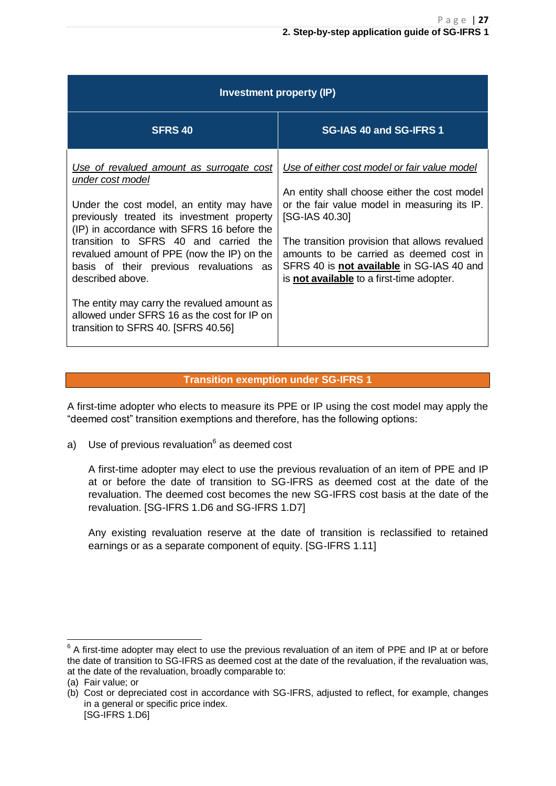| Investment property (IP)                                                                                                                                                                                                                                                                                                                                                                                                                                                                        |                                                                                                                                                                                                                                                                                                                                                                    |  |  |
|-------------------------------------------------------------------------------------------------------------------------------------------------------------------------------------------------------------------------------------------------------------------------------------------------------------------------------------------------------------------------------------------------------------------------------------------------------------------------------------------------|--------------------------------------------------------------------------------------------------------------------------------------------------------------------------------------------------------------------------------------------------------------------------------------------------------------------------------------------------------------------|--|--|
| <b>SFRS 40</b>                                                                                                                                                                                                                                                                                                                                                                                                                                                                                  | SG-IAS 40 and SG-IFRS 1                                                                                                                                                                                                                                                                                                                                            |  |  |
| Use of revalued amount as surrogate cost<br>under cost model<br>Under the cost model, an entity may have<br>previously treated its investment property<br>(IP) in accordance with SFRS 16 before the<br>transition to SFRS 40 and carried the<br>revalued amount of PPE (now the IP) on the<br>basis of their previous revaluations as<br>described above.<br>The entity may carry the revalued amount as<br>allowed under SFRS 16 as the cost for IP on<br>transition to SFRS 40. [SFRS 40.56] | Use of either cost model or fair value model<br>An entity shall choose either the cost model<br>or the fair value model in measuring its IP.<br>[SG-IAS 40.30]<br>The transition provision that allows revalued<br>amounts to be carried as deemed cost in<br>SFRS 40 is <b>not available</b> in SG-IAS 40 and<br>is <b>not available</b> to a first-time adopter. |  |  |

#### **Transition exemption under SG-IFRS 1**

A first-time adopter who elects to measure its PPE or IP using the cost model may apply the "deemed cost" transition exemptions and therefore, has the following options:

a) Use of previous revaluation<sup>6</sup> as deemed cost

A first-time adopter may elect to use the previous revaluation of an item of PPE and IP at or before the date of transition to SG-IFRS as deemed cost at the date of the revaluation. The deemed cost becomes the new SG-IFRS cost basis at the date of the revaluation. [SG-IFRS 1.D6 and SG-IFRS 1.D7]

Any existing revaluation reserve at the date of transition is reclassified to retained earnings or as a separate component of equity. [SG-IFRS 1.11]

 $\overline{\phantom{a}}$  $6$  A first-time adopter may elect to use the previous revaluation of an item of PPE and IP at or before the date of transition to SG-IFRS as deemed cost at the date of the revaluation, if the revaluation was, at the date of the revaluation, broadly comparable to:

<sup>(</sup>a) Fair value; or

<sup>(</sup>b) Cost or depreciated cost in accordance with SG-IFRS, adjusted to reflect, for example, changes in a general or specific price index. [SG-IFRS 1.D6]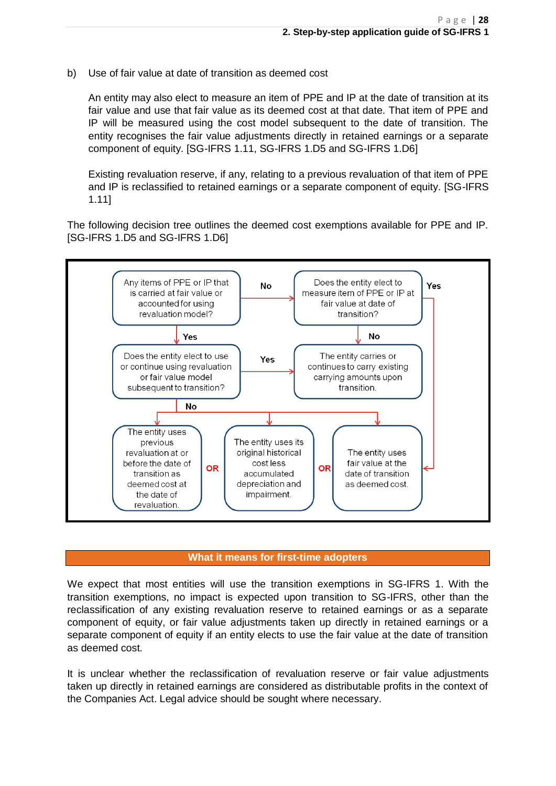b) Use of fair value at date of transition as deemed cost

An entity may also elect to measure an item of PPE and IP at the date of transition at its fair value and use that fair value as its deemed cost at that date. That item of PPE and IP will be measured using the cost model subsequent to the date of transition. The entity recognises the fair value adjustments directly in retained earnings or a separate component of equity. [SG-IFRS 1.11, SG-IFRS 1.D5 and SG-IFRS 1.D6]

Existing revaluation reserve, if any, relating to a previous revaluation of that item of PPE and IP is reclassified to retained earnings or a separate component of equity. [SG-IFRS 1.11]

The following decision tree outlines the deemed cost exemptions available for PPE and IP. [SG-IFRS 1.D5 and SG-IFRS 1.D6]



#### **What it means for first-time adopters**

We expect that most entities will use the transition exemptions in SG-IFRS 1. With the transition exemptions, no impact is expected upon transition to SG-IFRS, other than the reclassification of any existing revaluation reserve to retained earnings or as a separate component of equity, or fair value adjustments taken up directly in retained earnings or a separate component of equity if an entity elects to use the fair value at the date of transition as deemed cost.

It is unclear whether the reclassification of revaluation reserve or fair value adjustments taken up directly in retained earnings are considered as distributable profits in the context of the Companies Act. Legal advice should be sought where necessary.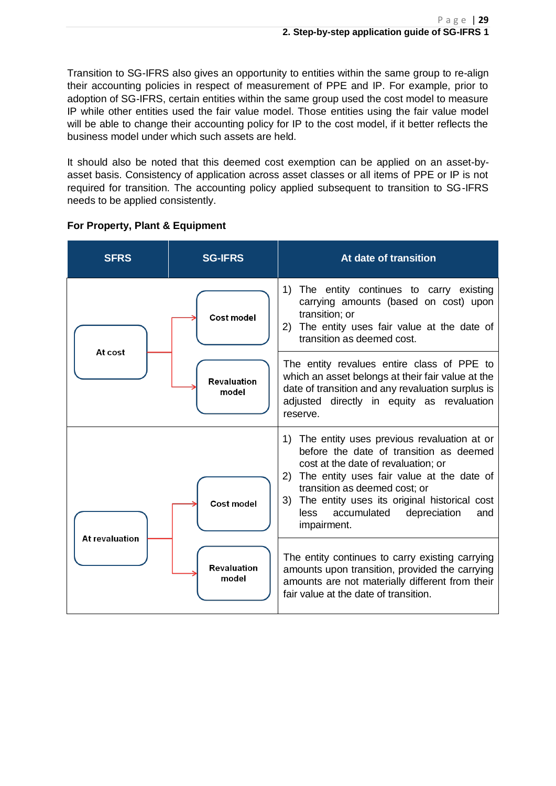Transition to SG-IFRS also gives an opportunity to entities within the same group to re-align their accounting policies in respect of measurement of PPE and IP. For example, prior to adoption of SG-IFRS, certain entities within the same group used the cost model to measure IP while other entities used the fair value model. Those entities using the fair value model will be able to change their accounting policy for IP to the cost model, if it better reflects the business model under which such assets are held.

It should also be noted that this deemed cost exemption can be applied on an asset-byasset basis. Consistency of application across asset classes or all items of PPE or IP is not required for transition. The accounting policy applied subsequent to transition to SG-IFRS needs to be applied consistently.

| <b>SFRS</b>           | <b>SG-IFRS</b>              | At date of transition                                                                                                                                                                                                                                                                                                                  |
|-----------------------|-----------------------------|----------------------------------------------------------------------------------------------------------------------------------------------------------------------------------------------------------------------------------------------------------------------------------------------------------------------------------------|
| At cost               | <b>Cost model</b>           | The entity continues to carry existing<br>1)<br>carrying amounts (based on cost) upon<br>transition; or<br>2) The entity uses fair value at the date of<br>transition as deemed cost.                                                                                                                                                  |
|                       | <b>Revaluation</b><br>model | The entity revalues entire class of PPE to<br>which an asset belongs at their fair value at the<br>date of transition and any revaluation surplus is<br>adjusted directly in equity as revaluation<br>reserve.                                                                                                                         |
|                       | <b>Cost model</b>           | The entity uses previous revaluation at or<br>1)<br>before the date of transition as deemed<br>cost at the date of revaluation; or<br>The entity uses fair value at the date of<br>2)<br>transition as deemed cost; or<br>3) The entity uses its original historical cost<br>depreciation<br>accumulated<br>less<br>and<br>impairment. |
| <b>At revaluation</b> | <b>Revaluation</b><br>model | The entity continues to carry existing carrying<br>amounts upon transition, provided the carrying<br>amounts are not materially different from their<br>fair value at the date of transition.                                                                                                                                          |

### **For Property, Plant & Equipment**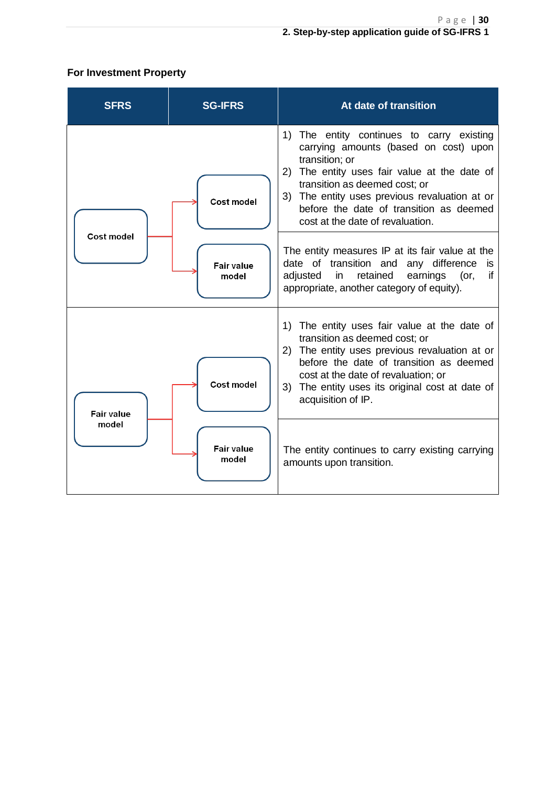### **For Investment Property**

| <b>SFRS</b>       | <b>SG-IFRS</b>             | At date of transition                                                                                                                                                                                                                                                                                                 |
|-------------------|----------------------------|-----------------------------------------------------------------------------------------------------------------------------------------------------------------------------------------------------------------------------------------------------------------------------------------------------------------------|
|                   | <b>Cost model</b>          | 1) The entity continues to carry existing<br>carrying amounts (based on cost) upon<br>transition; or<br>2) The entity uses fair value at the date of<br>transition as deemed cost; or<br>3) The entity uses previous revaluation at or<br>before the date of transition as deemed<br>cost at the date of revaluation. |
| <b>Cost model</b> | <b>Fair value</b><br>model | The entity measures IP at its fair value at the<br>date of transition and<br>any difference<br>is<br>if<br>adjusted<br>retained<br>earnings<br>in<br>(or,<br>appropriate, another category of equity).                                                                                                                |
| <b>Fair value</b> | <b>Cost model</b>          | 1) The entity uses fair value at the date of<br>transition as deemed cost; or<br>2) The entity uses previous revaluation at or<br>before the date of transition as deemed<br>cost at the date of revaluation; or<br>3) The entity uses its original cost at date of<br>acquisition of IP.                             |
| model             | <b>Fair value</b><br>model | The entity continues to carry existing carrying<br>amounts upon transition.                                                                                                                                                                                                                                           |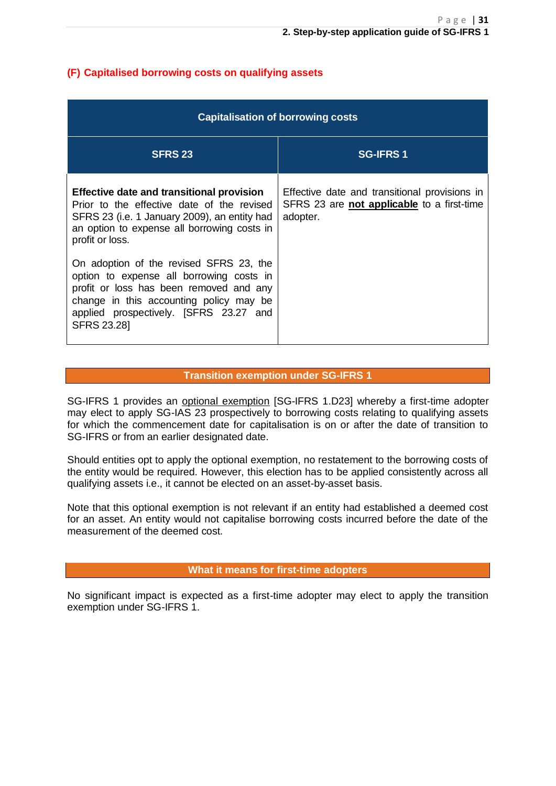### **(F) Capitalised borrowing costs on qualifying assets**

| <b>Capitalisation of borrowing costs</b>                                                                                                                                                                                           |                                                                                                                |  |  |
|------------------------------------------------------------------------------------------------------------------------------------------------------------------------------------------------------------------------------------|----------------------------------------------------------------------------------------------------------------|--|--|
| <b>SFRS 23</b>                                                                                                                                                                                                                     | <b>SG-IFRS1</b>                                                                                                |  |  |
| <b>Effective date and transitional provision</b><br>Prior to the effective date of the revised<br>SFRS 23 (i.e. 1 January 2009), an entity had<br>an option to expense all borrowing costs in<br>profit or loss.                   | Effective date and transitional provisions in<br>SFRS 23 are <b>not applicable</b> to a first-time<br>adopter. |  |  |
| On adoption of the revised SFRS 23, the<br>option to expense all borrowing costs in<br>profit or loss has been removed and any<br>change in this accounting policy may be<br>applied prospectively. [SFRS 23.27 and<br>SFRS 23.28] |                                                                                                                |  |  |

#### **Transition exemption under SG-IFRS 1**

SG-IFRS 1 provides an optional exemption [SG-IFRS 1.D23] whereby a first-time adopter may elect to apply SG-IAS 23 prospectively to borrowing costs relating to qualifying assets for which the commencement date for capitalisation is on or after the date of transition to SG-IFRS or from an earlier designated date.

Should entities opt to apply the optional exemption, no restatement to the borrowing costs of the entity would be required. However, this election has to be applied consistently across all qualifying assets i.e., it cannot be elected on an asset-by-asset basis.

Note that this optional exemption is not relevant if an entity had established a deemed cost for an asset. An entity would not capitalise borrowing costs incurred before the date of the measurement of the deemed cost.

#### **What it means for first-time adopters**

No significant impact is expected as a first-time adopter may elect to apply the transition exemption under SG-IFRS 1.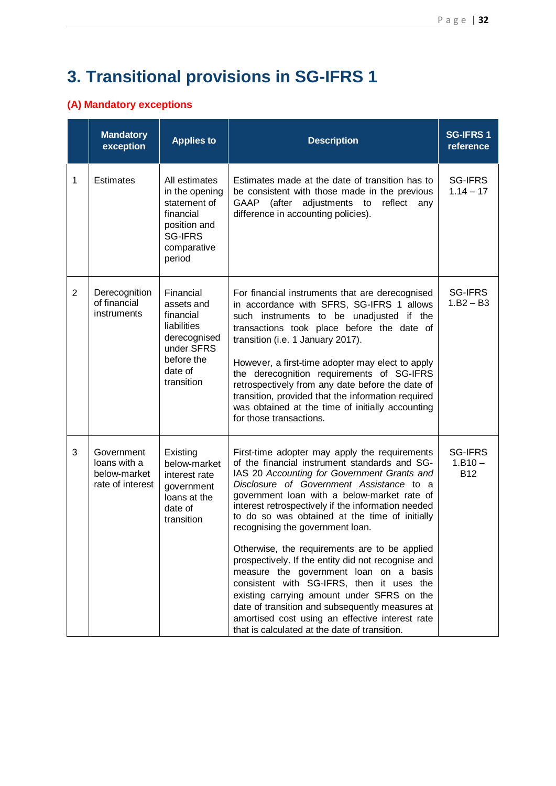# **3. Transitional provisions in SG-IFRS 1**

### **(A) Mandatory exceptions**

|                | <b>Mandatory</b><br>exception                                  | <b>Applies to</b>                                                                                                        | <b>Description</b>                                                                                                                                                                                                                                                                                                                                                                                                                                                                                                                                                                                                                                                                                                                                                                      | <b>SG-IFRS1</b><br>reference              |
|----------------|----------------------------------------------------------------|--------------------------------------------------------------------------------------------------------------------------|-----------------------------------------------------------------------------------------------------------------------------------------------------------------------------------------------------------------------------------------------------------------------------------------------------------------------------------------------------------------------------------------------------------------------------------------------------------------------------------------------------------------------------------------------------------------------------------------------------------------------------------------------------------------------------------------------------------------------------------------------------------------------------------------|-------------------------------------------|
| 1              | <b>Estimates</b>                                               | All estimates<br>in the opening<br>statement of<br>financial<br>position and<br><b>SG-IFRS</b><br>comparative<br>period  | Estimates made at the date of transition has to<br>be consistent with those made in the previous<br>GAAP<br>(after<br>adjustments to<br>reflect<br>any<br>difference in accounting policies).                                                                                                                                                                                                                                                                                                                                                                                                                                                                                                                                                                                           | <b>SG-IFRS</b><br>$1.14 - 17$             |
| $\overline{2}$ | Derecognition<br>of financial<br>instruments                   | Financial<br>assets and<br>financial<br>liabilities<br>derecognised<br>under SFRS<br>before the<br>date of<br>transition | For financial instruments that are derecognised<br>in accordance with SFRS, SG-IFRS 1 allows<br>such instruments to be unadjusted if the<br>transactions took place before the date of<br>transition (i.e. 1 January 2017).<br>However, a first-time adopter may elect to apply<br>the derecognition requirements of SG-IFRS<br>retrospectively from any date before the date of<br>transition, provided that the information required<br>was obtained at the time of initially accounting<br>for those transactions.                                                                                                                                                                                                                                                                   | <b>SG-IFRS</b><br>$1.B2 - B3$             |
| 3              | Government<br>loans with a<br>below-market<br>rate of interest | Existing<br>below-market<br>interest rate<br>government<br>loans at the<br>date of<br>transition                         | First-time adopter may apply the requirements<br>of the financial instrument standards and SG-<br>IAS 20 Accounting for Government Grants and<br>Disclosure of Government Assistance to a<br>government loan with a below-market rate of<br>interest retrospectively if the information needed<br>to do so was obtained at the time of initially<br>recognising the government loan.<br>Otherwise, the requirements are to be applied<br>prospectively. If the entity did not recognise and<br>measure the government loan on a basis<br>consistent with SG-IFRS, then it uses the<br>existing carrying amount under SFRS on the<br>date of transition and subsequently measures at<br>amortised cost using an effective interest rate<br>that is calculated at the date of transition. | <b>SG-IFRS</b><br>$1.B10 -$<br><b>B12</b> |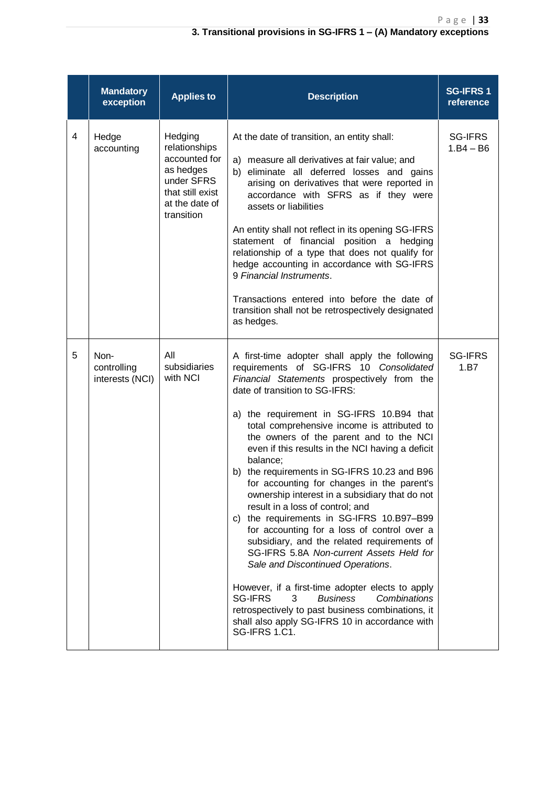|   | <b>Mandatory</b><br>exception          | <b>Applies to</b>                                                                                                        | <b>Description</b>                                                                                                                                                                                                                                                                                                                                                                                                                                                                                                                                                                                                                                                                                                                                                                                                                                                                                                                                                                                                                      | <b>SG-IFRS 1</b><br>reference |
|---|----------------------------------------|--------------------------------------------------------------------------------------------------------------------------|-----------------------------------------------------------------------------------------------------------------------------------------------------------------------------------------------------------------------------------------------------------------------------------------------------------------------------------------------------------------------------------------------------------------------------------------------------------------------------------------------------------------------------------------------------------------------------------------------------------------------------------------------------------------------------------------------------------------------------------------------------------------------------------------------------------------------------------------------------------------------------------------------------------------------------------------------------------------------------------------------------------------------------------------|-------------------------------|
| 4 | Hedge<br>accounting                    | Hedging<br>relationships<br>accounted for<br>as hedges<br>under SFRS<br>that still exist<br>at the date of<br>transition | At the date of transition, an entity shall:<br>a) measure all derivatives at fair value; and<br>b) eliminate all deferred losses and gains<br>arising on derivatives that were reported in<br>accordance with SFRS as if they were<br>assets or liabilities<br>An entity shall not reflect in its opening SG-IFRS<br>statement of financial position a hedging<br>relationship of a type that does not qualify for<br>hedge accounting in accordance with SG-IFRS<br>9 Financial Instruments.<br>Transactions entered into before the date of<br>transition shall not be retrospectively designated<br>as hedges.                                                                                                                                                                                                                                                                                                                                                                                                                       | SG-IFRS<br>$1.B4 - B6$        |
| 5 | Non-<br>controlling<br>interests (NCI) | All<br>subsidiaries<br>with NCI                                                                                          | A first-time adopter shall apply the following<br>requirements of SG-IFRS 10 Consolidated<br>Financial Statements prospectively from the<br>date of transition to SG-IFRS:<br>a) the requirement in SG-IFRS 10.B94 that<br>total comprehensive income is attributed to<br>the owners of the parent and to the NCI<br>even if this results in the NCI having a deficit<br>balance;<br>b) the requirements in SG-IFRS 10.23 and B96<br>for accounting for changes in the parent's<br>ownership interest in a subsidiary that do not<br>result in a loss of control; and<br>c) the requirements in SG-IFRS 10.B97-B99<br>for accounting for a loss of control over a<br>subsidiary, and the related requirements of<br>SG-IFRS 5.8A Non-current Assets Held for<br>Sale and Discontinued Operations.<br>However, if a first-time adopter elects to apply<br><b>SG-IFRS</b><br>3<br><b>Business</b><br>Combinations<br>retrospectively to past business combinations, it<br>shall also apply SG-IFRS 10 in accordance with<br>SG-IFRS 1.C1. | <b>SG-IFRS</b><br>1.B7        |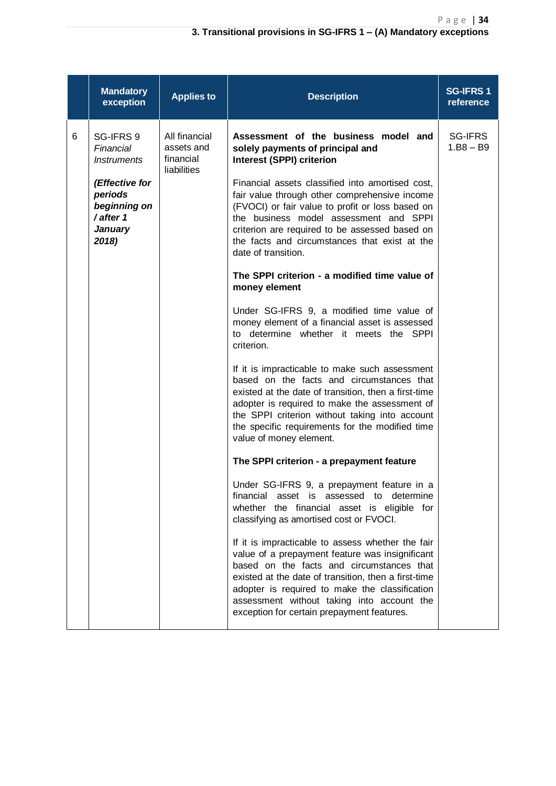#### **3. Transitional provisions in SG-IFRS 1 – (A) Mandatory exceptions**

|   | <b>Mandatory</b><br>exception                                                                                                     | <b>Applies to</b>                                       | <b>Description</b>                                                                                                                                                                                                                                                                                                                                                                                                                                                                                                                                                                                                                                                                                                                                                                                                                                                                                                                                                                                                                                                                                                                                                                                                                                                                                                                                                                                                                                                                                                                                                                                     | <b>SG-IFRS1</b><br>reference |
|---|-----------------------------------------------------------------------------------------------------------------------------------|---------------------------------------------------------|--------------------------------------------------------------------------------------------------------------------------------------------------------------------------------------------------------------------------------------------------------------------------------------------------------------------------------------------------------------------------------------------------------------------------------------------------------------------------------------------------------------------------------------------------------------------------------------------------------------------------------------------------------------------------------------------------------------------------------------------------------------------------------------------------------------------------------------------------------------------------------------------------------------------------------------------------------------------------------------------------------------------------------------------------------------------------------------------------------------------------------------------------------------------------------------------------------------------------------------------------------------------------------------------------------------------------------------------------------------------------------------------------------------------------------------------------------------------------------------------------------------------------------------------------------------------------------------------------------|------------------------------|
| 6 | SG-IFRS 9<br>Financial<br><b>Instruments</b><br>(Effective for<br>periods<br>beginning on<br>/ after 1<br><b>January</b><br>2018) | All financial<br>assets and<br>financial<br>liabilities | Assessment of the business model and<br>solely payments of principal and<br><b>Interest (SPPI) criterion</b><br>Financial assets classified into amortised cost,<br>fair value through other comprehensive income<br>(FVOCI) or fair value to profit or loss based on<br>the business model assessment and SPPI<br>criterion are required to be assessed based on<br>the facts and circumstances that exist at the<br>date of transition.<br>The SPPI criterion - a modified time value of<br>money element<br>Under SG-IFRS 9, a modified time value of<br>money element of a financial asset is assessed<br>to determine whether it meets the SPPI<br>criterion.<br>If it is impracticable to make such assessment<br>based on the facts and circumstances that<br>existed at the date of transition, then a first-time<br>adopter is required to make the assessment of<br>the SPPI criterion without taking into account<br>the specific requirements for the modified time<br>value of money element.<br>The SPPI criterion - a prepayment feature<br>Under SG-IFRS 9, a prepayment feature in a<br>financial asset is assessed to determine<br>whether the financial asset is eligible for<br>classifying as amortised cost or FVOCI.<br>If it is impracticable to assess whether the fair<br>value of a prepayment feature was insignificant<br>based on the facts and circumstances that<br>existed at the date of transition, then a first-time<br>adopter is required to make the classification<br>assessment without taking into account the<br>exception for certain prepayment features. | SG-IFRS<br>$1.B8 - B9$       |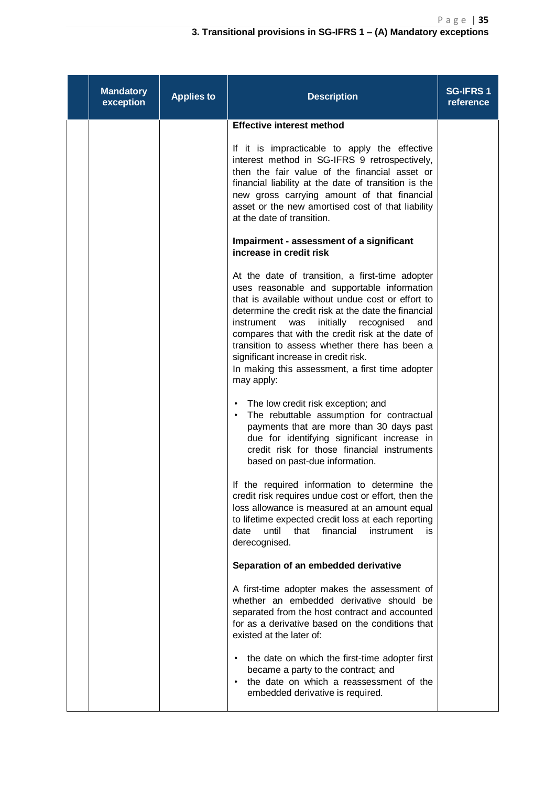| <b>Mandatory</b><br>exception | <b>Applies to</b> | <b>Description</b>                                                                                                                                                                                                                                                                                                                                                                                                                                                               | <b>SG-IFRS 1</b><br>reference |
|-------------------------------|-------------------|----------------------------------------------------------------------------------------------------------------------------------------------------------------------------------------------------------------------------------------------------------------------------------------------------------------------------------------------------------------------------------------------------------------------------------------------------------------------------------|-------------------------------|
|                               |                   | <b>Effective interest method</b><br>If it is impracticable to apply the effective<br>interest method in SG-IFRS 9 retrospectively,<br>then the fair value of the financial asset or<br>financial liability at the date of transition is the<br>new gross carrying amount of that financial<br>asset or the new amortised cost of that liability<br>at the date of transition.                                                                                                    |                               |
|                               |                   | Impairment - assessment of a significant<br>increase in credit risk                                                                                                                                                                                                                                                                                                                                                                                                              |                               |
|                               |                   | At the date of transition, a first-time adopter<br>uses reasonable and supportable information<br>that is available without undue cost or effort to<br>determine the credit risk at the date the financial<br>initially<br>instrument<br>was<br>recognised<br>and<br>compares that with the credit risk at the date of<br>transition to assess whether there has been a<br>significant increase in credit risk.<br>In making this assessment, a first time adopter<br>may apply: |                               |
|                               |                   | The low credit risk exception; and<br>٠<br>The rebuttable assumption for contractual<br>$\bullet$<br>payments that are more than 30 days past<br>due for identifying significant increase in<br>credit risk for those financial instruments<br>based on past-due information.                                                                                                                                                                                                    |                               |
|                               |                   | If the required information to determine the<br>credit risk requires undue cost or effort, then the<br>loss allowance is measured at an amount equal<br>to lifetime expected credit loss at each reporting<br>until<br>financial<br>date<br>that<br>instrument<br>is.<br>derecognised.                                                                                                                                                                                           |                               |
|                               |                   | Separation of an embedded derivative                                                                                                                                                                                                                                                                                                                                                                                                                                             |                               |
|                               |                   | A first-time adopter makes the assessment of<br>whether an embedded derivative should be<br>separated from the host contract and accounted<br>for as a derivative based on the conditions that<br>existed at the later of:                                                                                                                                                                                                                                                       |                               |
|                               |                   | the date on which the first-time adopter first<br>٠<br>became a party to the contract; and<br>the date on which a reassessment of the<br>embedded derivative is required.                                                                                                                                                                                                                                                                                                        |                               |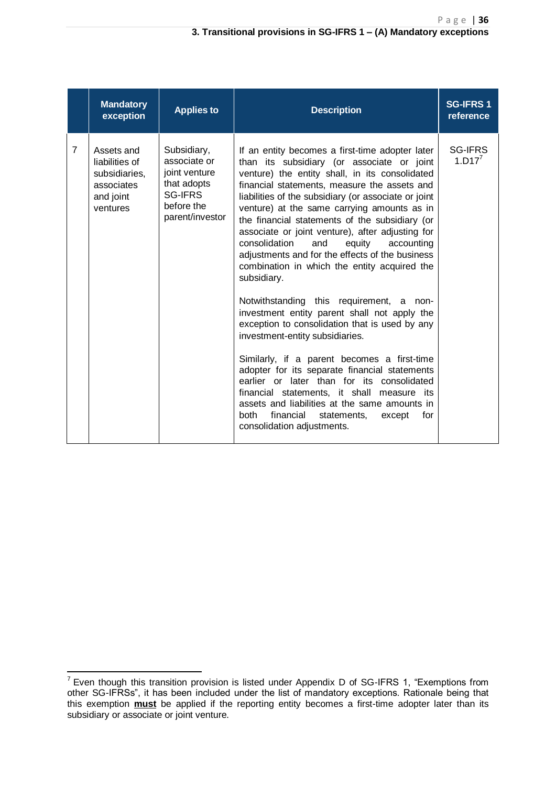|                | <b>Mandatory</b><br>exception                                                        | <b>Applies to</b>                                                                                              | <b>Description</b>                                                                                                                                                                                                                                                                                                                                                                                                                                                                                                                                                                                                                                                                                                                                                                                                                                                                                                                                                                                                                                                                              | <b>SG-IFRS1</b><br>reference |
|----------------|--------------------------------------------------------------------------------------|----------------------------------------------------------------------------------------------------------------|-------------------------------------------------------------------------------------------------------------------------------------------------------------------------------------------------------------------------------------------------------------------------------------------------------------------------------------------------------------------------------------------------------------------------------------------------------------------------------------------------------------------------------------------------------------------------------------------------------------------------------------------------------------------------------------------------------------------------------------------------------------------------------------------------------------------------------------------------------------------------------------------------------------------------------------------------------------------------------------------------------------------------------------------------------------------------------------------------|------------------------------|
| $\overline{7}$ | Assets and<br>liabilities of<br>subsidiaries,<br>associates<br>and joint<br>ventures | Subsidiary,<br>associate or<br>joint venture<br>that adopts<br><b>SG-IFRS</b><br>before the<br>parent/investor | If an entity becomes a first-time adopter later<br>than its subsidiary (or associate or joint<br>venture) the entity shall, in its consolidated<br>financial statements, measure the assets and<br>liabilities of the subsidiary (or associate or joint<br>venture) at the same carrying amounts as in<br>the financial statements of the subsidiary (or<br>associate or joint venture), after adjusting for<br>consolidation<br>and<br>equity<br>accounting<br>adjustments and for the effects of the business<br>combination in which the entity acquired the<br>subsidiary.<br>Notwithstanding this requirement, a non-<br>investment entity parent shall not apply the<br>exception to consolidation that is used by any<br>investment-entity subsidiaries.<br>Similarly, if a parent becomes a first-time<br>adopter for its separate financial statements<br>earlier or later than for its consolidated<br>financial statements, it shall measure its<br>assets and liabilities at the same amounts in<br>both<br>financial<br>statements,<br>for<br>except<br>consolidation adjustments. | <b>SG-IFRS</b><br>$1. D17^7$ |

**.** 

 $7$  Even though this transition provision is listed under Appendix D of SG-IFRS 1, "Exemptions from other SG-IFRSs", it has been included under the list of mandatory exceptions. Rationale being that this exemption **must** be applied if the reporting entity becomes a first-time adopter later than its subsidiary or associate or joint venture.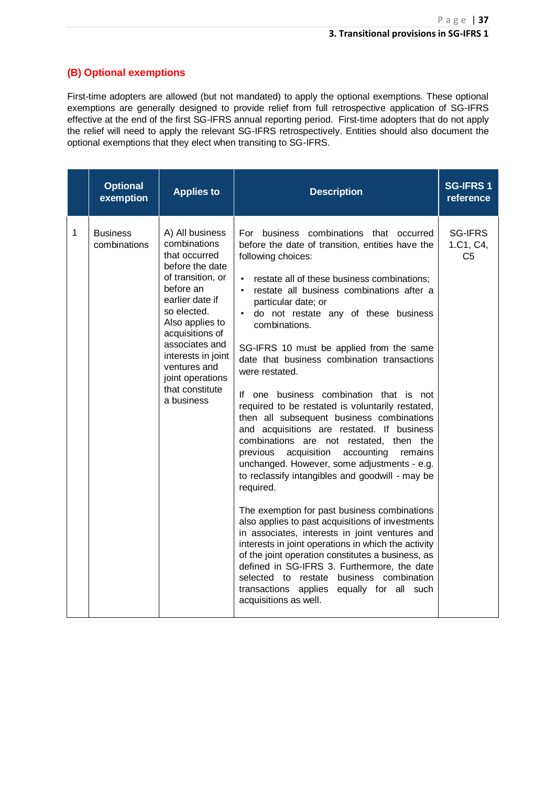### **(B) Optional exemptions**

First-time adopters are allowed (but not mandated) to apply the optional exemptions. These optional exemptions are generally designed to provide relief from full retrospective application of SG-IFRS effective at the end of the first SG-IFRS annual reporting period. First-time adopters that do not apply the relief will need to apply the relevant SG-IFRS retrospectively. Entities should also document the optional exemptions that they elect when transiting to SG-IFRS.

|   | <b>Optional</b><br>exemption    | <b>Applies to</b>                                                                                                                                                                                                                                                                          | <b>Description</b>                                                                                                                                                                                                                                                                                                                                                                                                                                                                                                                                                                                                                                                                                                                                                                                                                                                                                                                                                                                                                                                                                                                                                                                                                                                        | <b>SG-IFRS1</b><br>reference                  |
|---|---------------------------------|--------------------------------------------------------------------------------------------------------------------------------------------------------------------------------------------------------------------------------------------------------------------------------------------|---------------------------------------------------------------------------------------------------------------------------------------------------------------------------------------------------------------------------------------------------------------------------------------------------------------------------------------------------------------------------------------------------------------------------------------------------------------------------------------------------------------------------------------------------------------------------------------------------------------------------------------------------------------------------------------------------------------------------------------------------------------------------------------------------------------------------------------------------------------------------------------------------------------------------------------------------------------------------------------------------------------------------------------------------------------------------------------------------------------------------------------------------------------------------------------------------------------------------------------------------------------------------|-----------------------------------------------|
| 1 | <b>Business</b><br>combinations | A) All business<br>combinations<br>that occurred<br>before the date<br>of transition, or<br>before an<br>earlier date if<br>so elected.<br>Also applies to<br>acquisitions of<br>associates and<br>interests in joint<br>ventures and<br>joint operations<br>that constitute<br>a business | For business combinations that occurred<br>before the date of transition, entities have the<br>following choices:<br>restate all of these business combinations;<br>٠<br>· restate all business combinations after a<br>particular date; or<br>do not restate any of these business<br>$\bullet$<br>combinations.<br>SG-IFRS 10 must be applied from the same<br>date that business combination transactions<br>were restated.<br>If one business combination that is not<br>required to be restated is voluntarily restated,<br>then all subsequent business combinations<br>and acquisitions are restated. If business<br>combinations are not restated, then the<br>previous<br>acquisition<br>accounting<br>remains<br>unchanged. However, some adjustments - e.g.<br>to reclassify intangibles and goodwill - may be<br>required.<br>The exemption for past business combinations<br>also applies to past acquisitions of investments<br>in associates, interests in joint ventures and<br>interests in joint operations in which the activity<br>of the joint operation constitutes a business, as<br>defined in SG-IFRS 3. Furthermore, the date<br>selected to restate business combination<br>transactions applies equally for all such<br>acquisitions as well. | <b>SG-IFRS</b><br>1.C1, C4,<br>C <sub>5</sub> |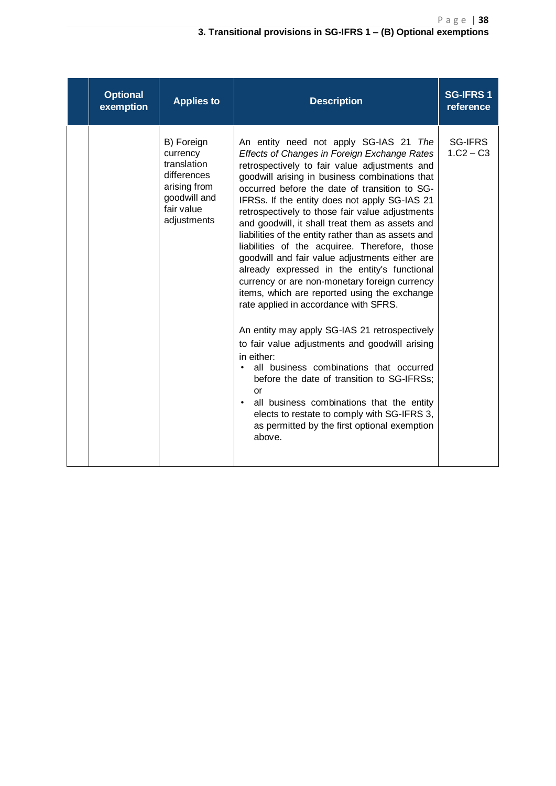#### **3. Transitional provisions in SG-IFRS 1 – (B) Optional exemptions**

| <b>Optional</b><br>exemption | <b>Applies to</b>                                                                                                 | <b>Description</b>                                                                                                                                                                                                                                                                                                                                                                                                                                                                                                                                                                                                                                                                                                                                                                                                                                                                                                                                                                                                                                                                                                                                    | <b>SG-IFRS1</b><br>reference  |
|------------------------------|-------------------------------------------------------------------------------------------------------------------|-------------------------------------------------------------------------------------------------------------------------------------------------------------------------------------------------------------------------------------------------------------------------------------------------------------------------------------------------------------------------------------------------------------------------------------------------------------------------------------------------------------------------------------------------------------------------------------------------------------------------------------------------------------------------------------------------------------------------------------------------------------------------------------------------------------------------------------------------------------------------------------------------------------------------------------------------------------------------------------------------------------------------------------------------------------------------------------------------------------------------------------------------------|-------------------------------|
|                              | B) Foreign<br>currency<br>translation<br>differences<br>arising from<br>goodwill and<br>fair value<br>adjustments | An entity need not apply SG-IAS 21 The<br>Effects of Changes in Foreign Exchange Rates<br>retrospectively to fair value adjustments and<br>goodwill arising in business combinations that<br>occurred before the date of transition to SG-<br>IFRSs. If the entity does not apply SG-IAS 21<br>retrospectively to those fair value adjustments<br>and goodwill, it shall treat them as assets and<br>liabilities of the entity rather than as assets and<br>liabilities of the acquiree. Therefore, those<br>goodwill and fair value adjustments either are<br>already expressed in the entity's functional<br>currency or are non-monetary foreign currency<br>items, which are reported using the exchange<br>rate applied in accordance with SFRS.<br>An entity may apply SG-IAS 21 retrospectively<br>to fair value adjustments and goodwill arising<br>in either:<br>all business combinations that occurred<br>$\bullet$<br>before the date of transition to SG-IFRSs;<br>or<br>all business combinations that the entity<br>$\bullet$<br>elects to restate to comply with SG-IFRS 3,<br>as permitted by the first optional exemption<br>above. | <b>SG-IFRS</b><br>$1.C2 - C3$ |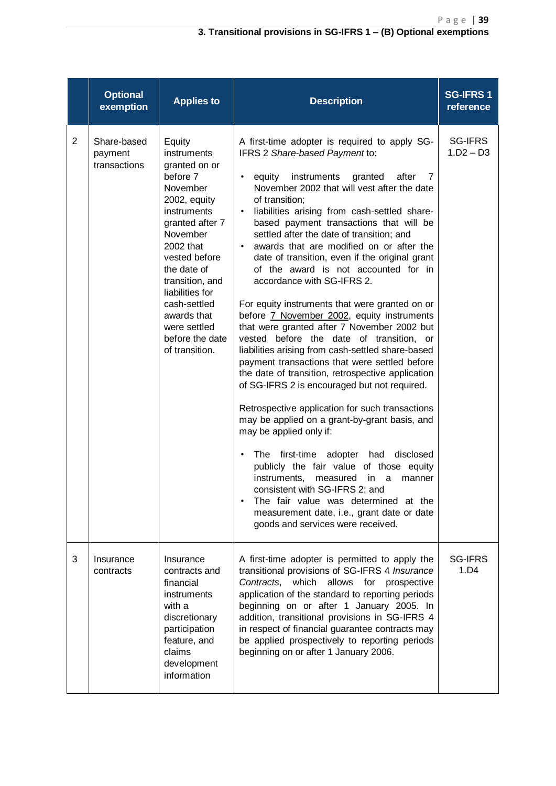|                | <b>Optional</b><br>exemption           | <b>Applies to</b>                                                                                                                                                                                                                                                                                   | <b>Description</b>                                                                                                                                                                                                                                                                                                                                                                                                                                                                                                                                                                                                                                                                                                                                                                                                                                                                                                                                                                                                                                                                                                                                                                                                                                                                                                                                                                                          | <b>SG-IFRS1</b><br>reference  |
|----------------|----------------------------------------|-----------------------------------------------------------------------------------------------------------------------------------------------------------------------------------------------------------------------------------------------------------------------------------------------------|-------------------------------------------------------------------------------------------------------------------------------------------------------------------------------------------------------------------------------------------------------------------------------------------------------------------------------------------------------------------------------------------------------------------------------------------------------------------------------------------------------------------------------------------------------------------------------------------------------------------------------------------------------------------------------------------------------------------------------------------------------------------------------------------------------------------------------------------------------------------------------------------------------------------------------------------------------------------------------------------------------------------------------------------------------------------------------------------------------------------------------------------------------------------------------------------------------------------------------------------------------------------------------------------------------------------------------------------------------------------------------------------------------------|-------------------------------|
| $\overline{2}$ | Share-based<br>payment<br>transactions | Equity<br>instruments<br>granted on or<br>before 7<br>November<br>2002, equity<br>instruments<br>granted after 7<br>November<br>2002 that<br>vested before<br>the date of<br>transition, and<br>liabilities for<br>cash-settled<br>awards that<br>were settled<br>before the date<br>of transition. | A first-time adopter is required to apply SG-<br>IFRS 2 Share-based Payment to:<br>instruments<br>equity<br>granted<br>after<br>7<br>$\bullet$<br>November 2002 that will vest after the date<br>of transition;<br>liabilities arising from cash-settled share-<br>$\bullet$<br>based payment transactions that will be<br>settled after the date of transition; and<br>awards that are modified on or after the<br>$\bullet$<br>date of transition, even if the original grant<br>of the award is not accounted for in<br>accordance with SG-IFRS 2.<br>For equity instruments that were granted on or<br>before 7 November 2002, equity instruments<br>that were granted after 7 November 2002 but<br>vested before the date of transition, or<br>liabilities arising from cash-settled share-based<br>payment transactions that were settled before<br>the date of transition, retrospective application<br>of SG-IFRS 2 is encouraged but not required.<br>Retrospective application for such transactions<br>may be applied on a grant-by-grant basis, and<br>may be applied only if:<br>The first-time adopter had<br>disclosed<br>$\bullet$<br>publicly the fair value of those equity<br>instruments,<br>measured<br>in<br>a<br>manner<br>consistent with SG-IFRS 2; and<br>The fair value was determined at the<br>measurement date, i.e., grant date or date<br>goods and services were received. | <b>SG-IFRS</b><br>$1.D2 - D3$ |
| 3              | Insurance<br>contracts                 | Insurance<br>contracts and<br>financial<br>instruments<br>with a<br>discretionary<br>participation<br>feature, and<br>claims<br>development<br>information                                                                                                                                          | A first-time adopter is permitted to apply the<br>transitional provisions of SG-IFRS 4 Insurance<br>Contracts,<br>which<br>allows for<br>prospective<br>application of the standard to reporting periods<br>beginning on or after 1 January 2005. In<br>addition, transitional provisions in SG-IFRS 4<br>in respect of financial guarantee contracts may<br>be applied prospectively to reporting periods<br>beginning on or after 1 January 2006.                                                                                                                                                                                                                                                                                                                                                                                                                                                                                                                                                                                                                                                                                                                                                                                                                                                                                                                                                         | <b>SG-IFRS</b><br>1.D4        |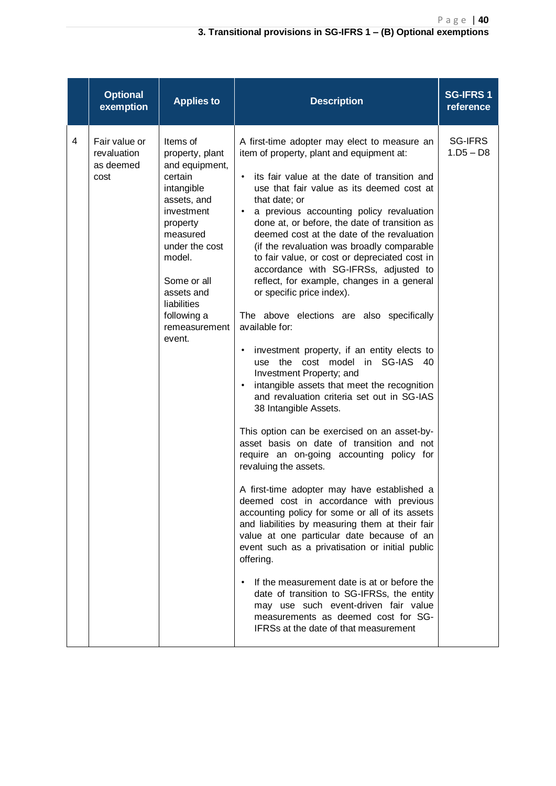|   | <b>Optional</b><br>exemption                      | <b>Applies to</b>                                                                                                                                                                                                                             | <b>Description</b>                                                                                                                                                                                                                                                                                                                                                                                                                                                                                                                                                                                                                                                                                                                                                                                                                                                                                                                                                                                                                                                                                                                                                                                                                                                                                                                                                                                                                                                                                                                                                                                                                 | <b>SG-IFRS1</b><br>reference |
|---|---------------------------------------------------|-----------------------------------------------------------------------------------------------------------------------------------------------------------------------------------------------------------------------------------------------|------------------------------------------------------------------------------------------------------------------------------------------------------------------------------------------------------------------------------------------------------------------------------------------------------------------------------------------------------------------------------------------------------------------------------------------------------------------------------------------------------------------------------------------------------------------------------------------------------------------------------------------------------------------------------------------------------------------------------------------------------------------------------------------------------------------------------------------------------------------------------------------------------------------------------------------------------------------------------------------------------------------------------------------------------------------------------------------------------------------------------------------------------------------------------------------------------------------------------------------------------------------------------------------------------------------------------------------------------------------------------------------------------------------------------------------------------------------------------------------------------------------------------------------------------------------------------------------------------------------------------------|------------------------------|
| 4 | Fair value or<br>revaluation<br>as deemed<br>cost | Items of<br>property, plant<br>and equipment,<br>certain<br>intangible<br>assets, and<br>investment<br>property<br>measured<br>under the cost<br>model.<br>Some or all<br>assets and<br>liabilities<br>following a<br>remeasurement<br>event. | A first-time adopter may elect to measure an<br>item of property, plant and equipment at:<br>its fair value at the date of transition and<br>$\bullet$<br>use that fair value as its deemed cost at<br>that date; or<br>a previous accounting policy revaluation<br>$\bullet$<br>done at, or before, the date of transition as<br>deemed cost at the date of the revaluation<br>(if the revaluation was broadly comparable<br>to fair value, or cost or depreciated cost in<br>accordance with SG-IFRSs, adjusted to<br>reflect, for example, changes in a general<br>or specific price index).<br>The above elections are also specifically<br>available for:<br>investment property, if an entity elects to<br>$\bullet$<br>use the cost model in SG-IAS 40<br>Investment Property; and<br>intangible assets that meet the recognition<br>$\bullet$<br>and revaluation criteria set out in SG-IAS<br>38 Intangible Assets.<br>This option can be exercised on an asset-by-<br>asset basis on date of transition and not<br>require an on-going accounting policy for<br>revaluing the assets.<br>A first-time adopter may have established a<br>deemed cost in accordance with previous<br>accounting policy for some or all of its assets<br>and liabilities by measuring them at their fair<br>value at one particular date because of an<br>event such as a privatisation or initial public<br>offering.<br>If the measurement date is at or before the<br>date of transition to SG-IFRSs, the entity<br>may use such event-driven fair value<br>measurements as deemed cost for SG-<br>IFRSs at the date of that measurement | SG-IFRS<br>$1.D5 - D8$       |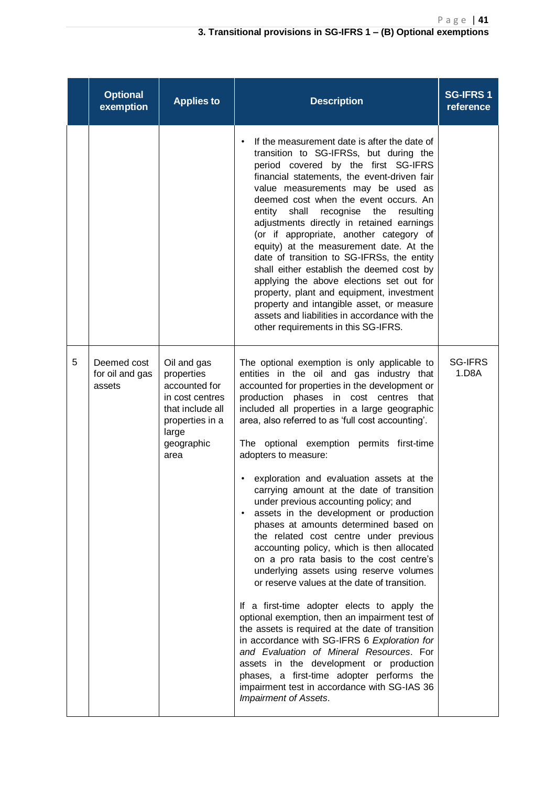|   | <b>Optional</b><br>exemption             | <b>Applies to</b>                                                                                                                   | <b>Description</b>                                                                                                                                                                                                                                                                                                                                                                                                                                                                                                                                                                                                                                                                                                                                                                                                                                                                                                                                                                                                                                                                                                                                                                                                                             | <b>SG-IFRS1</b><br>reference |
|---|------------------------------------------|-------------------------------------------------------------------------------------------------------------------------------------|------------------------------------------------------------------------------------------------------------------------------------------------------------------------------------------------------------------------------------------------------------------------------------------------------------------------------------------------------------------------------------------------------------------------------------------------------------------------------------------------------------------------------------------------------------------------------------------------------------------------------------------------------------------------------------------------------------------------------------------------------------------------------------------------------------------------------------------------------------------------------------------------------------------------------------------------------------------------------------------------------------------------------------------------------------------------------------------------------------------------------------------------------------------------------------------------------------------------------------------------|------------------------------|
|   |                                          |                                                                                                                                     | If the measurement date is after the date of<br>$\bullet$<br>transition to SG-IFRSs, but during the<br>period covered by the first SG-IFRS<br>financial statements, the event-driven fair<br>value measurements may be used as<br>deemed cost when the event occurs. An<br>recognise<br>entity<br>shall<br>the<br>resulting<br>adjustments directly in retained earnings<br>(or if appropriate, another category of<br>equity) at the measurement date. At the<br>date of transition to SG-IFRSs, the entity<br>shall either establish the deemed cost by<br>applying the above elections set out for<br>property, plant and equipment, investment<br>property and intangible asset, or measure<br>assets and liabilities in accordance with the<br>other requirements in this SG-IFRS.                                                                                                                                                                                                                                                                                                                                                                                                                                                        |                              |
| 5 | Deemed cost<br>for oil and gas<br>assets | Oil and gas<br>properties<br>accounted for<br>in cost centres<br>that include all<br>properties in a<br>large<br>geographic<br>area | The optional exemption is only applicable to<br>entities in the oil and gas industry that<br>accounted for properties in the development or<br>production phases in cost centres that<br>included all properties in a large geographic<br>area, also referred to as 'full cost accounting'.<br>The optional exemption permits first-time<br>adopters to measure:<br>exploration and evaluation assets at the<br>carrying amount at the date of transition<br>under previous accounting policy; and<br>assets in the development or production<br>phases at amounts determined based on<br>the related cost centre under previous<br>accounting policy, which is then allocated<br>on a pro rata basis to the cost centre's<br>underlying assets using reserve volumes<br>or reserve values at the date of transition.<br>If a first-time adopter elects to apply the<br>optional exemption, then an impairment test of<br>the assets is required at the date of transition<br>in accordance with SG-IFRS 6 Exploration for<br>and Evaluation of Mineral Resources. For<br>assets in the development or production<br>phases, a first-time adopter performs the<br>impairment test in accordance with SG-IAS 36<br><b>Impairment of Assets.</b> | <b>SG-IFRS</b><br>1.D8A      |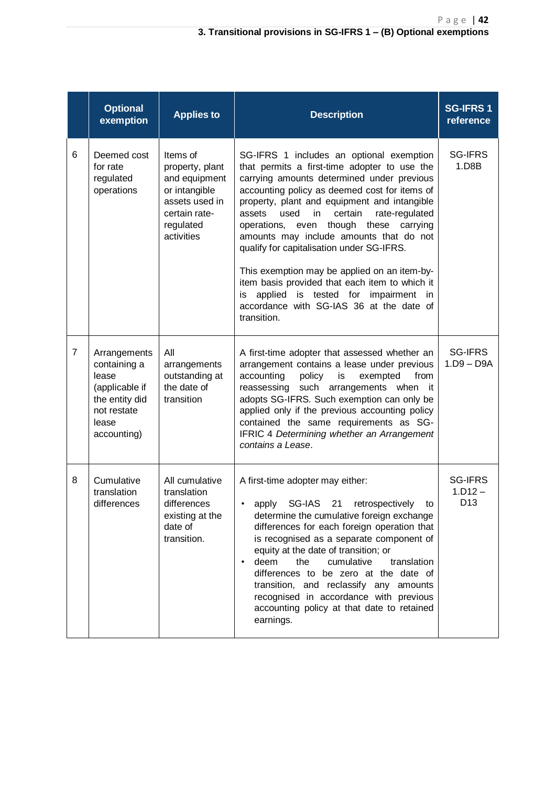|                | <b>Optional</b><br>exemption                                                                                     | <b>Applies to</b>                                                                                                           | <b>Description</b>                                                                                                                                                                                                                                                                                                                                                                                                                                                                                                                                                                                                                              | <b>SG-IFRS1</b><br>reference                   |
|----------------|------------------------------------------------------------------------------------------------------------------|-----------------------------------------------------------------------------------------------------------------------------|-------------------------------------------------------------------------------------------------------------------------------------------------------------------------------------------------------------------------------------------------------------------------------------------------------------------------------------------------------------------------------------------------------------------------------------------------------------------------------------------------------------------------------------------------------------------------------------------------------------------------------------------------|------------------------------------------------|
| 6              | Deemed cost<br>for rate<br>regulated<br>operations                                                               | Items of<br>property, plant<br>and equipment<br>or intangible<br>assets used in<br>certain rate-<br>regulated<br>activities | SG-IFRS 1 includes an optional exemption<br>that permits a first-time adopter to use the<br>carrying amounts determined under previous<br>accounting policy as deemed cost for items of<br>property, plant and equipment and intangible<br>used<br>certain<br>rate-regulated<br>assets<br>in.<br>though these<br>carrying<br>operations, even<br>amounts may include amounts that do not<br>qualify for capitalisation under SG-IFRS.<br>This exemption may be applied on an item-by-<br>item basis provided that each item to which it<br>applied is tested for impairment in<br>is<br>accordance with SG-IAS 36 at the date of<br>transition. | <b>SG-IFRS</b><br>1.D8B                        |
| $\overline{7}$ | Arrangements<br>containing a<br>lease<br>(applicable if<br>the entity did<br>not restate<br>lease<br>accounting) | ΑIΙ<br>arrangements<br>outstanding at<br>the date of<br>transition                                                          | A first-time adopter that assessed whether an<br>arrangement contains a lease under previous<br>accounting<br>policy<br>is<br>exempted<br>from<br>reassessing such arrangements when it<br>adopts SG-IFRS. Such exemption can only be<br>applied only if the previous accounting policy<br>contained the same requirements as SG-<br>IFRIC 4 Determining whether an Arrangement<br>contains a Lease.                                                                                                                                                                                                                                            | SG-IFRS<br>$1.D9 - D9A$                        |
| 8              | Cumulative<br>translation<br>differences                                                                         | All cumulative<br>translation<br>differences<br>existing at the<br>date of<br>transition.                                   | A first-time adopter may either:<br>SG-IAS 21 retrospectively<br>apply<br>to<br>determine the cumulative foreign exchange<br>differences for each foreign operation that<br>is recognised as a separate component of<br>equity at the date of transition; or<br>deem<br>the<br>cumulative<br>translation<br>$\bullet$<br>differences to be zero at the date of<br>transition, and reclassify any amounts<br>recognised in accordance with previous<br>accounting policy at that date to retained<br>earnings.                                                                                                                                   | <b>SG-IFRS</b><br>$1.D12 -$<br>D <sub>13</sub> |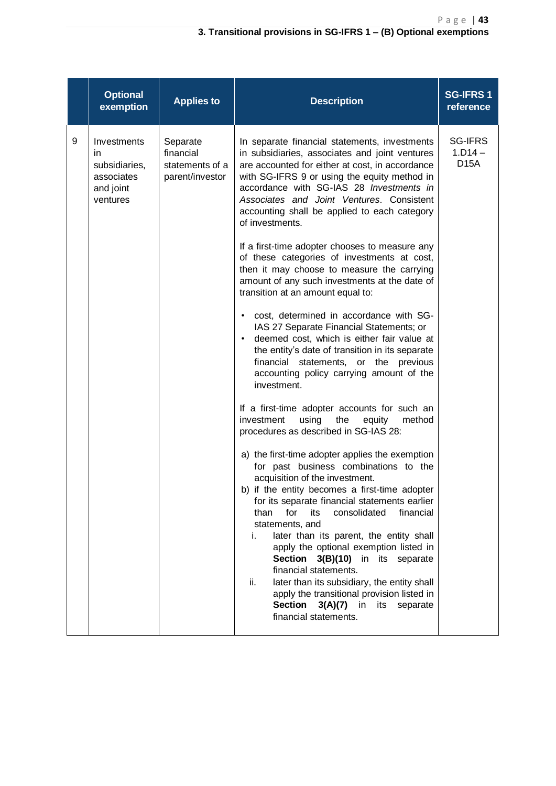|   | <b>Optional</b><br>exemption                                              | <b>Applies to</b>                                           | <b>Description</b>                                                                                                                                                                                                                                                                                                                                                                                                                                                                                                                                                                                                                                                                                                                                                                                                                                                                                                                                                                                                                                                                                                                                                                                                                                                                                                                                                         | <b>SG-IFRS1</b><br>reference                     |
|---|---------------------------------------------------------------------------|-------------------------------------------------------------|----------------------------------------------------------------------------------------------------------------------------------------------------------------------------------------------------------------------------------------------------------------------------------------------------------------------------------------------------------------------------------------------------------------------------------------------------------------------------------------------------------------------------------------------------------------------------------------------------------------------------------------------------------------------------------------------------------------------------------------------------------------------------------------------------------------------------------------------------------------------------------------------------------------------------------------------------------------------------------------------------------------------------------------------------------------------------------------------------------------------------------------------------------------------------------------------------------------------------------------------------------------------------------------------------------------------------------------------------------------------------|--------------------------------------------------|
| 9 | Investments<br>in<br>subsidiaries,<br>associates<br>and joint<br>ventures | Separate<br>financial<br>statements of a<br>parent/investor | In separate financial statements, investments<br>in subsidiaries, associates and joint ventures<br>are accounted for either at cost, in accordance<br>with SG-IFRS 9 or using the equity method in<br>accordance with SG-IAS 28 Investments in<br>Associates and Joint Ventures. Consistent<br>accounting shall be applied to each category<br>of investments.<br>If a first-time adopter chooses to measure any<br>of these categories of investments at cost,<br>then it may choose to measure the carrying<br>amount of any such investments at the date of<br>transition at an amount equal to:<br>cost, determined in accordance with SG-<br>$\bullet$<br>IAS 27 Separate Financial Statements; or<br>deemed cost, which is either fair value at<br>$\bullet$<br>the entity's date of transition in its separate<br>financial statements, or the previous<br>accounting policy carrying amount of the<br>investment.<br>If a first-time adopter accounts for such an<br>investment<br>using<br>the<br>equity<br>method<br>procedures as described in SG-IAS 28:<br>a) the first-time adopter applies the exemption<br>for past business combinations to the<br>acquisition of the investment.<br>b) if the entity becomes a first-time adopter<br>for its separate financial statements earlier<br>than<br>for<br>its<br>consolidated<br>financial<br>statements, and | <b>SG-IFRS</b><br>$1.D14 -$<br>D <sub>15</sub> A |
|   |                                                                           |                                                             | later than its parent, the entity shall<br>i.<br>apply the optional exemption listed in<br>Section 3(B)(10) in its separate<br>financial statements.<br>later than its subsidiary, the entity shall<br>ii.<br>apply the transitional provision listed in<br><b>Section</b><br>3(A)(7)<br>in<br>its<br>separate<br>financial statements.                                                                                                                                                                                                                                                                                                                                                                                                                                                                                                                                                                                                                                                                                                                                                                                                                                                                                                                                                                                                                                    |                                                  |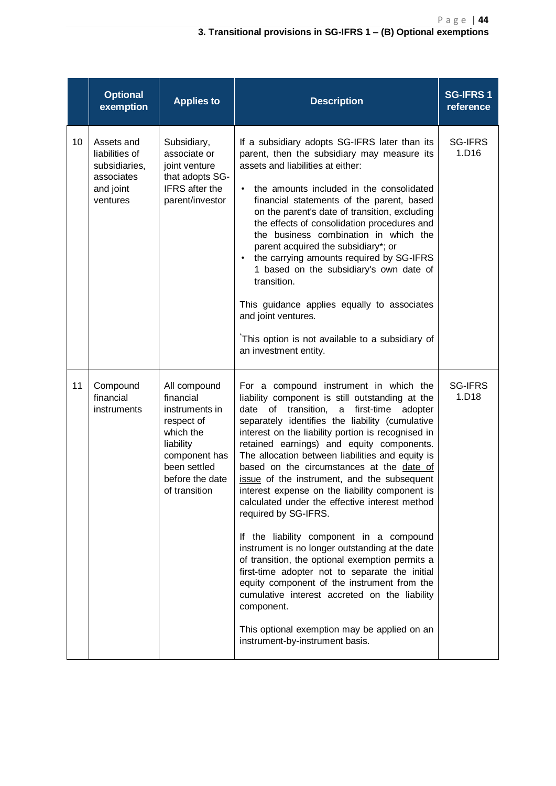|    | <b>Optional</b><br>exemption                                                         | <b>Applies to</b>                                                                                                                                        | <b>Description</b>                                                                                                                                                                                                                                                                                                                                                                                                                                                                                                                                                                                                                                                                                                                                                                                                                                                                                                                                                                                     | <b>SG-IFRS1</b><br>reference |
|----|--------------------------------------------------------------------------------------|----------------------------------------------------------------------------------------------------------------------------------------------------------|--------------------------------------------------------------------------------------------------------------------------------------------------------------------------------------------------------------------------------------------------------------------------------------------------------------------------------------------------------------------------------------------------------------------------------------------------------------------------------------------------------------------------------------------------------------------------------------------------------------------------------------------------------------------------------------------------------------------------------------------------------------------------------------------------------------------------------------------------------------------------------------------------------------------------------------------------------------------------------------------------------|------------------------------|
| 10 | Assets and<br>liabilities of<br>subsidiaries,<br>associates<br>and joint<br>ventures | Subsidiary,<br>associate or<br>joint venture<br>that adopts SG-<br><b>IFRS</b> after the<br>parent/investor                                              | If a subsidiary adopts SG-IFRS later than its<br>parent, then the subsidiary may measure its<br>assets and liabilities at either:<br>the amounts included in the consolidated<br>$\bullet$<br>financial statements of the parent, based<br>on the parent's date of transition, excluding<br>the effects of consolidation procedures and<br>the business combination in which the<br>parent acquired the subsidiary*; or<br>the carrying amounts required by SG-IFRS<br>$\bullet$<br>1 based on the subsidiary's own date of<br>transition.<br>This guidance applies equally to associates<br>and joint ventures.<br>This option is not available to a subsidiary of<br>an investment entity.                                                                                                                                                                                                                                                                                                           | <b>SG-IFRS</b><br>1.D16      |
| 11 | Compound<br>financial<br>instruments                                                 | All compound<br>financial<br>instruments in<br>respect of<br>which the<br>liability<br>component has<br>been settled<br>before the date<br>of transition | For a compound instrument in which the<br>liability component is still outstanding at the<br>date<br>transition,<br>first-time<br>of<br>$\mathsf{a}$<br>adopter<br>separately identifies the liability (cumulative<br>interest on the liability portion is recognised in<br>retained earnings) and equity components.<br>The allocation between liabilities and equity is<br>based on the circumstances at the date of<br>issue of the instrument, and the subsequent<br>interest expense on the liability component is<br>calculated under the effective interest method<br>required by SG-IFRS.<br>If the liability component in a compound<br>instrument is no longer outstanding at the date<br>of transition, the optional exemption permits a<br>first-time adopter not to separate the initial<br>equity component of the instrument from the<br>cumulative interest accreted on the liability<br>component.<br>This optional exemption may be applied on an<br>instrument-by-instrument basis. | <b>SG-IFRS</b><br>1.D18      |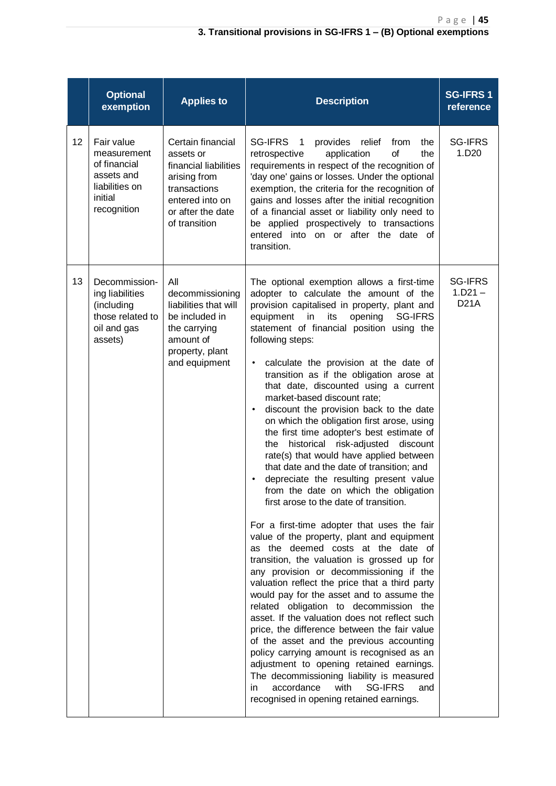|    | <b>Optional</b><br>exemption                                                                        | <b>Applies to</b>                                                                                                                                | <b>Description</b>                                                                                                                                                                                                                                                                                                                                                                                                                                                                                                                                                                                                                                                                                                                                                                                                                                                                                                                                                                                                                                                                                                                                                                                                                                                                                                                                                                                                                                                                                                                                                                                                           | <b>SG-IFRS1</b><br>reference               |
|----|-----------------------------------------------------------------------------------------------------|--------------------------------------------------------------------------------------------------------------------------------------------------|------------------------------------------------------------------------------------------------------------------------------------------------------------------------------------------------------------------------------------------------------------------------------------------------------------------------------------------------------------------------------------------------------------------------------------------------------------------------------------------------------------------------------------------------------------------------------------------------------------------------------------------------------------------------------------------------------------------------------------------------------------------------------------------------------------------------------------------------------------------------------------------------------------------------------------------------------------------------------------------------------------------------------------------------------------------------------------------------------------------------------------------------------------------------------------------------------------------------------------------------------------------------------------------------------------------------------------------------------------------------------------------------------------------------------------------------------------------------------------------------------------------------------------------------------------------------------------------------------------------------------|--------------------------------------------|
| 12 | Fair value<br>measurement<br>of financial<br>assets and<br>liabilities on<br>initial<br>recognition | Certain financial<br>assets or<br>financial liabilities<br>arising from<br>transactions<br>entered into on<br>or after the date<br>of transition | SG-IFRS 1<br>provides relief<br>from<br>the<br>of<br>application<br>the<br>retrospective<br>requirements in respect of the recognition of<br>'day one' gains or losses. Under the optional<br>exemption, the criteria for the recognition of<br>gains and losses after the initial recognition<br>of a financial asset or liability only need to<br>be applied prospectively to transactions<br>entered into on or after the date of<br>transition.                                                                                                                                                                                                                                                                                                                                                                                                                                                                                                                                                                                                                                                                                                                                                                                                                                                                                                                                                                                                                                                                                                                                                                          | <b>SG-IFRS</b><br>1.D <sub>20</sub>        |
| 13 | Decommission-<br>ing liabilities<br>(including<br>those related to<br>oil and gas<br>assets)        | All<br>decommissioning<br>liabilities that will<br>be included in<br>the carrying<br>amount of<br>property, plant<br>and equipment               | The optional exemption allows a first-time<br>adopter to calculate the amount of the<br>provision capitalised in property, plant and<br>in<br>its<br>opening<br>equipment<br><b>SG-IFRS</b><br>statement of financial position using the<br>following steps:<br>calculate the provision at the date of<br>$\bullet$<br>transition as if the obligation arose at<br>that date, discounted using a current<br>market-based discount rate;<br>discount the provision back to the date<br>$\bullet$<br>on which the obligation first arose, using<br>the first time adopter's best estimate of<br>historical<br>risk-adjusted<br>discount<br>the<br>rate(s) that would have applied between<br>that date and the date of transition; and<br>depreciate the resulting present value<br>from the date on which the obligation<br>first arose to the date of transition.<br>For a first-time adopter that uses the fair<br>value of the property, plant and equipment<br>as the deemed costs at the date of<br>transition, the valuation is grossed up for<br>any provision or decommissioning if the<br>valuation reflect the price that a third party<br>would pay for the asset and to assume the<br>related obligation to decommission the<br>asset. If the valuation does not reflect such<br>price, the difference between the fair value<br>of the asset and the previous accounting<br>policy carrying amount is recognised as an<br>adjustment to opening retained earnings.<br>The decommissioning liability is measured<br>accordance<br><b>SG-IFRS</b><br>with<br>in<br>and<br>recognised in opening retained earnings. | <b>SG-IFRS</b><br>$1.D21 -$<br><b>D21A</b> |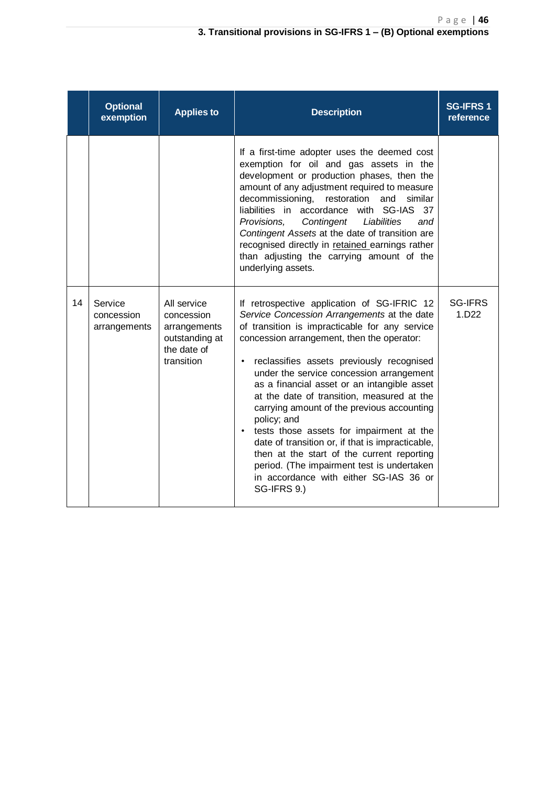|    | <b>Optional</b><br>exemption          | <b>Applies to</b>                                                                        | <b>Description</b>                                                                                                                                                                                                                                                                                                                                                                                                                                                                                                                                                                                                                                                                                                           | <b>SG-IFRS1</b><br>reference        |
|----|---------------------------------------|------------------------------------------------------------------------------------------|------------------------------------------------------------------------------------------------------------------------------------------------------------------------------------------------------------------------------------------------------------------------------------------------------------------------------------------------------------------------------------------------------------------------------------------------------------------------------------------------------------------------------------------------------------------------------------------------------------------------------------------------------------------------------------------------------------------------------|-------------------------------------|
|    |                                       |                                                                                          | If a first-time adopter uses the deemed cost<br>exemption for oil and gas assets in the<br>development or production phases, then the<br>amount of any adjustment required to measure<br>decommissioning, restoration<br>and<br>similar<br>liabilities in accordance with SG-IAS<br>37<br>Provisions,<br>Contingent<br>Liabilities<br>and<br>Contingent Assets at the date of transition are<br>recognised directly in retained earnings rather<br>than adjusting the carrying amount of the<br>underlying assets.                                                                                                                                                                                                           |                                     |
| 14 | Service<br>concession<br>arrangements | All service<br>concession<br>arrangements<br>outstanding at<br>the date of<br>transition | If retrospective application of SG-IFRIC 12<br>Service Concession Arrangements at the date<br>of transition is impracticable for any service<br>concession arrangement, then the operator:<br>reclassifies assets previously recognised<br>$\bullet$<br>under the service concession arrangement<br>as a financial asset or an intangible asset<br>at the date of transition, measured at the<br>carrying amount of the previous accounting<br>policy; and<br>tests those assets for impairment at the<br>$\bullet$<br>date of transition or, if that is impracticable,<br>then at the start of the current reporting<br>period. (The impairment test is undertaken<br>in accordance with either SG-IAS 36 or<br>SG-IFRS 9.) | <b>SG-IFRS</b><br>1.D <sub>22</sub> |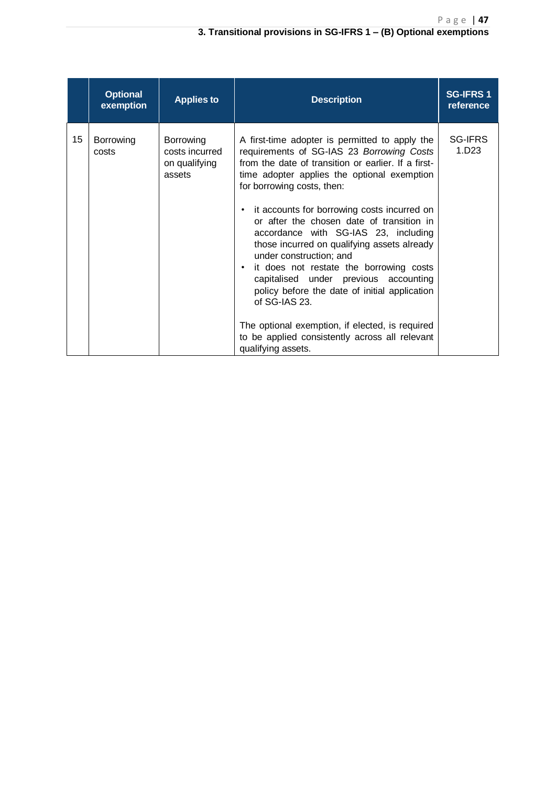#### **3. Transitional provisions in SG-IFRS 1 – (B) Optional exemptions**

|    | <b>Optional</b><br>exemption | <b>Applies to</b>                                      | <b>Description</b>                                                                                                                                                                                                                                                                                                                                                                                                                                                                                                                                                                                                                                                                                                                                       | <b>SG-IFRS1</b><br>reference        |
|----|------------------------------|--------------------------------------------------------|----------------------------------------------------------------------------------------------------------------------------------------------------------------------------------------------------------------------------------------------------------------------------------------------------------------------------------------------------------------------------------------------------------------------------------------------------------------------------------------------------------------------------------------------------------------------------------------------------------------------------------------------------------------------------------------------------------------------------------------------------------|-------------------------------------|
| 15 | Borrowing<br>costs           | Borrowing<br>costs incurred<br>on qualifying<br>assets | A first-time adopter is permitted to apply the<br>requirements of SG-IAS 23 Borrowing Costs<br>from the date of transition or earlier. If a first-<br>time adopter applies the optional exemption<br>for borrowing costs, then:<br>it accounts for borrowing costs incurred on<br>$\bullet$<br>or after the chosen date of transition in<br>accordance with SG-IAS 23, including<br>those incurred on qualifying assets already<br>under construction; and<br>it does not restate the borrowing costs<br>$\bullet$<br>capitalised under previous accounting<br>policy before the date of initial application<br>of SG-IAS 23.<br>The optional exemption, if elected, is required<br>to be applied consistently across all relevant<br>qualifying assets. | <b>SG-IFRS</b><br>1.D <sub>23</sub> |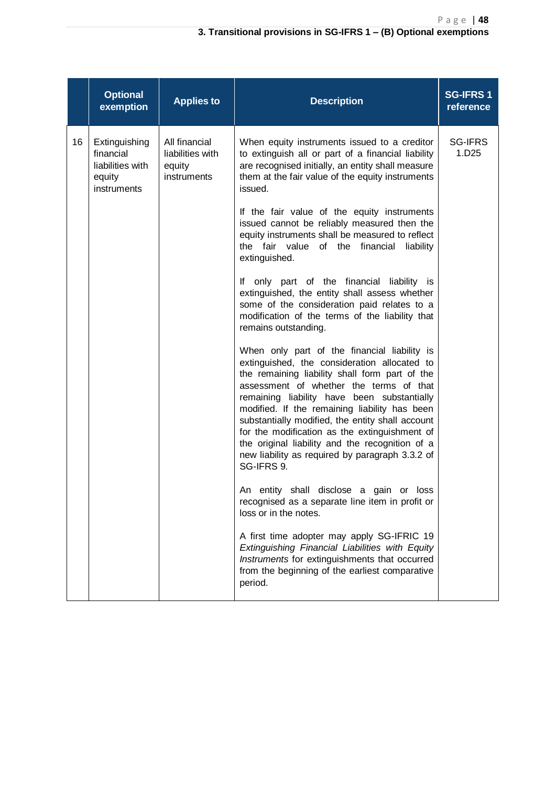|    | <b>Optional</b><br>exemption                                            | <b>Applies to</b>                                          | <b>Description</b>                                                                                                                                                                                                                                                                                                                                                                                                                                                                                                 | <b>SG-IFRS1</b><br>reference        |
|----|-------------------------------------------------------------------------|------------------------------------------------------------|--------------------------------------------------------------------------------------------------------------------------------------------------------------------------------------------------------------------------------------------------------------------------------------------------------------------------------------------------------------------------------------------------------------------------------------------------------------------------------------------------------------------|-------------------------------------|
| 16 | Extinguishing<br>financial<br>liabilities with<br>equity<br>instruments | All financial<br>liabilities with<br>equity<br>instruments | When equity instruments issued to a creditor<br>to extinguish all or part of a financial liability<br>are recognised initially, an entity shall measure<br>them at the fair value of the equity instruments<br>issued.                                                                                                                                                                                                                                                                                             | <b>SG-IFRS</b><br>1.D <sub>25</sub> |
|    |                                                                         |                                                            | If the fair value of the equity instruments<br>issued cannot be reliably measured then the<br>equity instruments shall be measured to reflect<br>the fair value of the financial<br>liability<br>extinguished.                                                                                                                                                                                                                                                                                                     |                                     |
|    |                                                                         |                                                            | If only part of the financial liability is<br>extinguished, the entity shall assess whether<br>some of the consideration paid relates to a<br>modification of the terms of the liability that<br>remains outstanding.                                                                                                                                                                                                                                                                                              |                                     |
|    |                                                                         |                                                            | When only part of the financial liability is<br>extinguished, the consideration allocated to<br>the remaining liability shall form part of the<br>assessment of whether the terms of that<br>remaining liability have been substantially<br>modified. If the remaining liability has been<br>substantially modified, the entity shall account<br>for the modification as the extinguishment of<br>the original liability and the recognition of a<br>new liability as required by paragraph 3.3.2 of<br>SG-IFRS 9. |                                     |
|    |                                                                         |                                                            | An entity shall disclose a gain or loss<br>recognised as a separate line item in profit or<br>loss or in the notes.                                                                                                                                                                                                                                                                                                                                                                                                |                                     |
|    |                                                                         |                                                            | A first time adopter may apply SG-IFRIC 19<br>Extinguishing Financial Liabilities with Equity<br>Instruments for extinguishments that occurred<br>from the beginning of the earliest comparative<br>period.                                                                                                                                                                                                                                                                                                        |                                     |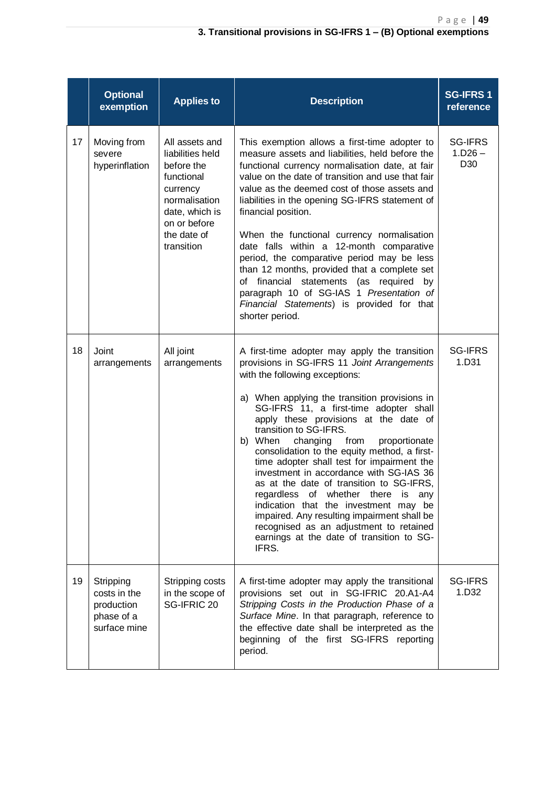|    | <b>Optional</b><br>exemption                                          | <b>Applies to</b>                                                                                                                                          | <b>Description</b>                                                                                                                                                                                                                                                                                                                                                                                                                                                                                                                                                                                                                                                                                                                                            | <b>SG-IFRS1</b><br>reference                   |
|----|-----------------------------------------------------------------------|------------------------------------------------------------------------------------------------------------------------------------------------------------|---------------------------------------------------------------------------------------------------------------------------------------------------------------------------------------------------------------------------------------------------------------------------------------------------------------------------------------------------------------------------------------------------------------------------------------------------------------------------------------------------------------------------------------------------------------------------------------------------------------------------------------------------------------------------------------------------------------------------------------------------------------|------------------------------------------------|
| 17 | Moving from<br>severe<br>hyperinflation                               | All assets and<br>liabilities held<br>before the<br>functional<br>currency<br>normalisation<br>date, which is<br>on or before<br>the date of<br>transition | This exemption allows a first-time adopter to<br>measure assets and liabilities, held before the<br>functional currency normalisation date, at fair<br>value on the date of transition and use that fair<br>value as the deemed cost of those assets and<br>liabilities in the opening SG-IFRS statement of<br>financial position.<br>When the functional currency normalisation<br>date falls within a 12-month comparative<br>period, the comparative period may be less<br>than 12 months, provided that a complete set<br>of financial statements (as required by<br>paragraph 10 of SG-IAS 1 Presentation of<br>Financial Statements) is provided for that<br>shorter period.                                                                            | <b>SG-IFRS</b><br>$1.D26 -$<br>D <sub>30</sub> |
| 18 | Joint<br>arrangements                                                 | All joint<br>arrangements                                                                                                                                  | A first-time adopter may apply the transition<br>provisions in SG-IFRS 11 Joint Arrangements<br>with the following exceptions:<br>a) When applying the transition provisions in<br>SG-IFRS 11, a first-time adopter shall<br>apply these provisions at the date of<br>transition to SG-IFRS.<br>b) When<br>changing from<br>proportionate<br>consolidation to the equity method, a first-<br>time adopter shall test for impairment the<br>investment in accordance with SG-IAS 36<br>as at the date of transition to SG-IFRS,<br>regardless of whether there is any<br>indication that the investment may be<br>impaired. Any resulting impairment shall be<br>recognised as an adjustment to retained<br>earnings at the date of transition to SG-<br>IFRS. | <b>SG-IFRS</b><br>1.D31                        |
| 19 | Stripping<br>costs in the<br>production<br>phase of a<br>surface mine | Stripping costs<br>in the scope of<br>SG-IFRIC 20                                                                                                          | A first-time adopter may apply the transitional<br>provisions set out in SG-IFRIC 20.A1-A4<br>Stripping Costs in the Production Phase of a<br>Surface Mine. In that paragraph, reference to<br>the effective date shall be interpreted as the<br>beginning of the first SG-IFRS reporting<br>period.                                                                                                                                                                                                                                                                                                                                                                                                                                                          | <b>SG-IFRS</b><br>1.D32                        |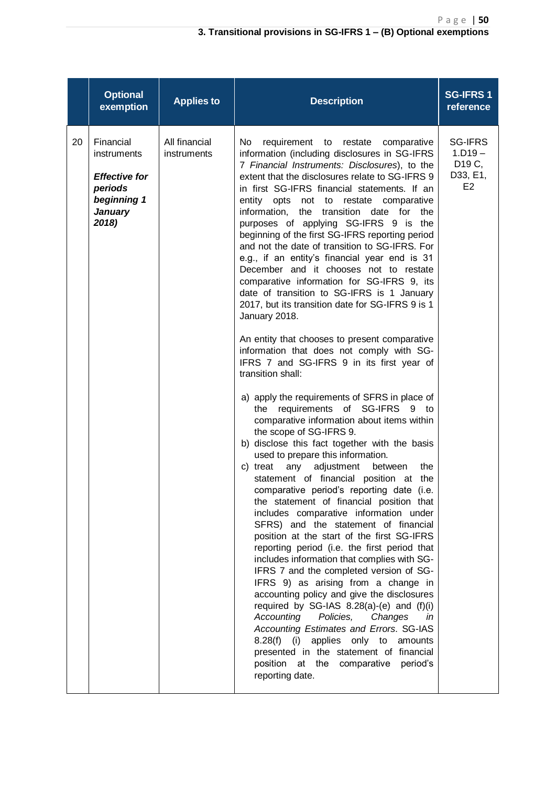|    | <b>Optional</b><br>exemption                                                                          | <b>Applies to</b>            | <b>Description</b>                                                                                                                                                                                                                                                                                                                                                                                                                                                                                                                                                                                                                                                                                                                                                                                                                                                                                                                                                                                                                                                                                                                                                                                                                                                                                                                                                                                                                                                                                                                                                                                                                                                                                                                                                                                                                                                                                                                                                                                                                                   | <b>SG-IFRS1</b><br>reference                                                    |
|----|-------------------------------------------------------------------------------------------------------|------------------------------|------------------------------------------------------------------------------------------------------------------------------------------------------------------------------------------------------------------------------------------------------------------------------------------------------------------------------------------------------------------------------------------------------------------------------------------------------------------------------------------------------------------------------------------------------------------------------------------------------------------------------------------------------------------------------------------------------------------------------------------------------------------------------------------------------------------------------------------------------------------------------------------------------------------------------------------------------------------------------------------------------------------------------------------------------------------------------------------------------------------------------------------------------------------------------------------------------------------------------------------------------------------------------------------------------------------------------------------------------------------------------------------------------------------------------------------------------------------------------------------------------------------------------------------------------------------------------------------------------------------------------------------------------------------------------------------------------------------------------------------------------------------------------------------------------------------------------------------------------------------------------------------------------------------------------------------------------------------------------------------------------------------------------------------------------|---------------------------------------------------------------------------------|
| 20 | Financial<br>instruments<br><b>Effective for</b><br>periods<br>beginning 1<br><b>January</b><br>2018) | All financial<br>instruments | <b>No</b><br>requirement to restate<br>comparative<br>information (including disclosures in SG-IFRS<br>7 Financial Instruments: Disclosures), to the<br>extent that the disclosures relate to SG-IFRS 9<br>in first SG-IFRS financial statements. If an<br>entity<br>opts<br>not to restate<br>comparative<br>information,<br>the<br>transition<br>date for<br>the<br>purposes of applying SG-IFRS 9 is the<br>beginning of the first SG-IFRS reporting period<br>and not the date of transition to SG-IFRS. For<br>e.g., if an entity's financial year end is 31<br>December and it chooses not to restate<br>comparative information for SG-IFRS 9, its<br>date of transition to SG-IFRS is 1 January<br>2017, but its transition date for SG-IFRS 9 is 1<br>January 2018.<br>An entity that chooses to present comparative<br>information that does not comply with SG-<br>IFRS 7 and SG-IFRS 9 in its first year of<br>transition shall:<br>a) apply the requirements of SFRS in place of<br>requirements of SG-IFRS 9 to<br>the<br>comparative information about items within<br>the scope of SG-IFRS 9.<br>b) disclose this fact together with the basis<br>used to prepare this information.<br>c) treat<br>any<br>adjustment<br>between<br>the<br>statement of financial position at the<br>comparative period's reporting date (i.e.<br>the statement of financial position that<br>includes comparative information under<br>SFRS) and the statement of financial<br>position at the start of the first SG-IFRS<br>reporting period (i.e. the first period that<br>includes information that complies with SG-<br>IFRS 7 and the completed version of SG-<br>IFRS 9) as arising from a change in<br>accounting policy and give the disclosures<br>required by SG-IAS 8.28(a)-(e) and (f)(i)<br>Accounting<br>Policies,<br>Changes<br>in<br>Accounting Estimates and Errors. SG-IAS<br>applies only to amounts<br>$8.28(f)$ (i)<br>presented in the statement of financial<br>position at the<br>comparative<br>period's<br>reporting date. | <b>SG-IFRS</b><br>$1.D19 -$<br>D <sub>19</sub> C,<br>D33, E1,<br>E <sub>2</sub> |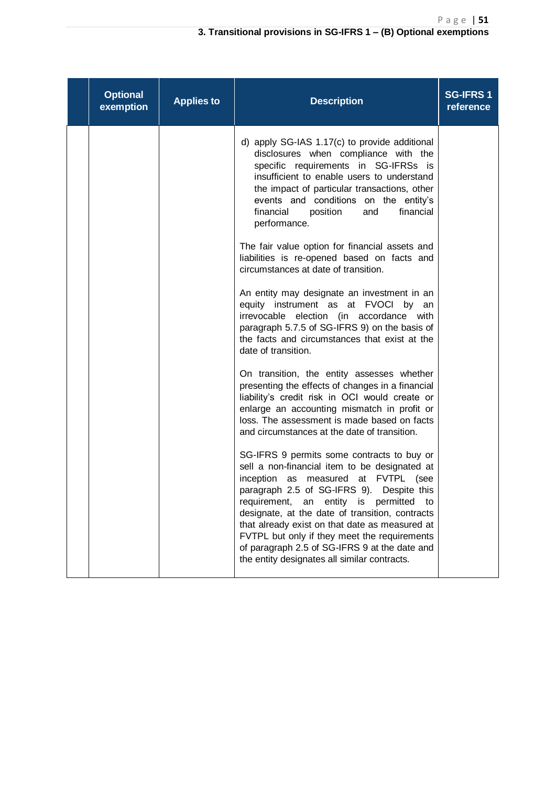| <b>Optional</b><br>exemption | <b>Applies to</b> | <b>Description</b>                                                                                                                                                                                                                                                                                                                                                                                                                                                                                       | <b>SG-IFRS1</b><br>reference |
|------------------------------|-------------------|----------------------------------------------------------------------------------------------------------------------------------------------------------------------------------------------------------------------------------------------------------------------------------------------------------------------------------------------------------------------------------------------------------------------------------------------------------------------------------------------------------|------------------------------|
|                              |                   | d) apply SG-IAS 1.17(c) to provide additional<br>disclosures when compliance with the<br>specific requirements in SG-IFRSs is<br>insufficient to enable users to understand<br>the impact of particular transactions, other<br>events and conditions on the entity's<br>financial<br>financial<br>position<br>and<br>performance.                                                                                                                                                                        |                              |
|                              |                   | The fair value option for financial assets and<br>liabilities is re-opened based on facts and<br>circumstances at date of transition.                                                                                                                                                                                                                                                                                                                                                                    |                              |
|                              |                   | An entity may designate an investment in an<br>equity instrument as at FVOCI by an<br>irrevocable election (in accordance with<br>paragraph 5.7.5 of SG-IFRS 9) on the basis of<br>the facts and circumstances that exist at the<br>date of transition.                                                                                                                                                                                                                                                  |                              |
|                              |                   | On transition, the entity assesses whether<br>presenting the effects of changes in a financial<br>liability's credit risk in OCI would create or<br>enlarge an accounting mismatch in profit or<br>loss. The assessment is made based on facts<br>and circumstances at the date of transition.                                                                                                                                                                                                           |                              |
|                              |                   | SG-IFRS 9 permits some contracts to buy or<br>sell a non-financial item to be designated at<br>inception<br><b>FVTPL</b><br>as measured<br>at<br>(see<br>paragraph 2.5 of SG-IFRS 9). Despite this<br>entity is permitted to<br>requirement,<br>an<br>designate, at the date of transition, contracts<br>that already exist on that date as measured at<br>FVTPL but only if they meet the requirements<br>of paragraph 2.5 of SG-IFRS 9 at the date and<br>the entity designates all similar contracts. |                              |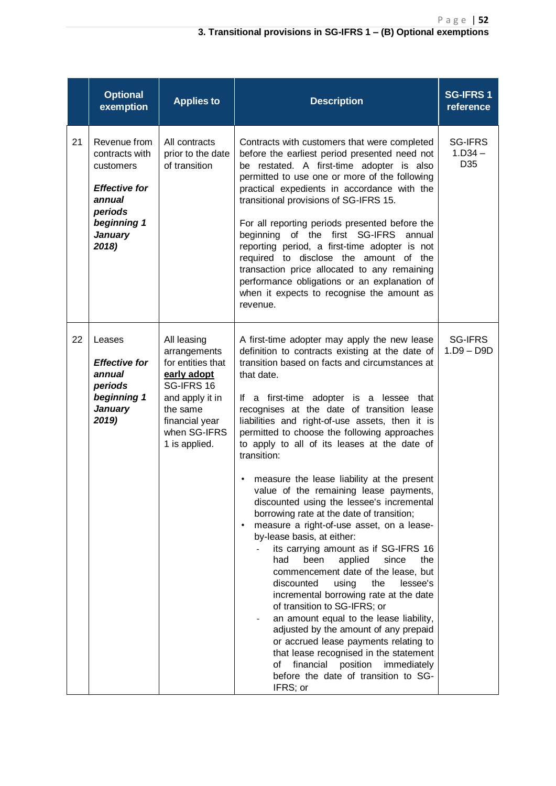|    | <b>Optional</b><br>exemption                                                                                                       | <b>Applies to</b>                                                                                                                                               | <b>Description</b>                                                                                                                                                                                                                                                                                                                                                                                                                                                                                                                                                                                                                                                                                                                                                                                                                                                                                                                                                                                                                                                                                                                                                                                                          | <b>SG-IFRS1</b><br>reference       |
|----|------------------------------------------------------------------------------------------------------------------------------------|-----------------------------------------------------------------------------------------------------------------------------------------------------------------|-----------------------------------------------------------------------------------------------------------------------------------------------------------------------------------------------------------------------------------------------------------------------------------------------------------------------------------------------------------------------------------------------------------------------------------------------------------------------------------------------------------------------------------------------------------------------------------------------------------------------------------------------------------------------------------------------------------------------------------------------------------------------------------------------------------------------------------------------------------------------------------------------------------------------------------------------------------------------------------------------------------------------------------------------------------------------------------------------------------------------------------------------------------------------------------------------------------------------------|------------------------------------|
| 21 | Revenue from<br>contracts with<br>customers<br><b>Effective for</b><br>annual<br>periods<br>beginning 1<br><b>January</b><br>2018) | All contracts<br>prior to the date<br>of transition                                                                                                             | Contracts with customers that were completed<br>before the earliest period presented need not<br>be restated. A first-time adopter is also<br>permitted to use one or more of the following<br>practical expedients in accordance with the<br>transitional provisions of SG-IFRS 15.<br>For all reporting periods presented before the<br>beginning of the first SG-IFRS<br>annual<br>reporting period, a first-time adopter is not<br>required to disclose the amount of the<br>transaction price allocated to any remaining<br>performance obligations or an explanation of<br>when it expects to recognise the amount as<br>revenue.                                                                                                                                                                                                                                                                                                                                                                                                                                                                                                                                                                                     | <b>SG-IFRS</b><br>$1.D34 -$<br>D35 |
| 22 | Leases<br><b>Effective for</b><br>annual<br>periods<br>beginning 1<br><b>January</b><br>2019)                                      | All leasing<br>arrangements<br>for entities that<br>early adopt<br>SG-IFRS 16<br>and apply it in<br>the same<br>financial year<br>when SG-IFRS<br>1 is applied. | A first-time adopter may apply the new lease<br>definition to contracts existing at the date of<br>transition based on facts and circumstances at<br>that date.<br>If a first-time adopter is a lessee that<br>recognises at the date of transition lease<br>liabilities and right-of-use assets, then it is<br>permitted to choose the following approaches<br>to apply to all of its leases at the date of<br>transition:<br>measure the lease liability at the present<br>value of the remaining lease payments,<br>discounted using the lessee's incremental<br>borrowing rate at the date of transition;<br>measure a right-of-use asset, on a lease-<br>$\bullet$<br>by-lease basis, at either:<br>its carrying amount as if SG-IFRS 16<br>had<br>been<br>applied<br>since<br>the<br>commencement date of the lease, but<br>discounted<br>using<br>the<br>lessee's<br>incremental borrowing rate at the date<br>of transition to SG-IFRS; or<br>an amount equal to the lease liability,<br>adjusted by the amount of any prepaid<br>or accrued lease payments relating to<br>that lease recognised in the statement<br>οf<br>financial<br>position<br>immediately<br>before the date of transition to SG-<br>IFRS; or | SG-IFRS<br>$1.D9 - D9D$            |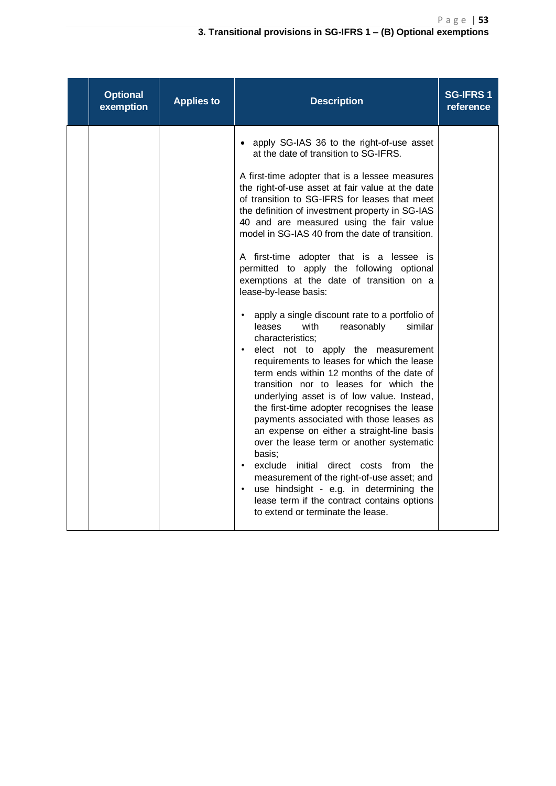| <b>Optional</b><br>exemption | <b>Applies to</b> | <b>Description</b>                                                                                                                                                                                                                                                                                                                                                                                                                                                                                                                                                                                                                                                                                                                                                                                                                                                                                                                                                                                                                                                                                                                                                                                                                                                                                                                                      | <b>SG-IFRS1</b><br>reference |
|------------------------------|-------------------|---------------------------------------------------------------------------------------------------------------------------------------------------------------------------------------------------------------------------------------------------------------------------------------------------------------------------------------------------------------------------------------------------------------------------------------------------------------------------------------------------------------------------------------------------------------------------------------------------------------------------------------------------------------------------------------------------------------------------------------------------------------------------------------------------------------------------------------------------------------------------------------------------------------------------------------------------------------------------------------------------------------------------------------------------------------------------------------------------------------------------------------------------------------------------------------------------------------------------------------------------------------------------------------------------------------------------------------------------------|------------------------------|
|                              |                   | apply SG-IAS 36 to the right-of-use asset<br>at the date of transition to SG-IFRS.<br>A first-time adopter that is a lessee measures<br>the right-of-use asset at fair value at the date<br>of transition to SG-IFRS for leases that meet<br>the definition of investment property in SG-IAS<br>40 and are measured using the fair value<br>model in SG-IAS 40 from the date of transition.<br>A first-time adopter that is a lessee is<br>permitted to apply the following optional<br>exemptions at the date of transition on a<br>lease-by-lease basis:<br>apply a single discount rate to a portfolio of<br>leases<br>with<br>reasonably<br>similar<br>characteristics:<br>elect not to apply the measurement<br>$\bullet$<br>requirements to leases for which the lease<br>term ends within 12 months of the date of<br>transition nor to leases for which the<br>underlying asset is of low value. Instead,<br>the first-time adopter recognises the lease<br>payments associated with those leases as<br>an expense on either a straight-line basis<br>over the lease term or another systematic<br>basis;<br>exclude initial direct costs from<br>the<br>measurement of the right-of-use asset; and<br>use hindsight - e.g. in determining the<br>$\bullet$<br>lease term if the contract contains options<br>to extend or terminate the lease. |                              |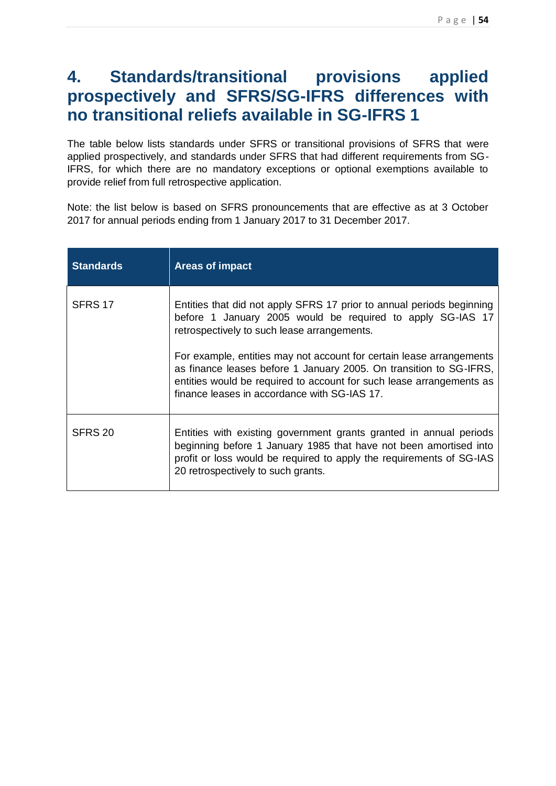# **4. Standards/transitional provisions applied prospectively and SFRS/SG-IFRS differences with no transitional reliefs available in SG-IFRS 1**

The table below lists standards under SFRS or transitional provisions of SFRS that were applied prospectively, and standards under SFRS that had different requirements from SG-IFRS, for which there are no mandatory exceptions or optional exemptions available to provide relief from full retrospective application.

Note: the list below is based on SFRS pronouncements that are effective as at 3 October 2017 for annual periods ending from 1 January 2017 to 31 December 2017.

| <b>Standards</b> | <b>Areas of impact</b>                                                                                                                                                                                                                                             |
|------------------|--------------------------------------------------------------------------------------------------------------------------------------------------------------------------------------------------------------------------------------------------------------------|
| SFRS 17          | Entities that did not apply SFRS 17 prior to annual periods beginning<br>before 1 January 2005 would be required to apply SG-IAS 17<br>retrospectively to such lease arrangements.                                                                                 |
|                  | For example, entities may not account for certain lease arrangements<br>as finance leases before 1 January 2005. On transition to SG-IFRS,<br>entities would be required to account for such lease arrangements as<br>finance leases in accordance with SG-IAS 17. |
| SFRS 20          | Entities with existing government grants granted in annual periods<br>beginning before 1 January 1985 that have not been amortised into<br>profit or loss would be required to apply the requirements of SG-IAS<br>20 retrospectively to such grants.              |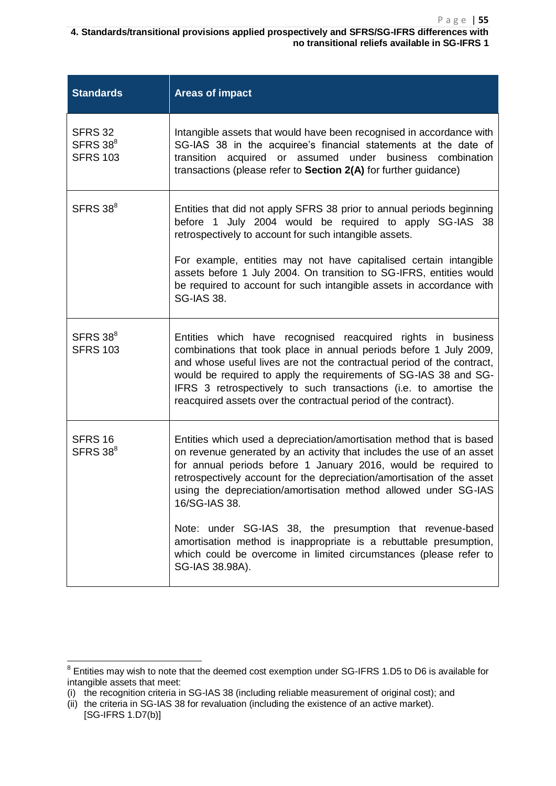**4. Standards/transitional provisions applied prospectively and SFRS/SG-IFRS differences with no transitional reliefs available in SG-IFRS 1**

| <b>Standards</b>                                          | <b>Areas of impact</b>                                                                                                                                                                                                                                                                                                                                                                                                   |  |
|-----------------------------------------------------------|--------------------------------------------------------------------------------------------------------------------------------------------------------------------------------------------------------------------------------------------------------------------------------------------------------------------------------------------------------------------------------------------------------------------------|--|
| <b>SFRS 32</b><br>SFRS 38 <sup>8</sup><br><b>SFRS 103</b> | Intangible assets that would have been recognised in accordance with<br>SG-IAS 38 in the acquiree's financial statements at the date of<br>transition acquired or assumed under business combination<br>transactions (please refer to Section 2(A) for further guidance)                                                                                                                                                 |  |
| SFRS 38 <sup>8</sup>                                      | Entities that did not apply SFRS 38 prior to annual periods beginning<br>before 1 July 2004 would be required to apply SG-IAS 38<br>retrospectively to account for such intangible assets.<br>For example, entities may not have capitalised certain intangible                                                                                                                                                          |  |
|                                                           | assets before 1 July 2004. On transition to SG-IFRS, entities would<br>be required to account for such intangible assets in accordance with<br><b>SG-IAS 38.</b>                                                                                                                                                                                                                                                         |  |
| SFRS 38 <sup>8</sup><br><b>SFRS 103</b>                   | Entities which have recognised reacquired rights in business<br>combinations that took place in annual periods before 1 July 2009,<br>and whose useful lives are not the contractual period of the contract,<br>would be required to apply the requirements of SG-IAS 38 and SG-<br>IFRS 3 retrospectively to such transactions (i.e. to amortise the<br>reacquired assets over the contractual period of the contract). |  |
| <b>SFRS 16</b><br>SFRS 38 <sup>8</sup>                    | Entities which used a depreciation/amortisation method that is based<br>on revenue generated by an activity that includes the use of an asset<br>for annual periods before 1 January 2016, would be required to<br>retrospectively account for the depreciation/amortisation of the asset<br>using the depreciation/amortisation method allowed under SG-IAS<br>16/SG-IAS 38.                                            |  |
|                                                           | Note: under SG-IAS 38, the presumption that revenue-based<br>amortisation method is inappropriate is a rebuttable presumption,<br>which could be overcome in limited circumstances (please refer to<br>SG-IAS 38.98A).                                                                                                                                                                                                   |  |

 $\overline{\phantom{a}}$ 

 $8$  Entities may wish to note that the deemed cost exemption under SG-IFRS 1.D5 to D6 is available for intangible assets that meet:

<sup>(</sup>i) the recognition criteria in SG-IAS 38 (including reliable measurement of original cost); and

 $(iii)$  the criteria in SG-IAS 38 for revaluation (including the existence of an active market). [SG-IFRS 1.D7(b)]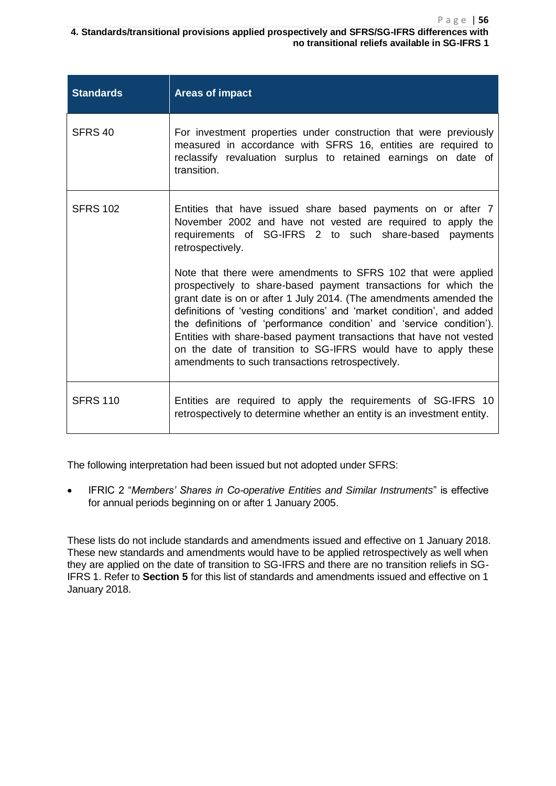**4. Standards/transitional provisions applied prospectively and SFRS/SG-IFRS differences with no transitional reliefs available in SG-IFRS 1**

| <b>Standards</b>   | <b>Areas of impact</b>                                                                                                                                                                                                                                                                                                                                                                                                                                                                                                                               |
|--------------------|------------------------------------------------------------------------------------------------------------------------------------------------------------------------------------------------------------------------------------------------------------------------------------------------------------------------------------------------------------------------------------------------------------------------------------------------------------------------------------------------------------------------------------------------------|
| SFRS <sub>40</sub> | For investment properties under construction that were previously<br>measured in accordance with SFRS 16, entities are required to<br>reclassify revaluation surplus to retained earnings on date of<br>transition.                                                                                                                                                                                                                                                                                                                                  |
| <b>SFRS 102</b>    | Entities that have issued share based payments on or after 7<br>November 2002 and have not vested are required to apply the<br>requirements of SG-IFRS 2 to such share-based payments<br>retrospectively.                                                                                                                                                                                                                                                                                                                                            |
|                    | Note that there were amendments to SFRS 102 that were applied<br>prospectively to share-based payment transactions for which the<br>grant date is on or after 1 July 2014. (The amendments amended the<br>definitions of 'vesting conditions' and 'market condition', and added<br>the definitions of 'performance condition' and 'service condition').<br>Entities with share-based payment transactions that have not vested<br>on the date of transition to SG-IFRS would have to apply these<br>amendments to such transactions retrospectively. |
| <b>SFRS 110</b>    | Entities are required to apply the requirements of SG-IFRS 10<br>retrospectively to determine whether an entity is an investment entity.                                                                                                                                                                                                                                                                                                                                                                                                             |

The following interpretation had been issued but not adopted under SFRS:

 IFRIC 2 "*Members' Shares in Co-operative Entities and Similar Instruments*" is effective for annual periods beginning on or after 1 January 2005.

These lists do not include standards and amendments issued and effective on 1 January 2018. These new standards and amendments would have to be applied retrospectively as well when they are applied on the date of transition to SG-IFRS and there are no transition reliefs in SG-IFRS 1. Refer to **Section 5** for this list of standards and amendments issued and effective on 1 January 2018.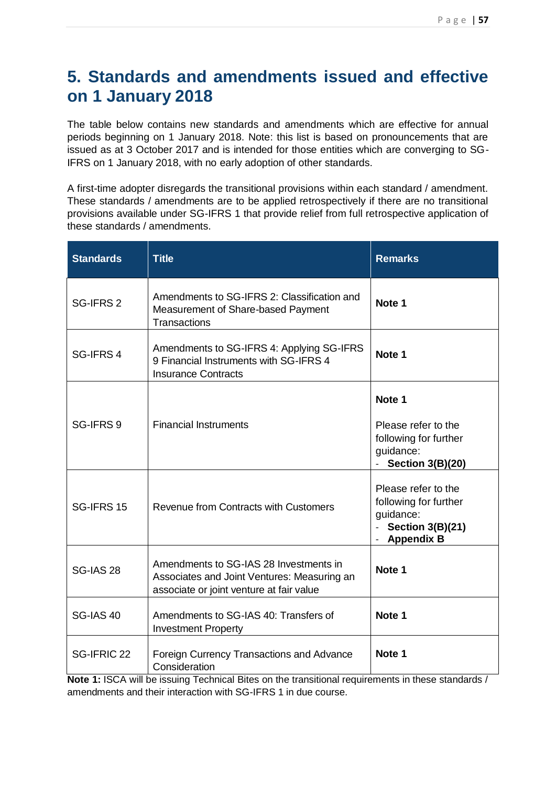# **5. Standards and amendments issued and effective on 1 January 2018**

The table below contains new standards and amendments which are effective for annual periods beginning on 1 January 2018. Note: this list is based on pronouncements that are issued as at 3 October 2017 and is intended for those entities which are converging to SG-IFRS on 1 January 2018, with no early adoption of other standards.

A first-time adopter disregards the transitional provisions within each standard / amendment. These standards / amendments are to be applied retrospectively if there are no transitional provisions available under SG-IFRS 1 that provide relief from full retrospective application of these standards / amendments.

| <b>Standards</b> | <b>Title</b>                                                                                                                      | <b>Remarks</b>                                                                                                                  |
|------------------|-----------------------------------------------------------------------------------------------------------------------------------|---------------------------------------------------------------------------------------------------------------------------------|
| SG-IFRS 2        | Amendments to SG-IFRS 2: Classification and<br>Measurement of Share-based Payment<br>Transactions                                 | Note 1                                                                                                                          |
| SG-IFRS 4        | Amendments to SG-IFRS 4: Applying SG-IFRS<br>9 Financial Instruments with SG-IFRS 4<br><b>Insurance Contracts</b>                 | Note 1                                                                                                                          |
| SG-IFRS 9        | <b>Financial Instruments</b>                                                                                                      | Note 1<br>Please refer to the<br>following for further<br>guidance:<br><b>Section 3(B)(20)</b>                                  |
| SG-IFRS 15       | Revenue from Contracts with Customers                                                                                             | Please refer to the<br>following for further<br>guidance:<br><b>Section 3(B)(21)</b><br>$\mathbb{Z}^{n-1}$<br><b>Appendix B</b> |
| <b>SG-IAS 28</b> | Amendments to SG-IAS 28 Investments in<br>Associates and Joint Ventures: Measuring an<br>associate or joint venture at fair value | Note 1                                                                                                                          |
| <b>SG-IAS 40</b> | Amendments to SG-IAS 40: Transfers of<br><b>Investment Property</b>                                                               | Note 1                                                                                                                          |
| SG-IFRIC 22      | Foreign Currency Transactions and Advance<br>Consideration                                                                        | Note 1                                                                                                                          |

**Note 1:** ISCA will be issuing Technical Bites on the transitional requirements in these standards / amendments and their interaction with SG-IFRS 1 in due course.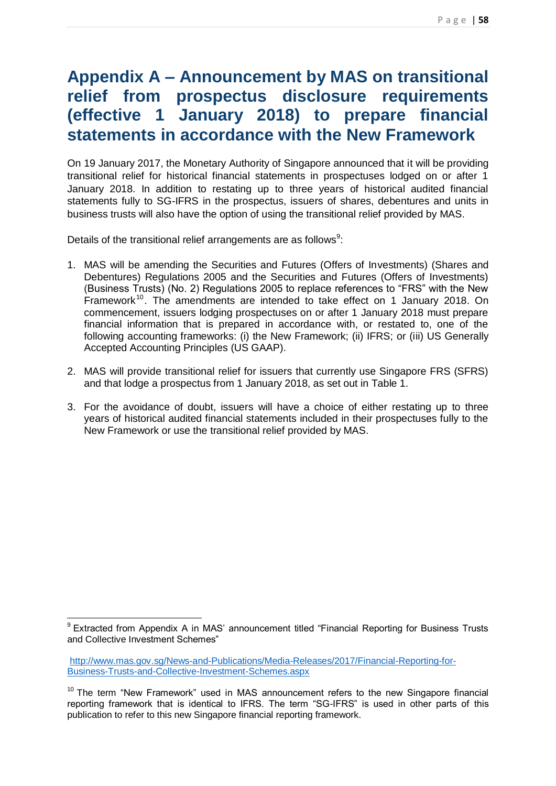# **Appendix A – Announcement by MAS on transitional relief from prospectus disclosure requirements (effective 1 January 2018) to prepare financial statements in accordance with the New Framework**

On 19 January 2017, the Monetary Authority of Singapore announced that it will be providing transitional relief for historical financial statements in prospectuses lodged on or after 1 January 2018. In addition to restating up to three years of historical audited financial statements fully to SG-IFRS in the prospectus, issuers of shares, debentures and units in business trusts will also have the option of using the transitional relief provided by MAS.

Details of the transitional relief arrangements are as follows $9$ :

- 1. MAS will be amending the Securities and Futures (Offers of Investments) (Shares and Debentures) Regulations 2005 and the Securities and Futures (Offers of Investments) (Business Trusts) (No. 2) Regulations 2005 to replace references to "FRS" with the New Framework<sup>10</sup>. The amendments are intended to take effect on 1 January 2018. On commencement, issuers lodging prospectuses on or after 1 January 2018 must prepare financial information that is prepared in accordance with, or restated to, one of the following accounting frameworks: (i) the New Framework; (ii) IFRS; or (iii) US Generally Accepted Accounting Principles (US GAAP).
- 2. MAS will provide transitional relief for issuers that currently use Singapore FRS (SFRS) and that lodge a prospectus from 1 January 2018, as set out in Table 1.
- 3. For the avoidance of doubt, issuers will have a choice of either restating up to three years of historical audited financial statements included in their prospectuses fully to the New Framework or use the transitional relief provided by MAS.

 $\overline{\phantom{a}}$ <sup>9</sup> Extracted from Appendix A in MAS' announcement titled "Financial Reporting for Business Trusts and Collective Investment Schemes"

[http://www.mas.gov.sg/News-and-Publications/Media-Releases/2017/Financial-Reporting-for-](http://www.mas.gov.sg/News-and-Publications/Media-Releases/2017/Financial-Reporting-for-Business-Trusts-and-Collective-Investment-Schemes.aspx)[Business-Trusts-and-Collective-Investment-Schemes.aspx](http://www.mas.gov.sg/News-and-Publications/Media-Releases/2017/Financial-Reporting-for-Business-Trusts-and-Collective-Investment-Schemes.aspx)

 $10$  The term "New Framework" used in MAS announcement refers to the new Singapore financial reporting framework that is identical to IFRS. The term "SG-IFRS" is used in other parts of this publication to refer to this new Singapore financial reporting framework.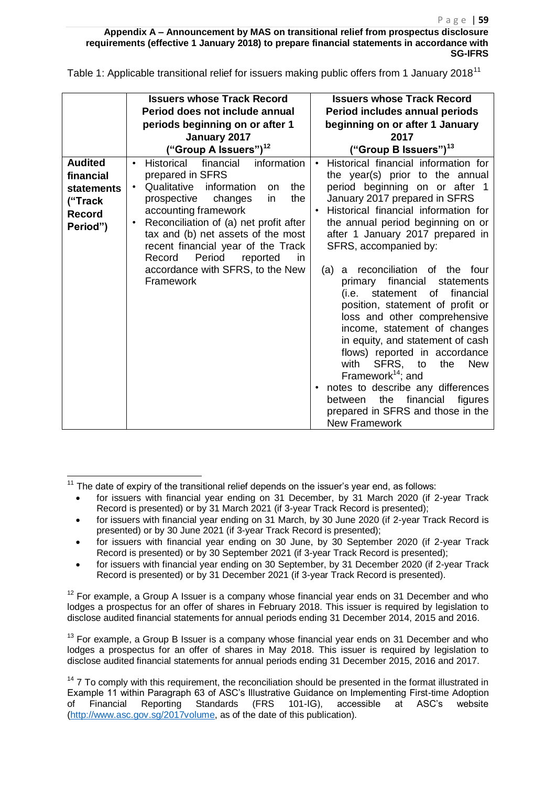**Appendix A – Announcement by MAS on transitional relief from prospectus disclosure requirements (effective 1 January 2018) to prepare financial statements in accordance with SG-IFRS** 

Table 1: Applicable transitional relief for issuers making public offers from 1 January 2018<sup>11</sup>

|                                                                                   | <b>Issuers whose Track Record</b><br>Period does not include annual<br>periods beginning on or after 1                                                                                                                                                                                                                                                                                                                             | <b>Issuers whose Track Record</b><br>Period includes annual periods<br>beginning on or after 1 January                                                                                                                                                                                                                                                                                                                                                                                                                                                                                                                                                                                                                                                                                                                                   |
|-----------------------------------------------------------------------------------|------------------------------------------------------------------------------------------------------------------------------------------------------------------------------------------------------------------------------------------------------------------------------------------------------------------------------------------------------------------------------------------------------------------------------------|------------------------------------------------------------------------------------------------------------------------------------------------------------------------------------------------------------------------------------------------------------------------------------------------------------------------------------------------------------------------------------------------------------------------------------------------------------------------------------------------------------------------------------------------------------------------------------------------------------------------------------------------------------------------------------------------------------------------------------------------------------------------------------------------------------------------------------------|
|                                                                                   | January 2017<br>("Group A Issuers") <sup>12</sup>                                                                                                                                                                                                                                                                                                                                                                                  | 2017<br>("Group B Issuers") $^{13}$                                                                                                                                                                                                                                                                                                                                                                                                                                                                                                                                                                                                                                                                                                                                                                                                      |
| <b>Audited</b><br>financial<br>statements<br>("Track<br><b>Record</b><br>Period") | financial<br><b>Historical</b><br>information<br>$\bullet$<br>prepared in SFRS<br>Qualitative<br>information<br>the.<br>$\bullet$<br>on.<br>the<br>prospective<br>changes<br>in<br>accounting framework<br>Reconciliation of (a) net profit after<br>$\bullet$<br>tax and (b) net assets of the most<br>recent financial year of the Track<br>Period<br>Record<br>reported<br>in.<br>accordance with SFRS, to the New<br>Framework | Historical financial information for<br>$\bullet$<br>the year(s) prior to the annual<br>period beginning on or after 1<br>January 2017 prepared in SFRS<br>Historical financial information for<br>$\bullet$<br>the annual period beginning on or<br>after 1 January 2017 prepared in<br>SFRS, accompanied by:<br>reconciliation of the four<br>(a)<br>a<br>financial<br>statements<br>primary<br>financial<br>statement<br>of<br>(i.e. –<br>position, statement of profit or<br>loss and other comprehensive<br>income, statement of changes<br>in equity, and statement of cash<br>flows) reported in accordance<br>with<br>SFRS, to<br>the<br><b>New</b><br>Framework <sup>14</sup> ; and<br>notes to describe any differences<br>the<br>financial<br>figures<br>between<br>prepared in SFRS and those in the<br><b>New Framework</b> |

 $\overline{\phantom{a}}$ 

- for issuers with financial year ending on 30 June, by 30 September 2020 (if 2-year Track Record is presented) or by 30 September 2021 (if 3-year Track Record is presented);
- for issuers with financial year ending on 30 September, by 31 December 2020 (if 2-year Track Record is presented) or by 31 December 2021 (if 3-year Track Record is presented).

 $12$  For example, a Group A Issuer is a company whose financial year ends on 31 December and who lodges a prospectus for an offer of shares in February 2018. This issuer is required by legislation to disclose audited financial statements for annual periods ending 31 December 2014, 2015 and 2016.

 $13$  For example, a Group B Issuer is a company whose financial year ends on 31 December and who lodges a prospectus for an offer of shares in May 2018. This issuer is required by legislation to disclose audited financial statements for annual periods ending 31 December 2015, 2016 and 2017.

<sup>14</sup> 7 To comply with this requirement, the reconciliation should be presented in the format illustrated in Example 11 within Paragraph 63 of ASC's Illustrative Guidance on Implementing First-time Adoption of Financial Reporting Standards (FRS 101-IG), accessible at ASC's website [\(http://www.asc.gov.sg/2017volume,](http://www.asc.gov.sg/2017volume) as of the date of this publication).

 $11$  The date of expiry of the transitional relief depends on the issuer's year end, as follows:

for issuers with financial year ending on 31 December, by 31 March 2020 (if 2-year Track Record is presented) or by 31 March 2021 (if 3-year Track Record is presented);

for issuers with financial year ending on 31 March, by 30 June 2020 (if 2-year Track Record is presented) or by 30 June 2021 (if 3-year Track Record is presented);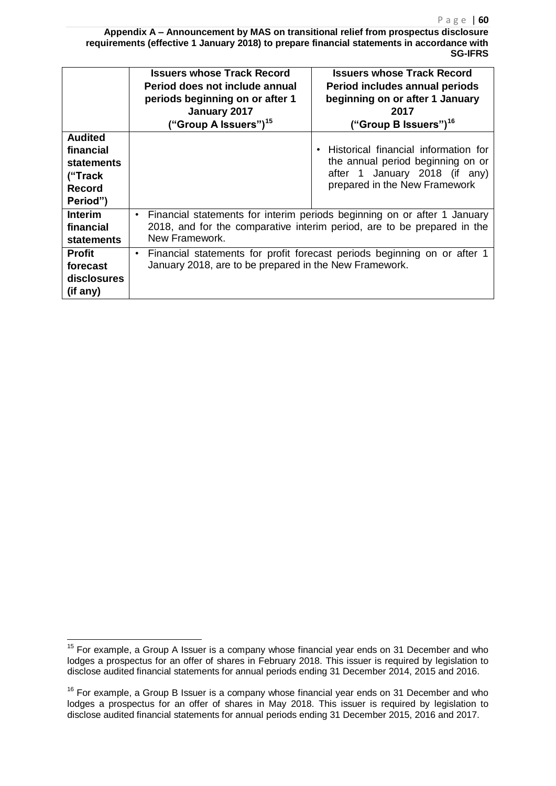**Appendix A – Announcement by MAS on transitional relief from prospectus disclosure requirements (effective 1 January 2018) to prepare financial statements in accordance with SG-IFRS** 

|                                                                                          | <b>Issuers whose Track Record</b><br>Period does not include annual<br>periods beginning on or after 1<br>January 2017<br>("Group A Issuers") <sup>15</sup>           | <b>Issuers whose Track Record</b><br>Period includes annual periods<br>beginning on or after 1 January<br>2017<br>("Group B Issuers") <sup>16</sup> |  |
|------------------------------------------------------------------------------------------|-----------------------------------------------------------------------------------------------------------------------------------------------------------------------|-----------------------------------------------------------------------------------------------------------------------------------------------------|--|
| <b>Audited</b><br>financial<br><b>statements</b><br>("Track<br><b>Record</b><br>Period") |                                                                                                                                                                       | Historical financial information for<br>the annual period beginning on or<br>after 1 January 2018 (if any)<br>prepared in the New Framework         |  |
| <b>Interim</b><br>financial<br><b>statements</b>                                         | Financial statements for interim periods beginning on or after 1 January<br>2018, and for the comparative interim period, are to be prepared in the<br>New Framework. |                                                                                                                                                     |  |
| <b>Profit</b><br>forecast<br>disclosures<br>(if any)                                     | Financial statements for profit forecast periods beginning on or after 1<br>$\bullet$<br>January 2018, are to be prepared in the New Framework.                       |                                                                                                                                                     |  |

 $\overline{\phantom{a}}$ 

 $15$  For example, a Group A Issuer is a company whose financial year ends on 31 December and who lodges a prospectus for an offer of shares in February 2018. This issuer is required by legislation to disclose audited financial statements for annual periods ending 31 December 2014, 2015 and 2016.

<sup>&</sup>lt;sup>16</sup> For example, a Group B Issuer is a company whose financial year ends on 31 December and who lodges a prospectus for an offer of shares in May 2018. This issuer is required by legislation to disclose audited financial statements for annual periods ending 31 December 2015, 2016 and 2017.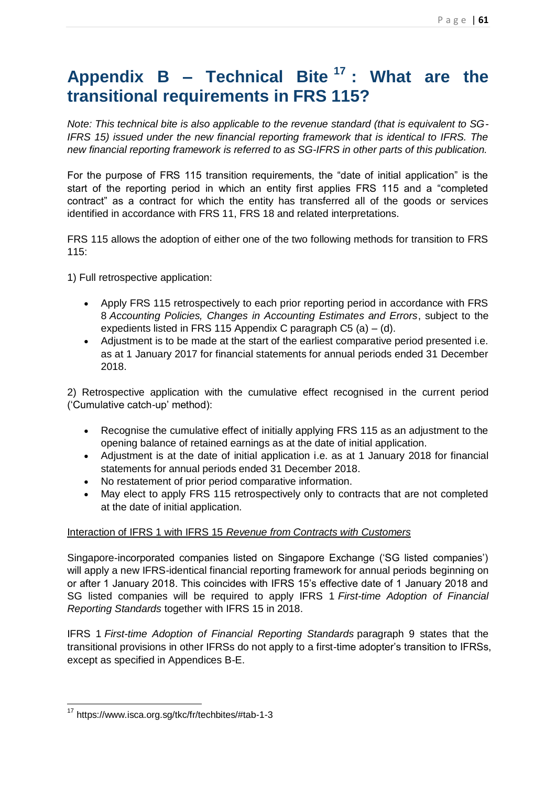# **Appendix B – Technical Bite <sup>17</sup> : What are the transitional requirements in FRS 115?**

*Note: This technical bite is also applicable to the revenue standard (that is equivalent to SG-IFRS 15) issued under the new financial reporting framework that is identical to IFRS. The new financial reporting framework is referred to as SG-IFRS in other parts of this publication.*

For the purpose of FRS 115 transition requirements, the "date of initial application" is the start of the reporting period in which an entity first applies FRS 115 and a "completed contract" as a contract for which the entity has transferred all of the goods or services identified in accordance with FRS 11, FRS 18 and related interpretations.

FRS 115 allows the adoption of either one of the two following methods for transition to FRS  $115$ 

1) Full retrospective application:

- Apply FRS 115 retrospectively to each prior reporting period in accordance with FRS 8 *Accounting Policies, Changes in Accounting Estimates and Errors*, subject to the expedients listed in FRS 115 Appendix C paragraph  $C5$  (a) – (d).
- Adjustment is to be made at the start of the earliest comparative period presented i.e. as at 1 January 2017 for financial statements for annual periods ended 31 December 2018.

2) Retrospective application with the cumulative effect recognised in the current period ('Cumulative catch-up' method):

- Recognise the cumulative effect of initially applying FRS 115 as an adjustment to the opening balance of retained earnings as at the date of initial application.
- Adjustment is at the date of initial application i.e. as at 1 January 2018 for financial statements for annual periods ended 31 December 2018.
- No restatement of prior period comparative information.
- May elect to apply FRS 115 retrospectively only to contracts that are not completed at the date of initial application.

#### Interaction of IFRS 1 with IFRS 15 *Revenue from Contracts with Customers*

Singapore-incorporated companies listed on Singapore Exchange ('SG listed companies') will apply a new IFRS-identical financial reporting framework for annual periods beginning on or after 1 January 2018. This coincides with IFRS 15's effective date of 1 January 2018 and SG listed companies will be required to apply IFRS 1 *First-time Adoption of Financial Reporting Standards* together with IFRS 15 in 2018.

IFRS 1 *First-time Adoption of Financial Reporting Standards* paragraph 9 states that the transitional provisions in other IFRSs do not apply to a first-time adopter's transition to IFRSs, except as specified in Appendices B-E.

 $\overline{\phantom{a}}$ <sup>17</sup> https://www.isca.org.sg/tkc/fr/techbites/#tab-1-3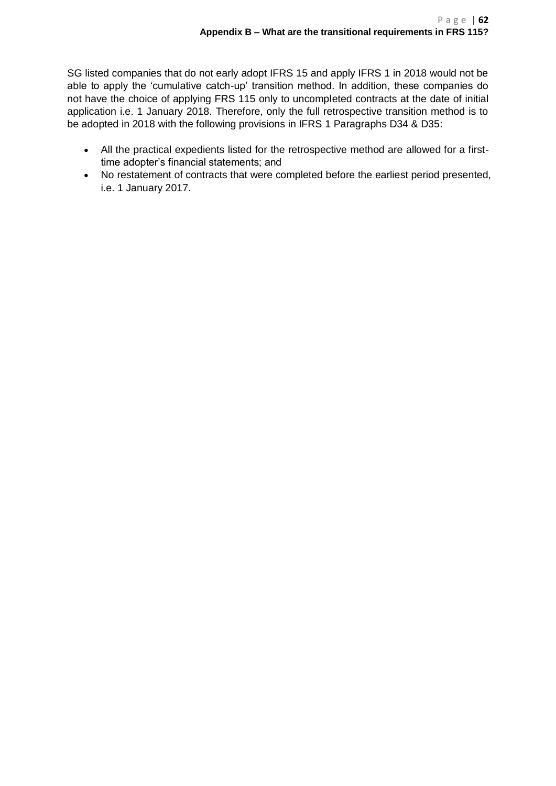SG listed companies that do not early adopt IFRS 15 and apply IFRS 1 in 2018 would not be able to apply the 'cumulative catch-up' transition method. In addition, these companies do not have the choice of applying FRS 115 only to uncompleted contracts at the date of initial application i.e. 1 January 2018. Therefore, only the full retrospective transition method is to be adopted in 2018 with the following provisions in IFRS 1 Paragraphs D34 & D35:

- All the practical expedients listed for the retrospective method are allowed for a firsttime adopter's financial statements; and
- No restatement of contracts that were completed before the earliest period presented, i.e. 1 January 2017.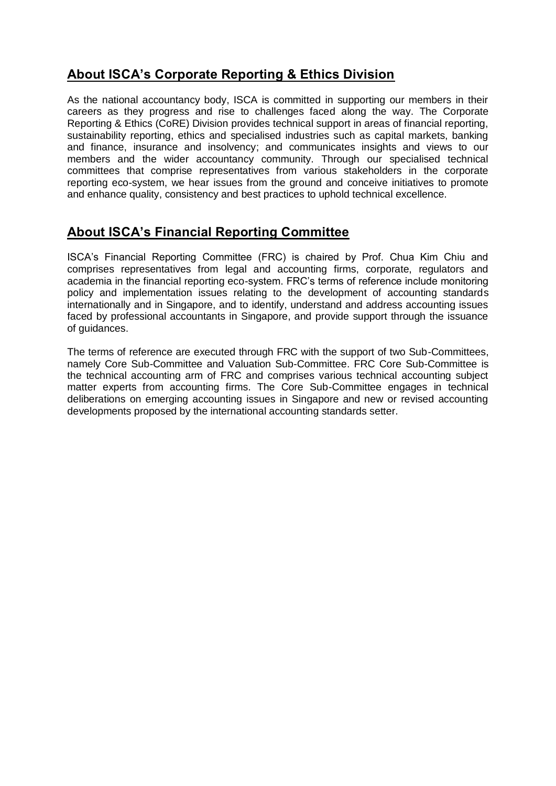### **About ISCA's Corporate Reporting & Ethics Division**

As the national accountancy body, ISCA is committed in supporting our members in their careers as they progress and rise to challenges faced along the way. The Corporate Reporting & Ethics (CoRE) Division provides technical support in areas of financial reporting, sustainability reporting, ethics and specialised industries such as capital markets, banking and finance, insurance and insolvency; and communicates insights and views to our members and the wider accountancy community. Through our specialised technical committees that comprise representatives from various stakeholders in the corporate reporting eco-system, we hear issues from the ground and conceive initiatives to promote and enhance quality, consistency and best practices to uphold technical excellence.

### **About ISCA's Financial Reporting Committee**

ISCA's Financial Reporting Committee (FRC) is chaired by Prof. Chua Kim Chiu and comprises representatives from legal and accounting firms, corporate, regulators and academia in the financial reporting eco-system. FRC's terms of reference include monitoring policy and implementation issues relating to the development of accounting standards internationally and in Singapore, and to identify, understand and address accounting issues faced by professional accountants in Singapore, and provide support through the issuance of guidances.

The terms of reference are executed through FRC with the support of two Sub-Committees, namely Core Sub-Committee and Valuation Sub-Committee. FRC Core Sub-Committee is the technical accounting arm of FRC and comprises various technical accounting subject matter experts from accounting firms. The Core Sub-Committee engages in technical deliberations on emerging accounting issues in Singapore and new or revised accounting developments proposed by the international accounting standards setter.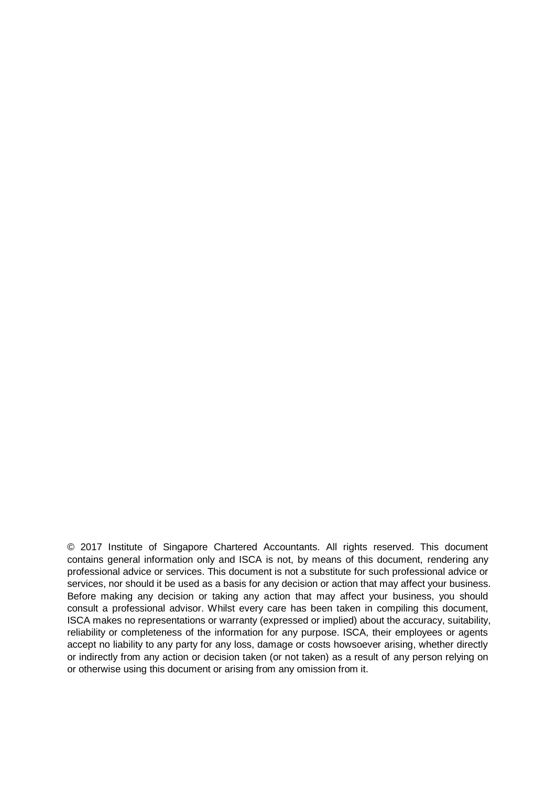© 2017 Institute of Singapore Chartered Accountants. All rights reserved. This document contains general information only and ISCA is not, by means of this document, rendering any professional advice or services. This document is not a substitute for such professional advice or services, nor should it be used as a basis for any decision or action that may affect your business. Before making any decision or taking any action that may affect your business, you should consult a professional advisor. Whilst every care has been taken in compiling this document, ISCA makes no representations or warranty (expressed or implied) about the accuracy, suitability, reliability or completeness of the information for any purpose. ISCA, their employees or agents accept no liability to any party for any loss, damage or costs howsoever arising, whether directly or indirectly from any action or decision taken (or not taken) as a result of any person relying on or otherwise using this document or arising from any omission from it.